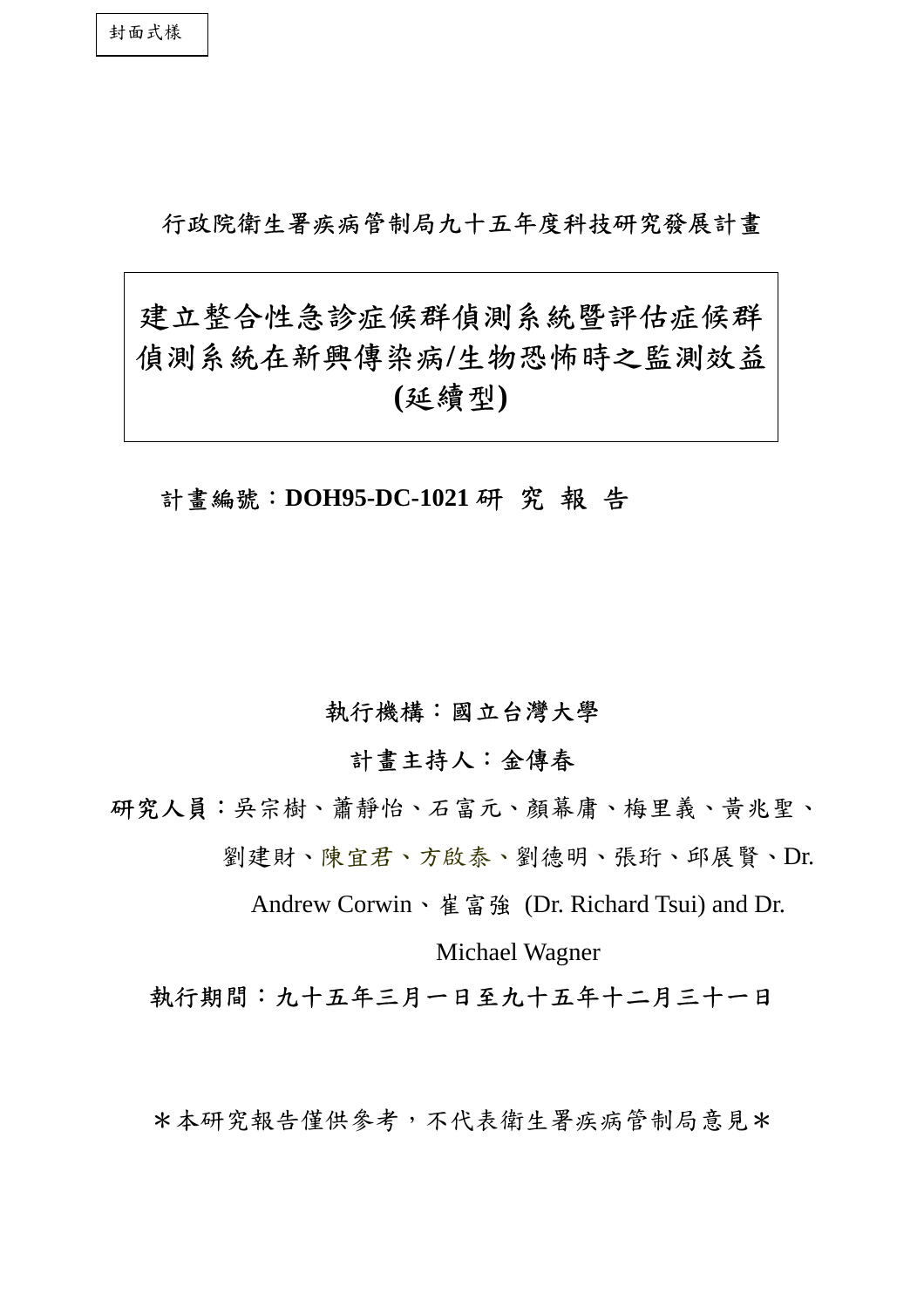# 行政院衛生署疾病管制局九十五年度科技研究發展計畫

# 建立整合性急診症候群偵測系統暨評估症候群 偵測系統在新興傳染病**/**生物恐怖時之監測效益 **(**延續型**)**

計畫編號:**DOH95-DC-1021** 研 究 報 告

## 執行機構:國立台灣大學

計畫主持人:金傳春

研究人員:吳宗樹、蕭靜怡、石富元、顏幕庸、梅里義、黃兆聖、 劉建財、陳宜君、方啟泰、劉德明、張珩、邱展賢、Dr.

Andrew Corwin、崔富強 (Dr. Richard Tsui) and Dr.

Michael Wagner

執行期間:九十五年三月一日至九十五年十二月三十一日

\*本研究報告僅供參考,不代表衛生署疾病管制局意見\*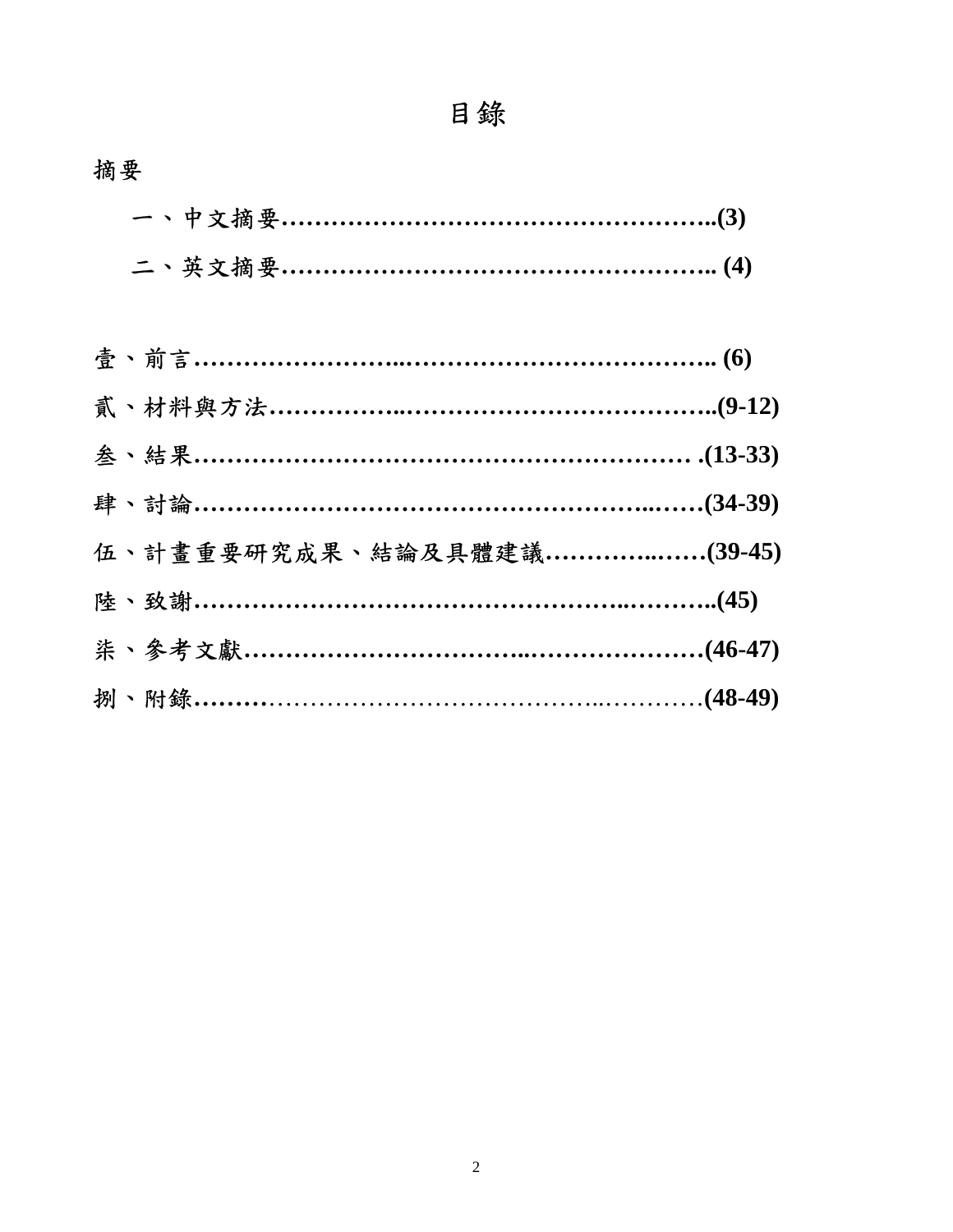| 二、英文摘要 ……………………………………………………………(4) |  |
|-----------------------------------|--|

| 伍、計畫重要研究成果、結論及具體建議 …………………(39-45) |
|-----------------------------------|
|                                   |
|                                   |
|                                   |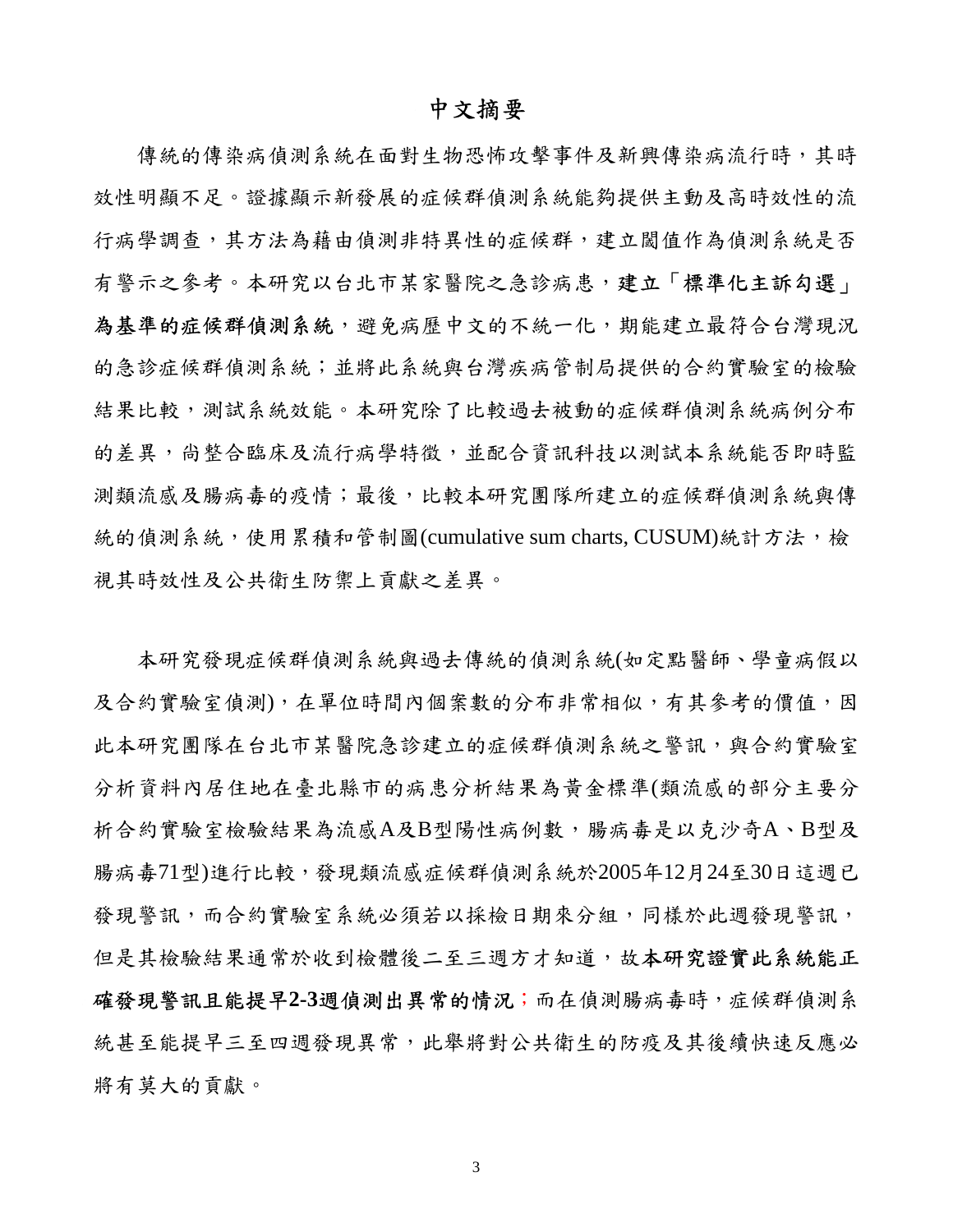## 中文摘要

傳統的傳染病偵測系統在面對生物恐怖攻擊事件及新興傳染病流行時,其時 效性明顯不足。證據顯示新發展的症候群偵測系統能夠提供主動及高時效性的流 行病學調查,其方法為藉由偵測非特異性的症候群,建立閾值作為偵測系統是否 有警示之參考。本研究以台北市某家醫院之急診病患,建立「標準化主訴勾選」 為基準的症候群偵測系統,避免病歷中文的不統一化,期能建立最符合台灣現況 的急診症候群偵測系統,並將此系統與台灣疾病管制局提供的合約實驗室的檢驗 結果比較,測試系統效能。本研究除了比較過去被動的症候群偵測系統病例分布 的差異,尚整合臨床及流行病學特徵,並配合資訊科技以測試本系統能否即時監 測類流感及腸病毒的疫情;最後,比較本研究團隊所建立的症候群偵測系統與傳 統的偵測系統,使用累積和管制圖(cumulative sum charts, CUSUM)統計方法,檢 視其時效性及公共衛生防禦上貢獻之差異。

本研究發現症候群偵測系統與過去傳統的偵測系統(如定點醫師、學童病假以 及合約實驗室偵測), 在單位時間內個案數的分布非常相似, 有其參考的價值, 因 此本研究團隊在台北市某醫院急診建立的症候群偵測系統之警訊,與合約實驗室 分析資料內居住地在臺北縣市的病患分析結果為黃金標準(類流感的部分主要分 析合約實驗室檢驗結果為流感A及B型陽性病例數,腸病毒是以克沙奇A、B型及 腸病毒71型)進行比較,發現類流感症候群偵測系統於2005年12月24至30日這週已 發現警訊,而合約實驗室系統必須若以採檢日期來分組,同樣於此週發現警訊, 但是其檢驗結果通常於收到檢體後二至三週方才知道,故本研究證實此系統能正 確發現警訊且能提早**2-3**週偵測出異常的情況;而在偵測腸病毒時,症候群偵測系 統甚至能提早三至四週發現異常,此舉將對公共衛生的防疫及其後續快速反應必 將有莫大的貢獻。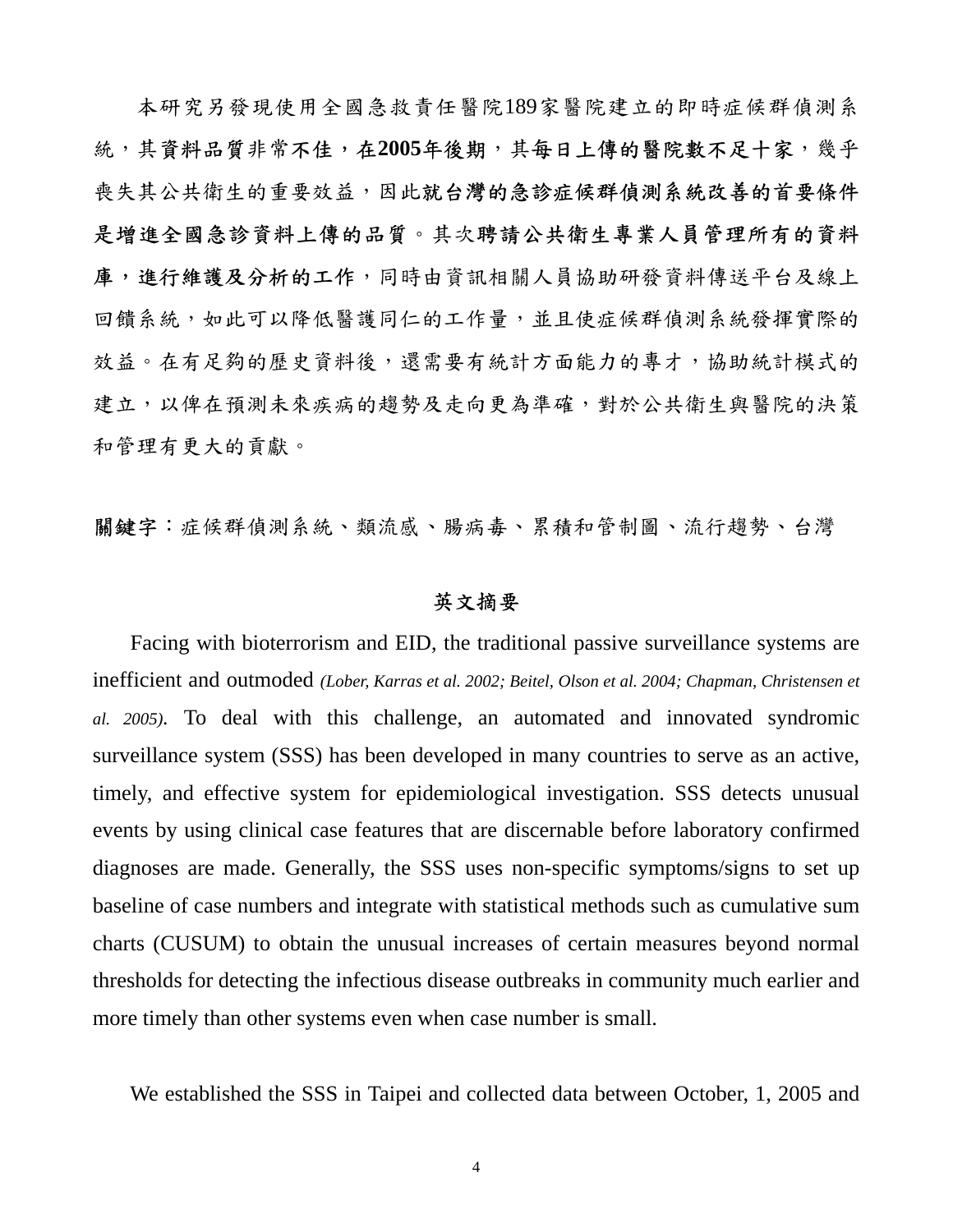本研究另發現使用全國急救責任醫院189家醫院建立的即時症候群偵測系 統,其資料品質非常不佳,在2005年後期,其每日上傳的醫院數不足十家,幾乎 喪失其公共衛生的重要效益,因此就台灣的急診症候群偵測系統改善的首要條件 是增進全國急診資料上傳的品質。其次聘請公共衛生專業人員管理所有的資料 庫,進行維護及分析的工作,同時由資訊相關人員協助研發資料傳送平台及線上 回饋系統,如此可以降低醫護同仁的工作量,並且使症候群偵測系統發揮實際的 效益。在有足夠的歷史資料後,還需要有統計方面能力的專才,協助統計模式的 建立,以俾在預測未來疾病的趨勢及走向更為準確,對於公共衛生與醫院的決策 和管理有更大的貢獻。

關鍵字:症候群偵測系統、類流感、腸病毒、累積和管制圖、流行趨勢、台灣

## 英文摘要

Facing with bioterrorism and EID, the traditional passive surveillance systems are inefficient and outmoded *(Lober, Karras et al. 2002; Beitel, Olson et al. 2004; Chapman, Christensen et al. 2005).* To deal with this challenge, an automated and innovated syndromic surveillance system (SSS) has been developed in many countries to serve as an active, timely, and effective system for epidemiological investigation. SSS detects unusual events by using clinical case features that are discernable before laboratory confirmed diagnoses are made. Generally, the SSS uses non-specific symptoms/signs to set up baseline of case numbers and integrate with statistical methods such as cumulative sum charts (CUSUM) to obtain the unusual increases of certain measures beyond normal thresholds for detecting the infectious disease outbreaks in community much earlier and more timely than other systems even when case number is small.

We established the SSS in Taipei and collected data between October, 1, 2005 and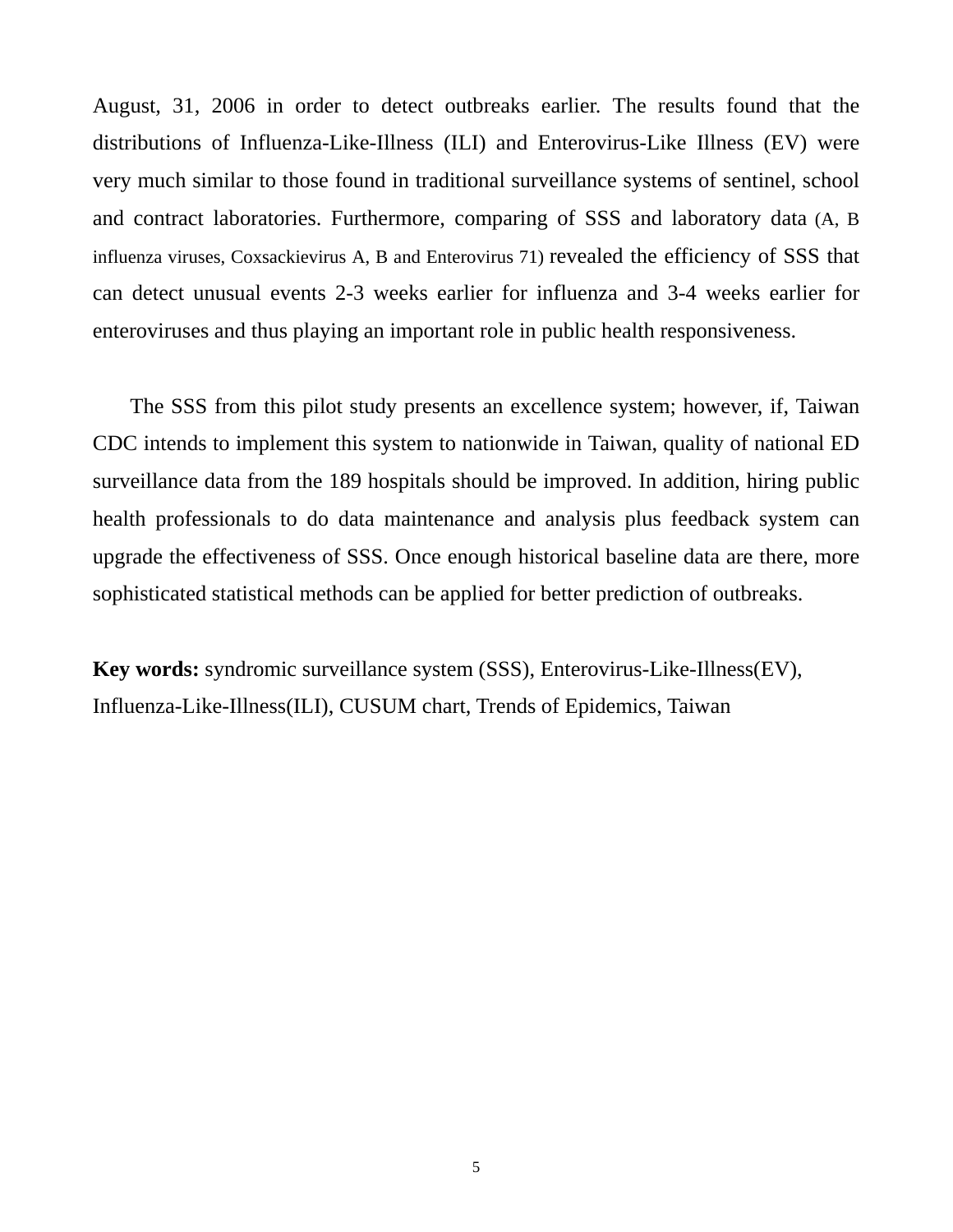August, 31, 2006 in order to detect outbreaks earlier. The results found that the distributions of Influenza-Like-Illness (ILI) and Enterovirus-Like Illness (EV) were very much similar to those found in traditional surveillance systems of sentinel, school and contract laboratories. Furthermore, comparing of SSS and laboratory data (A, B influenza viruses, Coxsackievirus A, B and Enterovirus 71) revealed the efficiency of SSS that can detect unusual events 2-3 weeks earlier for influenza and 3-4 weeks earlier for enteroviruses and thus playing an important role in public health responsiveness.

The SSS from this pilot study presents an excellence system; however, if, Taiwan CDC intends to implement this system to nationwide in Taiwan, quality of national ED surveillance data from the 189 hospitals should be improved. In addition, hiring public health professionals to do data maintenance and analysis plus feedback system can upgrade the effectiveness of SSS. Once enough historical baseline data are there, more sophisticated statistical methods can be applied for better prediction of outbreaks.

**Key words:** syndromic surveillance system (SSS), Enterovirus-Like-Illness(EV), Influenza-Like-Illness(ILI), CUSUM chart, Trends of Epidemics, Taiwan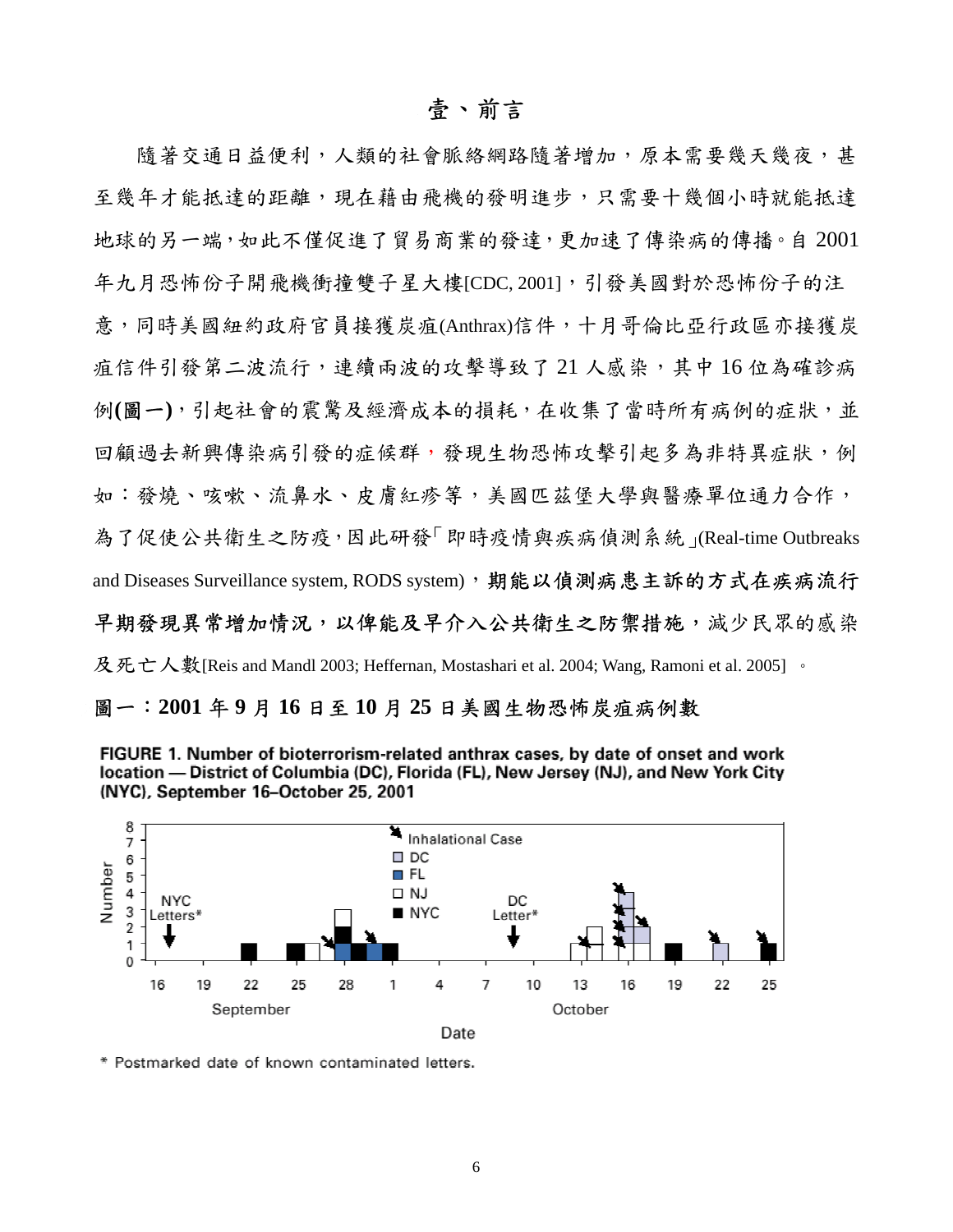## 壹、前言

隨著交通日益便利,人類的社會脈絡網路隨著增加,原本需要幾天幾夜,甚 至幾年才能抵達的距離,現在藉由飛機的發明進步,只需要十幾個小時就能抵達 地球的另一端,如此不僅促進了貿易商業的發達,更加速了傳染病的傳播。自 2001 年九月恐怖份子開飛機衝撞雙子星大樓[CDC, 2001], 引發美國對於恐怖份子的注 意,同時美國紐約政府官員接獲炭疽(Anthrax)信件,十月哥倫比亞行政區亦接獲炭 疽信件引發第二波流行,連續兩波的攻擊導致了 21 人感染,其中 16 位為確診病 例**(**圖一**)**,引起社會的震驚及經濟成本的損耗,在收集了當時所有病例的症狀,並 回顧過去新興傳染病引發的症候群,發現生物恐怖攻擊引起多為非特異症狀,例 如:發燒、咳嗽、流鼻水、皮膚紅疹等,美國匹茲堡大學與醫療單位通力合作, 為了促使公共衛生之防疫,因此研發「即時疫情與疾病偵測系統」(Real-time Outbreaks and Diseases Surveillance system, RODS system),期能以偵測病患主訴的方式在疾病流行 早期發現異常增加情況,以俾能及早介入公共衛生之防禦措施,減少民眾的感染 及死亡人數[Reis and Mandl 2003; Heffernan, Mostashari et al. 2004; Wang, Ramoni et al. 2005] 。

## 圖一:**2001** 年 **9** 月 **16** 日至 **10** 月 **25** 日美國生物恐怖炭疽病例數





\* Postmarked date of known contaminated letters.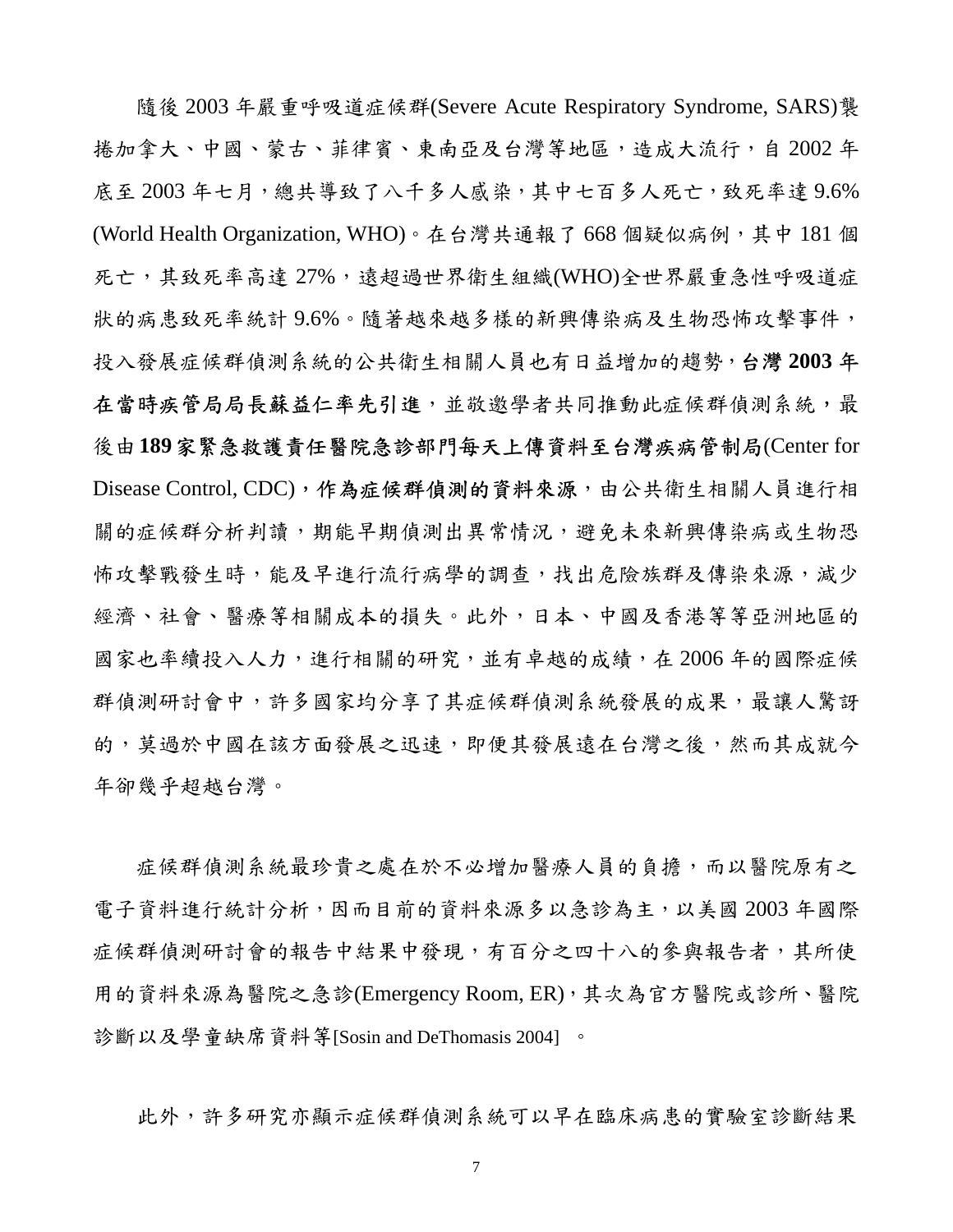隨後 2003 年嚴重呼吸道症候群(Severe Acute Respiratory Syndrome, SARS)襲 捲加拿大、中國、蒙古、菲律賓、東南亞及台灣等地區,造成大流行,自 2002 年 底至 2003年七月,總共導致了八千多人感染,其中七百多人死亡,致死率達 9.6% (World Health Organization, WHO)。在台灣共通報了 668 個疑似病例,其中 181 個 死亡,其致死率高達 27%,這超過世界衛生組織(WHO)全世界嚴重急性呼吸道症 狀的病患致死率統計 9.6%。隨著越來越多樣的新興傳染病及生物恐怖攻擊事件, 投入發展症候群偵測系統的公共衛生相關人員也有日益增加的趨勢,台灣 **2003** 年 在當時疾管局局長蘇益仁率先引進,並敬邀學者共同推動此症候群偵測系統,最 後由**189**家緊急救護責任醫院急診部門每天上傳資料至台灣疾病管制局(Center for Disease Control, CDC), 作為症候群偵測的資料來源,由公共衛生相關人員進行相 關的症候群分析判讀,期能早期偵測出異常情況,避免未來新興傳染病或生物恐 怖攻擊戰發生時,能及早進行流行病學的調查,找出危險族群及傳染來源,減少 經濟、社會、醫療等相關成本的損失。此外,日本、中國及香港等等亞洲地區的 國家也率續投入人力,進行相關的研究,並有卓越的成績,在 2006 年的國際症候 群偵測研討會中,許多國家均分享了其症候群偵測系統發展的成果,最讓人驚訝 的,莫過於中國在該方面發展之迅速,即便其發展遠在台灣之後,然而其成就今 年卻幾乎超越台灣。

症候群偵測系統最珍貴之處在於不必增加醫療人員的負擔,而以醫院原有之 電子資料進行統計分析,因而目前的資料來源多以急診為主,以美國 2003 年國際 症候群偵測研討會的報告中結果中發現,有百分之四十八的參與報告者,其所使 用的資料來源為醫院之急診(Emergency Room, ER),其次為官方醫院或診所、醫院 診斷以及學童缺席資料等[Sosin and DeThomasis 2004] 。

此外,許多研究亦顯示症候群偵測系統可以早在臨床病患的實驗室診斷結果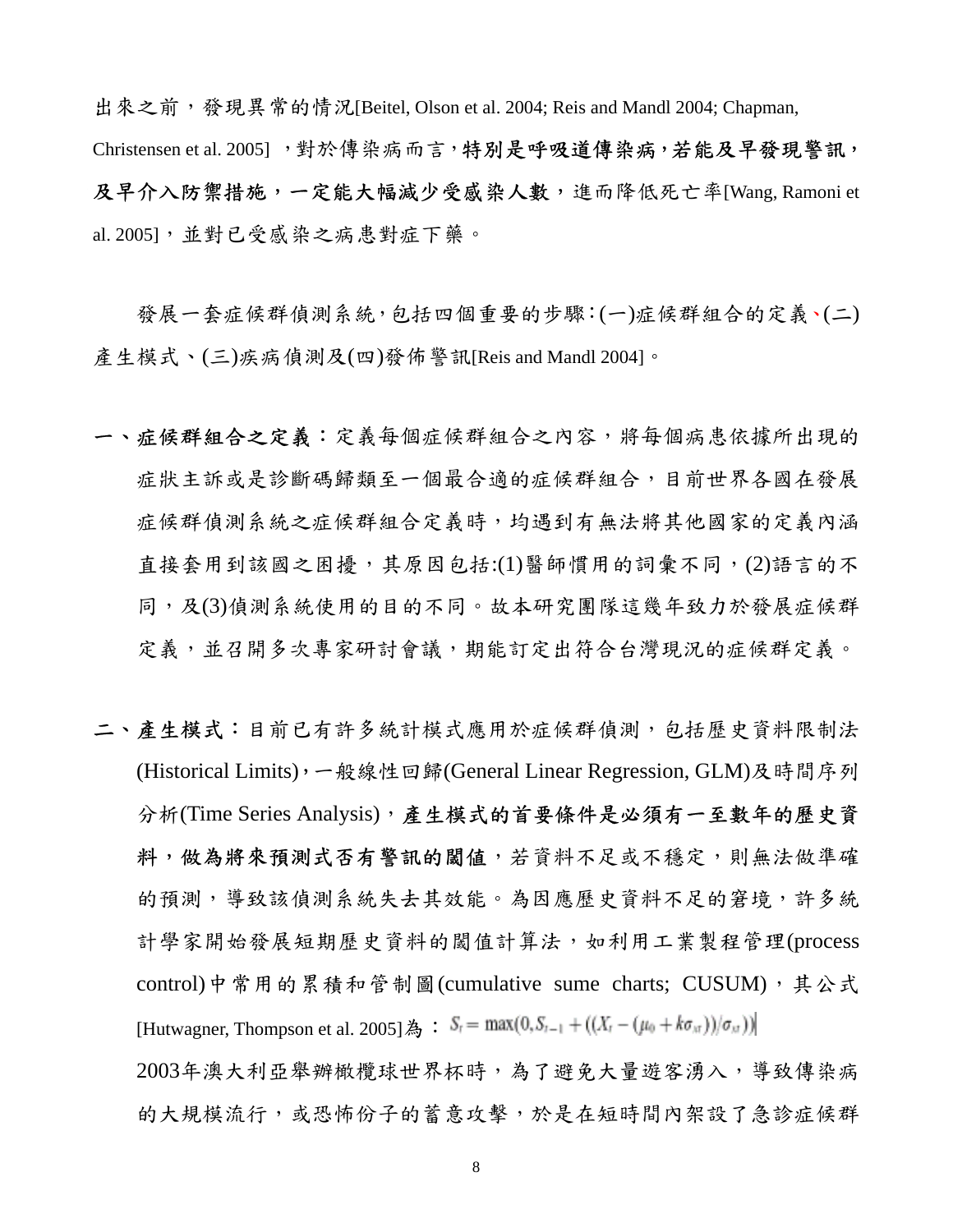出來之前,發現異常的情況[Beitel, Olson et al. 2004; Reis and Mandl 2004; Chapman, Christensen et al. 2005], 對於傳染病而言,特別是呼吸道傳染病,若能及早發現警訊, 及早介入防禦措施,一定能大幅減少受感染人數,進而降低死亡率[Wang, Ramoni et al. 2005],並對已受感染之病患對症下藥。

發展一套症候群偵測系統,包括四個重要的步驟:(一)症候群組合的定義、(二) 產生模式、(三)疾病偵測及(四)發佈警訊[Reis and Mandl 2004]。

- 一、症候群組合之高等等每個症候群組合之內容,將每個病患依據所出現的 症狀主訴或是診斷碼歸類至一個最合適的症候群組合,目前世界各國在發展 症候群偵測系統之症候群組合定義時,均遇到有無法將其他國家的定義內涵 直接套用到該國之困擾,其原因包括:(1)醫師慣用的詞彙不同,(2)語言的不 同,及(3)偵測系統使用的目的不同。故本研究團隊這幾年致力於發展症候群 定義,並召開多次專家研討會議,期能訂定出符合台灣現況的症候群定義。
- 二、產生模式:目前已有許多統計模式應用於症候群偵測,包括歷史資料限制法 (Historical Limits),一般線性回歸(General Linear Regression, GLM)及時間序列 分析(Time Series Analysis),產生模式的首要條件是必須有一至數年的歷史資 料,做為將來預測式否有警訊的閾值,若資料不足或不穩定,則無法做準確 的預測,導致該偵測系統失去其效能。為因應歷史資料不足的窘境,許多統 計學家開始發展短期歷史資料的閾值計算法,如利用工業製程管理(process control)中常用的累積和管制圖(cumulative sume charts; CUSUM), 其公式 [Hutwagner, Thompson et al. 2005] 為 :  $S_i = \max(0, S_{i-1} + ((X_i - (\mu_0 + k\sigma_M))/\sigma_M))$

2003年澳大利亞舉辦橄欖球世界杯時,為了避免大量遊客湧入,導致傳染病 的大規模流行,或恐怖份子的蓄意攻擊,於是在短時間內架設了急診症候群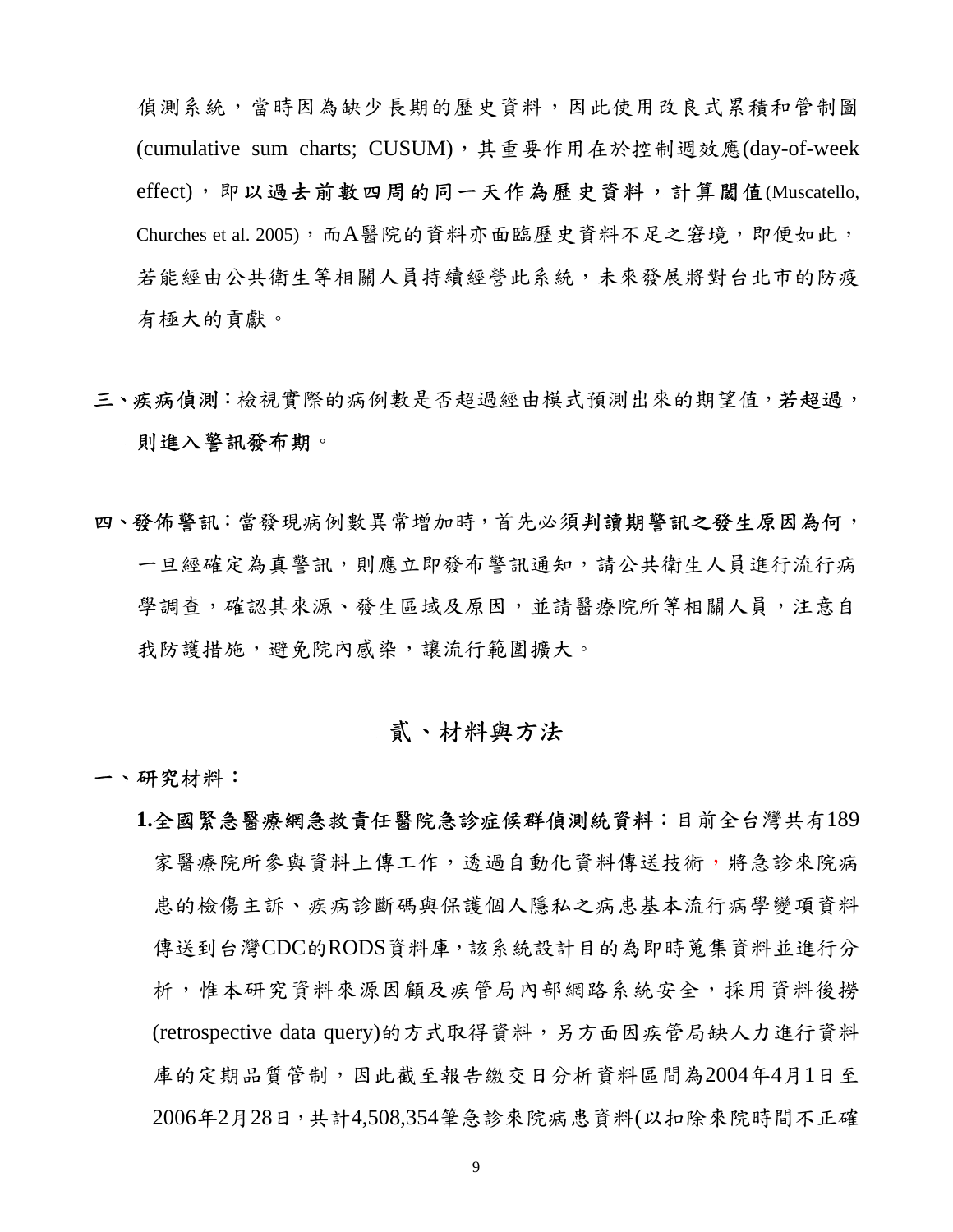偵測系統,當時因為缺少長期的歷史資料,因此使用改良式累積和管制圖 (cumulative sum charts; CUSUM), 其重要作用在於控制週效應(day-of-week effect),即以過去前數四周的同一天作為歷史資料,計算閾值(Muscatello, Churches et al. 2005),而A醫院的資料亦面臨歷史資料不足之窘境,即便如此, 若能經由公共衛生等相關人員持續經營此系統,未來發展將對台北市的防疫 有極大的貢獻。

- 三、疾病偵測:檢視實際的病例數是否超過經由模式預測出來的期望值,若超過, 則進入警訊發布期。
- 四、發佈警訊:當發現病例數異常增加時,首先必須判讀期警訊之發生原因為何, 一旦經確定為真警訊,則應立即發布警訊通知,請公共衛生人員進行流行病 學調查,確認其來源、發生區域及原因,並請醫療院所等相關人員,注意自 我防護措施,避免院內感染,讓流行範圍擴大。

## 貳、材料與方法

- 一、研究材料:
	- **1.**全國緊急醫療網急救責任醫院急診症候群偵測統資料:目前全台灣共有189 家醫療院所參與資料上傳工作,透過自動化資料傳送技術,將急診來院病 患的檢傷主訴、疾病診斷碼與保護個人隱私之病患基本流行病學變項資料 傳送到台灣CDC的RODS資料庫,該系統設計目的為即時蒐集資料並進行分 析,惟本研究資料來源因顧及疾管局內部網路系統安全,採用資料後撈 (retrospective data query)的方式取得資料,另方面因疾管局缺人力進行資料 庫的定期品質管制,因此截至報告繳交日分析資料區間為2004年4月1日至 2006年2月28日,共計4,508,354筆急診來院病患資料(以扣除來院時間不正確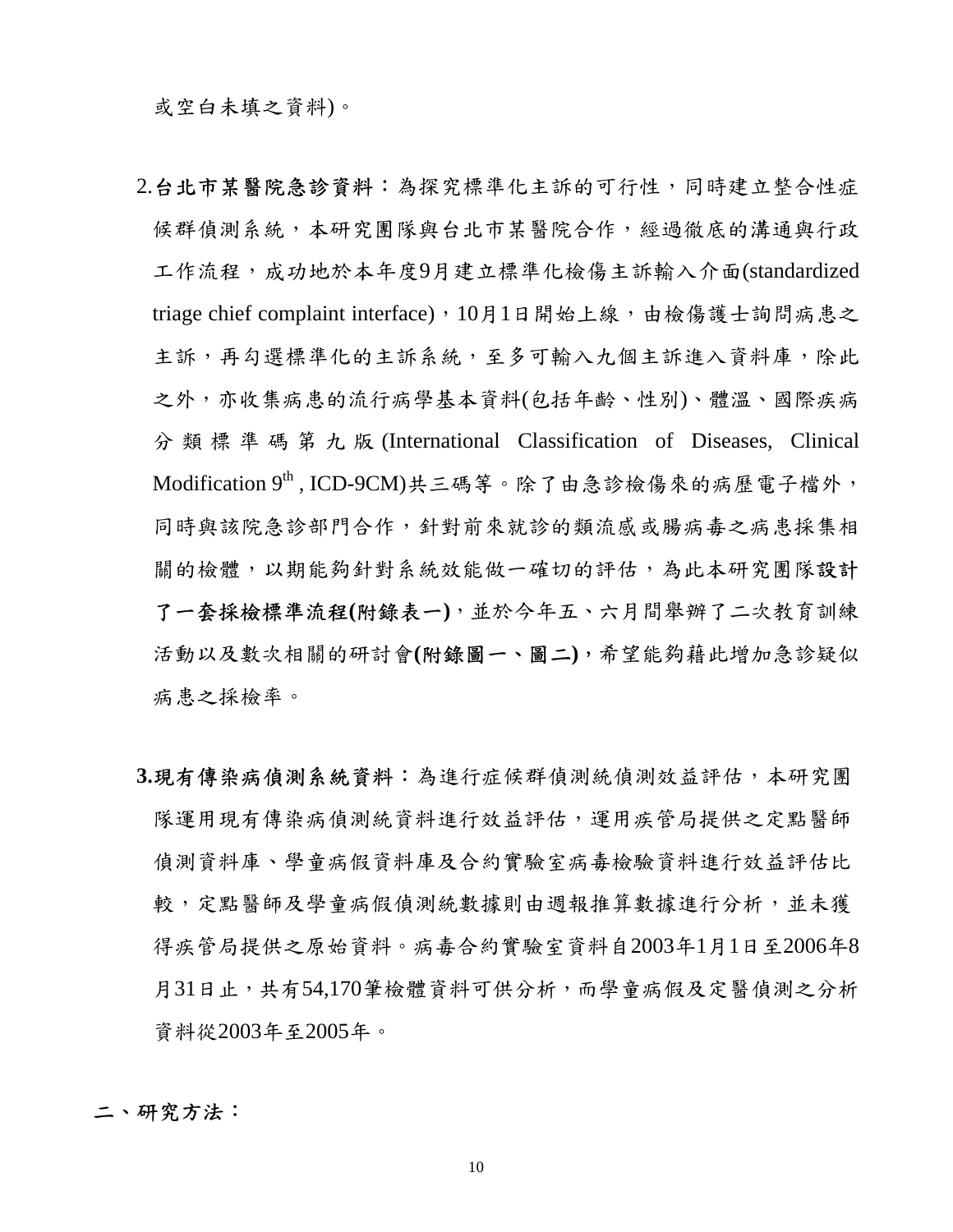或空白未填之資料)。

- 2.台北市某醫院急診資料:為探究標準化主訴的可行性,同時建立整合性症 候群偵測系統,本研究團隊與台北市某醫院合作,經過徹底的溝通與行政 工作流程,成功地於本年度9月建立標準化檢傷主訴輸入介面(standardized triage chief complaint interface), 10月1日開始上線,由檢傷護士詢問病患之 主訴,再勾選標準化的主訴系統,至多可輸入九個主訴進入資料庫,除此 之外,亦收集病患的流行病學基本資料(包括年齡、性別)、體溫、國際疾病 分類標準碼第九版 (International Classification of Diseases, Clinical  $\text{Modification } 9^{\text{th}}$ , ICD-9CM)共三碼等。除了由急診檢傷來的病歷電子檔外, 同時與該院急診部門合作,針對前來就診的類流感或腸病毒之病患採集相 關的檢體,以期能夠針對系統效能做一確切的評估,為此本研究團隊設計 了一套採檢標準流程**(**附錄表一**)**,並於今年五、六月間舉辦了二次教育訓練 活動以及數次相關的研討會**(**附錄圖一、圖二**)**,希望能夠藉此增加急診疑似 病患之採檢率。
- **3.**現有傳染病偵測系統資料:為進行症候群偵測統偵測效益評估,本研究團 隊運用現有傳染病偵測統資料進行效益評估,運用疾管局提供之定點醫師 偵測資料庫、學童病假資料庫及合約實驗室病毒檢驗資料進行效益評估比 較,定點醫師及學童病假偵測統數據則由週報推算數據進行分析,並未獲 得疾管局提供之原始資料。病毒合約實驗室資料自2003年1月1日至2006年8 月31日止,共有54,170筆檢體資料可供分析,而學童病假及定醫偵測之分析 資料從2003年至2005年。

二、研究方法: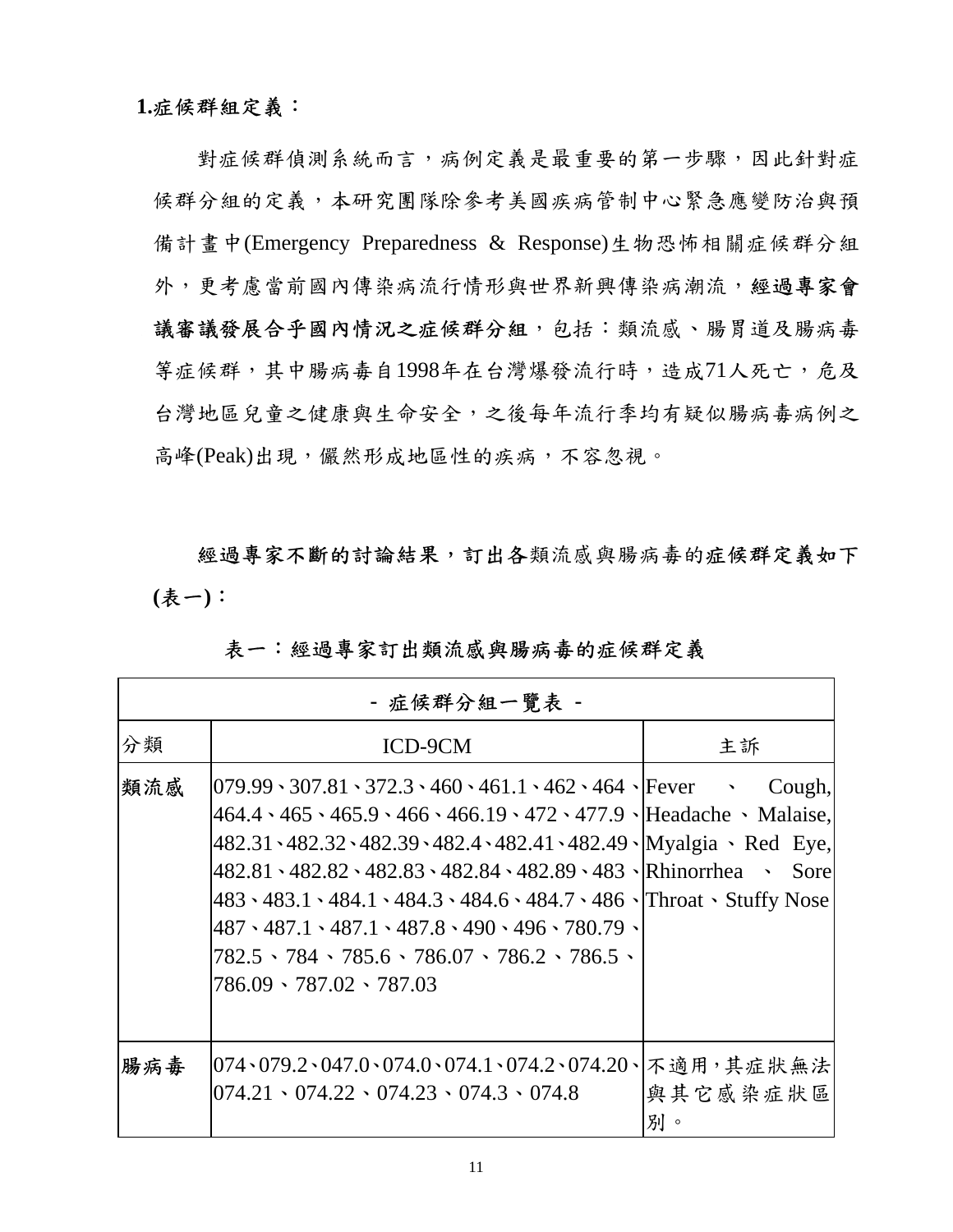## **1.**症候群組定義:

對症候群偵測系統而言,病例定義是最重要的第一步驟,因此針對症 候群分組的定義,本研究團隊除參考美國疾病管制中心緊急應變防治與預 備計畫中(Emergency Preparedness & Response)生物恐怖相關症候群分組 外,更考慮當前國內傳染病流行情形與世界新興傳染病潮流,經過專家會 議審議發展合乎國內情況之症候群分組,包括:類流感、腸胃道及腸病毒 等症候群,其中腸病毒自1998年在台灣爆發流行時,造成71人死亡,危及 台灣地區兒童之健康與生命安全,之後每年流行季均有疑似腸病毒病例之 高峰(Peak)出現,儼然形成地區性的疾病,不容忽視。

經過專家不斷的討論結果,訂出各類流感與腸病毒的症候群定義如下 **(**表一**)**:

|     | - 症候群分組一覽表 -                                                                                                                                                                                                                                                                                                                                                                                                                                                                                                                                                                                                                                   |               |
|-----|------------------------------------------------------------------------------------------------------------------------------------------------------------------------------------------------------------------------------------------------------------------------------------------------------------------------------------------------------------------------------------------------------------------------------------------------------------------------------------------------------------------------------------------------------------------------------------------------------------------------------------------------|---------------|
| 分類  | ICD-9CM                                                                                                                                                                                                                                                                                                                                                                                                                                                                                                                                                                                                                                        | 主訴            |
| 類流感 | $[079.99 \cdot 307.81 \cdot 372.3 \cdot 460 \cdot 461.1 \cdot 462 \cdot 464 \cdot]$ Fever $\sim$ Cough,<br>$464.4 \cdot 465 \cdot 465.9 \cdot 466 \cdot 466.19 \cdot 472 \cdot 477.9$   Headache $\cdot$ Malaise,<br>482.31 \ 482.32 \ 482.39 \ 482.4 \ 482.41 \ 482.49 \ Myalgia \ Red Eye,<br> 482.81 \, 482.82 \, 482.83 \, 482.84 \, 482.89 \, 483 \, Rhinorrhea \, Sore<br>483 \ 483.1 \ 484.1 \ 484.3 \ 484.6 \ 484.7 \ 486 \ Throat \ Stuffy Nose<br>$487 \cdot 487.1 \cdot 487.1 \cdot 487.8 \cdot 490 \cdot 496 \cdot 780.79$<br>$782.5 \cdot 784 \cdot 785.6 \cdot 786.07 \cdot 786.2 \cdot 786.5 \cdot$<br>786.09 \ 787.02 \ 787.03 |               |
| 腸病毒 | 074、079.2、047.0、074.0、074.1、074.2、074.20、 不適用,其症狀無法<br>$1074.21 \cdot 074.22 \cdot 074.23 \cdot 074.3 \cdot 074.8$                                                                                                                                                                                                                                                                                                                                                                                                                                                                                                                             | 與其它感染症狀區<br>別 |

## 表一:經過專家訂出類流感與腸病毒的症候群定義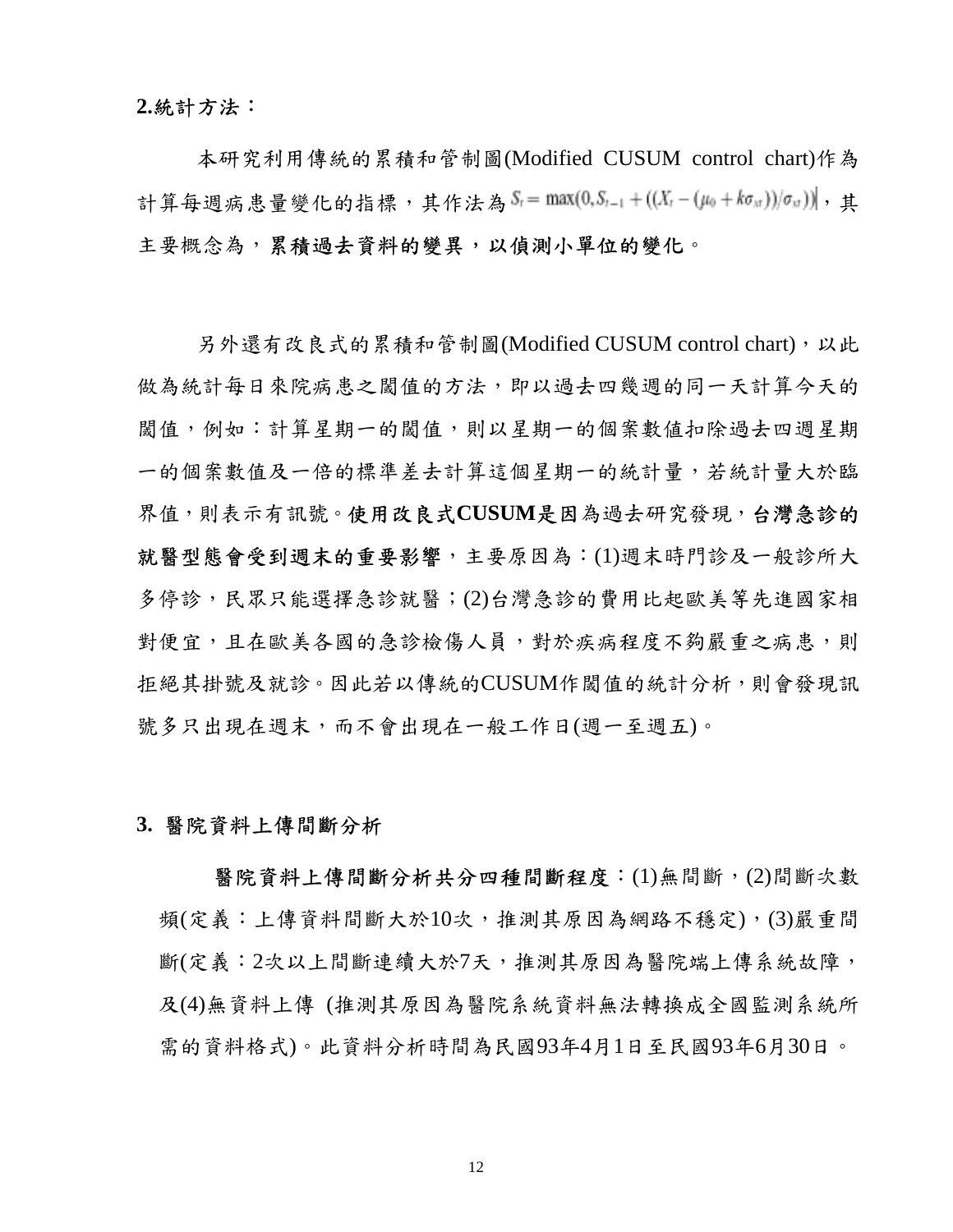#### **2.**統計方法:

本研究利用傳統的累積和管制圖(Modified CUSUM control chart)作為 計算每週病患量變化的指標,其作法為  $S_i = \max(0, S_{i-1} + ((X_i - (\mu_0 + k \sigma_{xi}))/\sigma_{xi}))$ ,其 主要概念為,累積過去資料的變異,以偵測小單位的變化。

另外還有改良式的累積和管制圖(Modified CUSUM control chart),以此 做為統計每日來院病患之關值的方法,即以過去四幾週的同一天計算今天的 閾值,例如:計算星期一的閾值,則以星期一的個案數値扣除過去四週星期 一的個案數值及一倍的標準差去計算這個星期一的統計量,若統計量大於臨 界值,則表示有訊號。使用改良式**CUSUM**是因為過去研究發現,台灣急診的 就醫型態會受到週末的重要影響,主要原因為:(1)週末時門診及一般診所大 多停診,民眾只能選擇急診就醫;(2)台灣急診的費用比起歐美等先進國家相 對便宜,且在歐美各國的急診檢傷人員,對於疾病程度不夠嚴重之病患,則 拒絕其掛號及就診。因此若以傳統的CUSUM作閾值的統計分析,則會發現訊 號多只出現在想下,而不會出現在一般工作日(週一至週五)。

## **3.** 醫院資料上傳間斷分析

醫院資料上傳間斷分析共分四種間斷程度:(1)無間斷,(2)間斷次數 頻(定義:上傳資料間斷大於10次,推測其原因為網路不穩定),(3)嚴重間 斷(定義:2次以上間斷連續大於7天,推測其原因為醫院端上傳系統故障, 及(4)無資料上傳 (推測其原因為醫院系統資料無法轉換成全國監測系統所 需的資料格式)。此資料分析時間為民國93年4月1日至民國93年6月30日。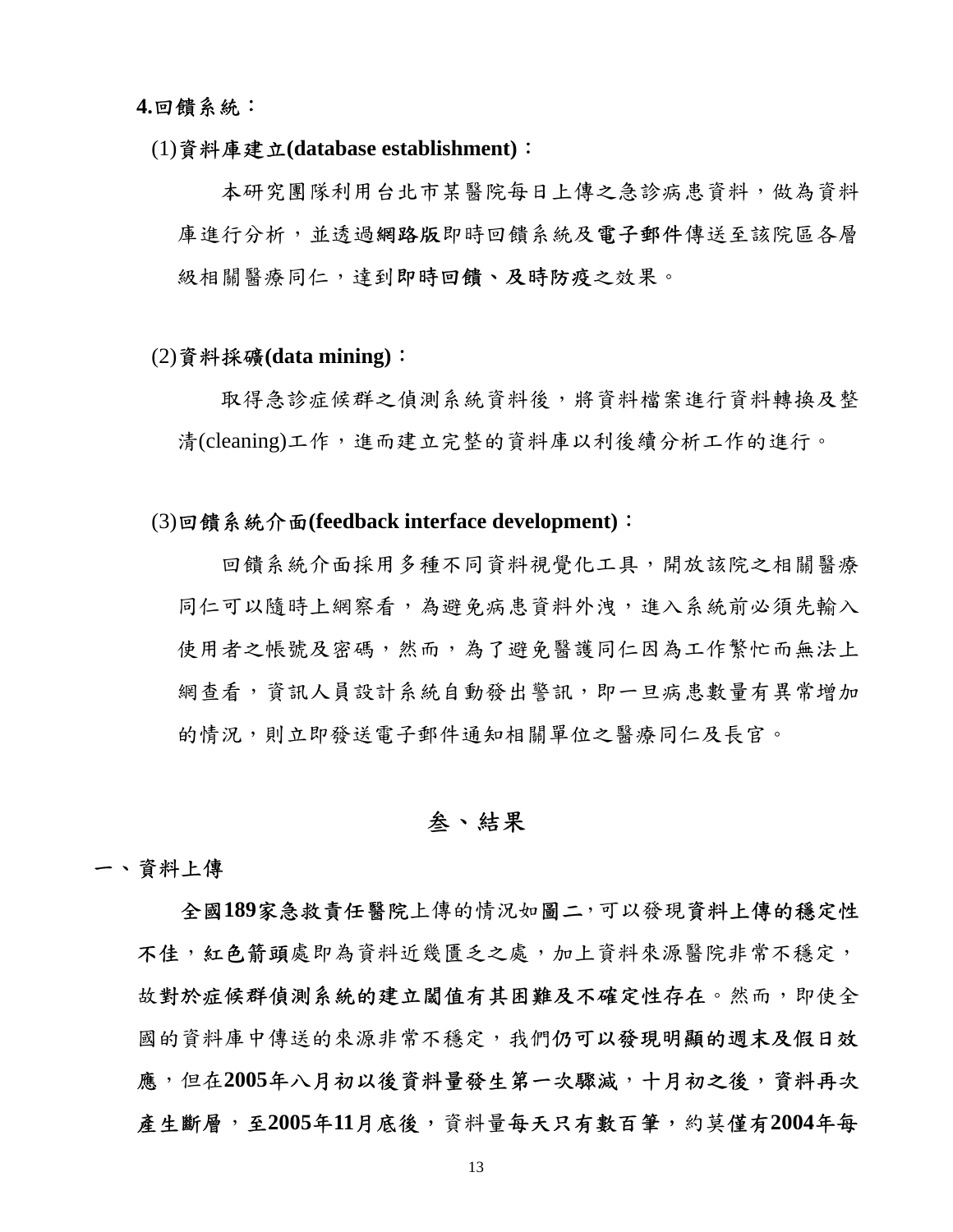**4.**回饋系統:

### (1)資料庫建立**(database establishment)**:

本研究團隊利用台北市某醫院每日上傳之急診病患資料,做為資料 庫進行分析,並透過網路版即時回饋系統及電子郵件傳送至該院區各層 級相關醫療同仁,達到即時回饋、及時防疫之效果。

#### (2)資料採礦**(data mining)**:

取得急診症候群之偵測系統資料後,將資料檔案進行資料轉換及整 清(cleaning)工作,進而建立完整的資料庫以利後續分析工作的進行。

#### (3)回饋系統介面**(feedback interface development)**:

回饋系統介面採用多種不同資料視覺化工具,開放該院之相關醫療 同仁可以隨時上網察看,為避免病患資料外洩,進入系統前必須先輸入 使用者之帳號及密碼,然而,為了避免醫護同仁因為工作繁忙而無法上 網查看,資訊人員設計系統自動發出警訊,即一旦病患數量有異常增加 的情況,則立即發送電子郵件通知相關單位之醫療同仁及長官。

## 叁、結果

#### 一、資料上傳

全國**189**家急救責任醫院上傳的情況如圖二,可以發現資料上傳的穩定性 不佳,紅色箭頭處即為資料近幾匱乏之處,加上資料來源醫院非常不穩定, 故對於症候群偵測系統的建立閾值有其困難及不確定性存在。然而,即使全 國的資料庫中傳送的來源非常不穩定,我們仍可以發現明顯的週末及假日效 應,但在**2005**年八月初以後資料量發生第一次驟減,十月初之後,資料再次 產生斷層,至**2005**年**11**月底後,資料量每天只有數百筆,約莫僅有**2004**年每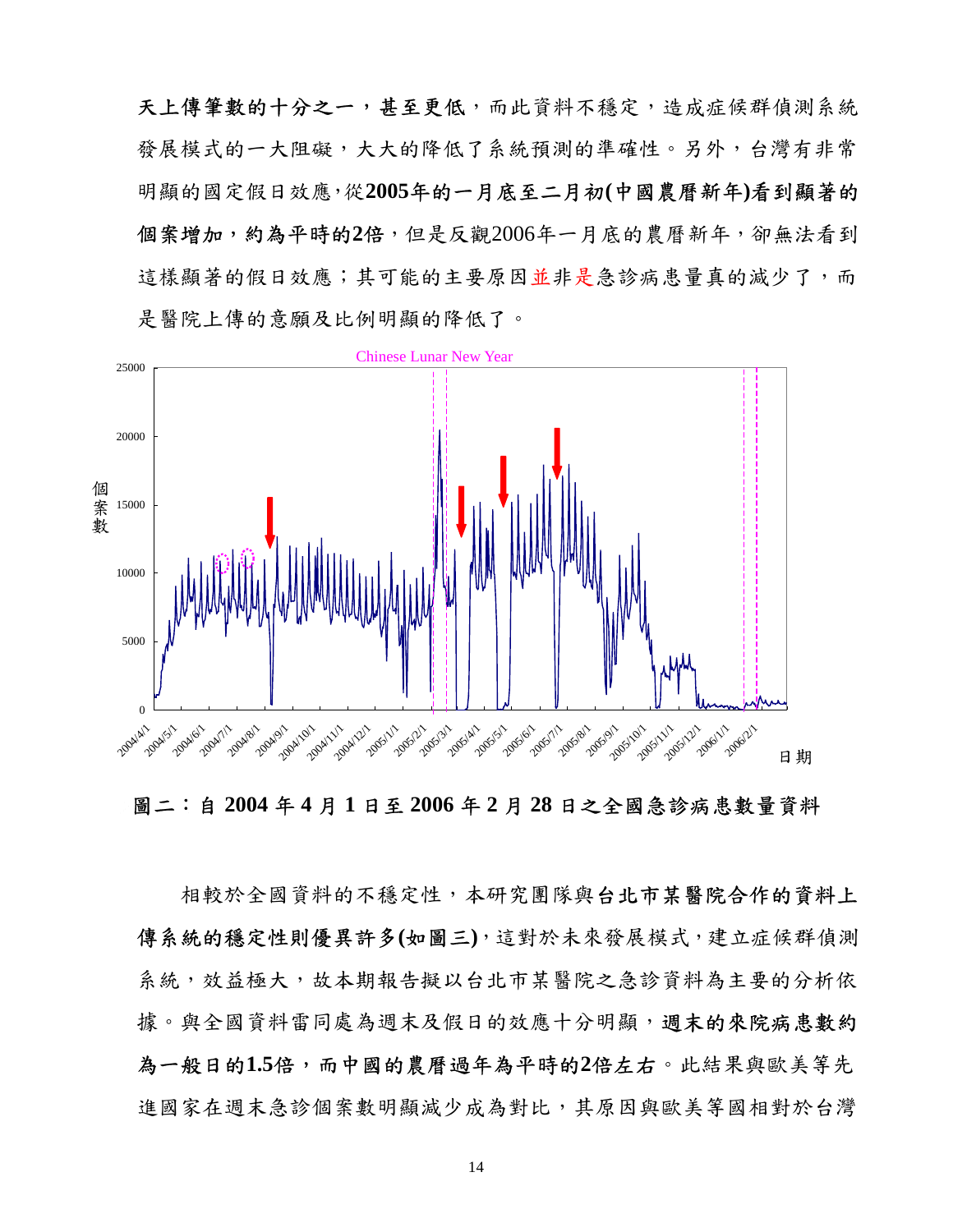天上傳筆數的十分之一,甚至更低,而此資料不穩定,造成症候群偵測系統 發展模式的一大阻礙,大大的降低了系統預測的準確性。另外,台灣有非常 明顯的國定假日效應,從**2005**年的一月底至二月初**(**中國農曆新年**)**看到顯著的 個案增加,約為平時的**2**倍,但是反觀2006年一月底的農曆新年,卻無法看到 這樣顯著的假日效應;其可能的主要原因並非是急診病患量真的減少了,而 是醫院上傳的意願及比例明顯的降低了。



圖二:自 **2004** 年 **4** 月 **1** 日至 **2006** 年 **2** 月 **28** 日之全國急診病患數量資料

相較於全國資料的不穩定性,本研究團隊與台北市某醫院合作的資料上 傳系統的穩定性則優異許多**(**如圖三**)**,這對於未來發展模式,建立症候群偵測 系統,效益極大,故本期報告擬以台北市某醫院之急診資料為主要的分析依 據。與全國資料雷同處為週末及假日的效應十分明顯,**週末的來院病患數約** 為一般日的**1.5**倍,而中國的農曆過年為平時的**2**倍左右。此結果與歐美等先 進國家在週末急診個案數明顯減少成為對比,其原因與歐美等國相對於台灣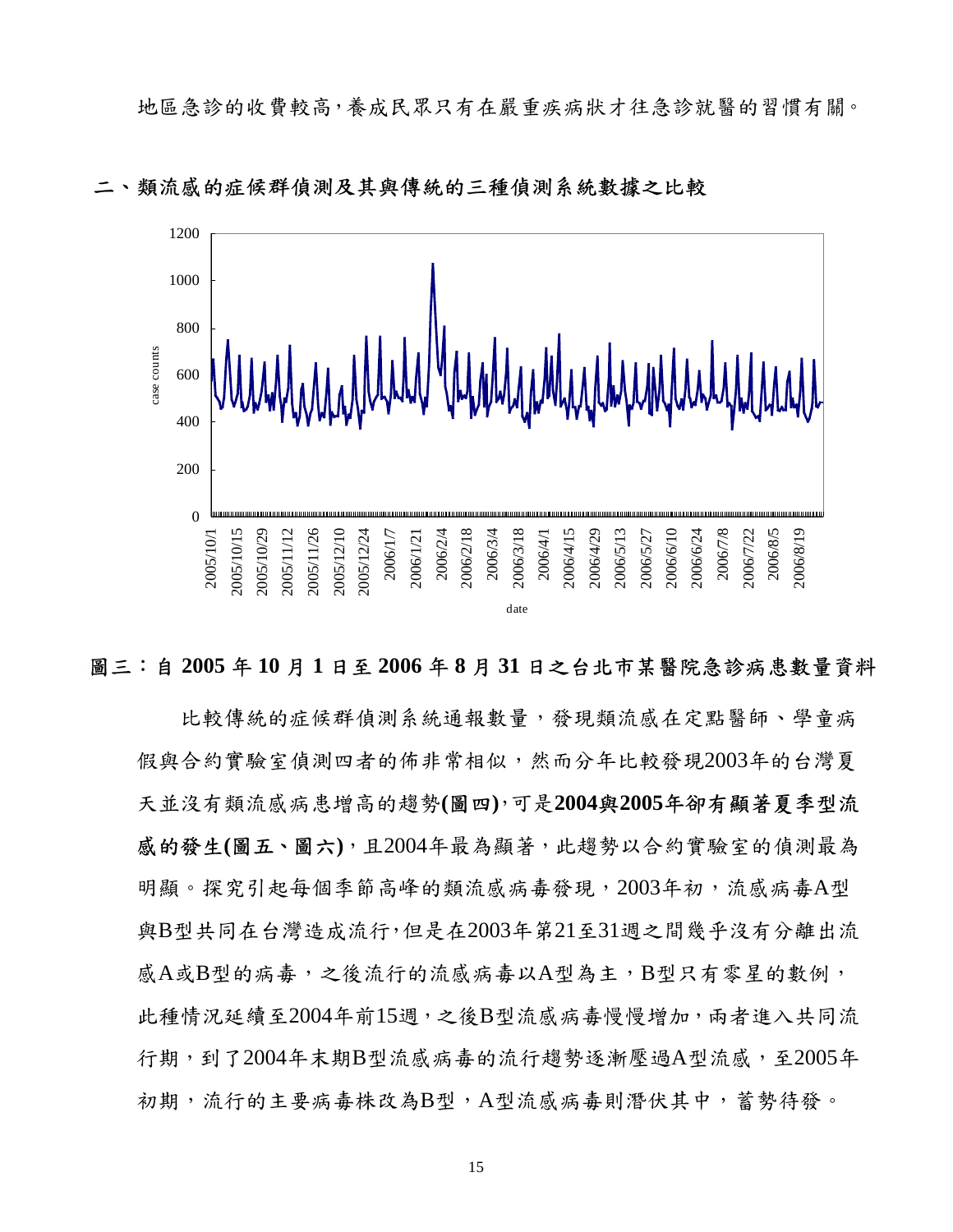

類流感的症候群偵測及其與傳統的三種偵測系統數據之比較

## 圖三:自 **2005** 年 **10** 月 **1** 日至 **2006** 年 **8** 月 **31** 日之台北市某醫院急診病患數量資料

比較傳統的症候群偵測系統通報數量,發現類流感在定點醫師、學童病 假與合約實驗室偵測四者的佈非常相似,然而分年比較發現2003年的台灣夏 天並沒有類流感病患增高的趨勢**(**圖四**)**,可是**2004**與**2005**年卻有顯著夏季型流 感的發生**(**圖五、圖六**)**,且2004年最為顯著,此趨勢以合約實驗室的偵測最為 明顯。探究引起每個季節高峰的類流感病毒發現,2003年初,流感病毒A型 與B型共同在台灣造成流行,但是在2003年第21至31週之間幾乎沒有分離出流 感A或B型的病毒,之後流行的流感病毒以A型為主,B型只有零星的數例, 此種情況延續至2004年前15週,之後B型流感病毒慢慢增加,兩者進入共同流 行期,到了2004年末期B型流感病毒的流行趨勢逐漸壓過A型流感,至2005年 初期,流行的主要病毒株改為B型,A型流感病毒則潛伏其中,蓄勢待發。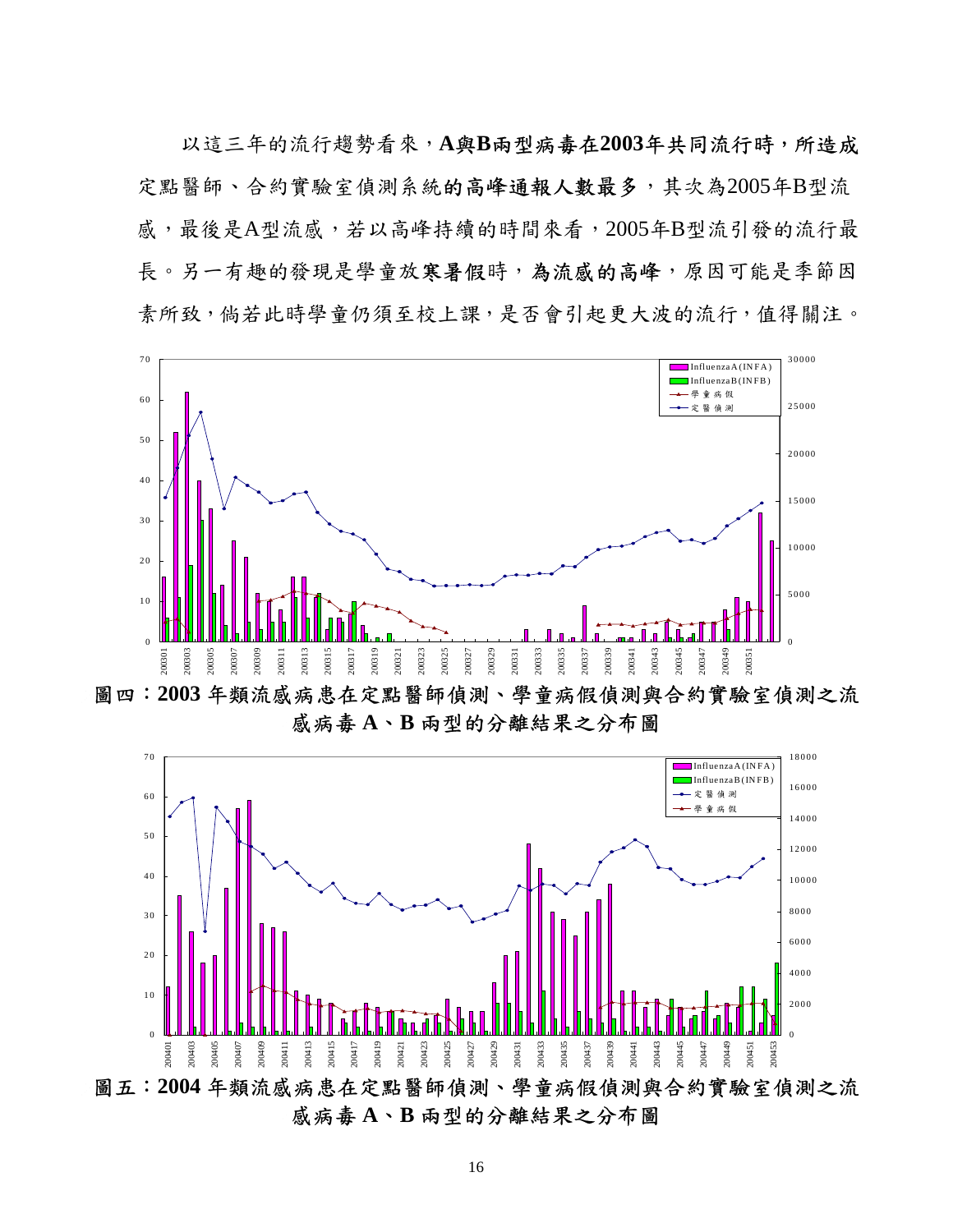以這三年的流行趨勢看來,**A**與**B**兩型病毒在**2003**年共同流行時,所造成 定點醫師、合約實驗室偵測系統的高峰通報人數最多,其次為2005年B型流 感,最後是A型流感,若以高峰持續的時間來看,2005年B型流引發的流行最 長。另一有趣的發現是學童放寒暑假時,為流感的高峰,原因可能是季節因 素所致,倘若此時學童仍須至校上課,是否會引起更大波的流行,值得關注。



圖四:**2003** 年類流感病患在定點醫師偵測、學童病假偵測與合約實驗室偵測之流 感病毒 **A**、**B** 兩型的分離結果之分布圖



感病毒 **A**、**B** 兩型的分離結果之分布圖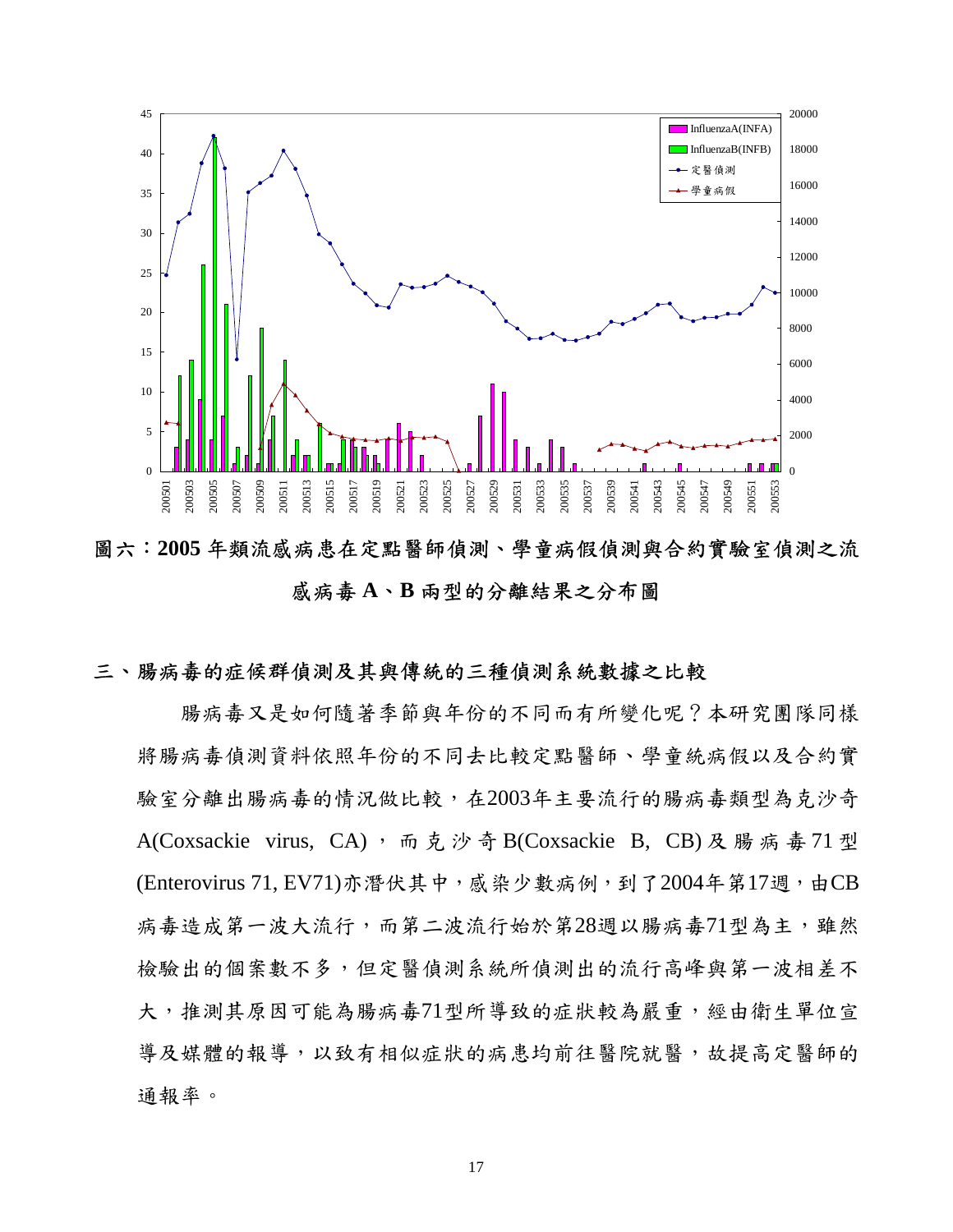

圖六:**2005** 年類流感病患在定點醫師偵測、學童病假偵測與合約實驗室偵測之流 感病毒 **A**、**B** 兩型的分離結果之分布圖

## 三、腸病毒的症候群偵測及其與傳統的三種偵測系統數據之比較

腸病毒又是如何隨著季節與年份的不同而有所變化呢?本研究團隊同樣 將腸病毒偵測資料依照年份的不同去比較定點醫師、學童統病假以及合約實 驗室分離出腸病毒的情況做比較,在2003年主要流行的腸病毒類型為克沙奇 A(Coxsackie virus, CA), 而克沙奇 B(Coxsackie B, CB)及腸病毒 71 型 (Enterovirus 71, EV71)亦潛伏其中, 感染少數病例, 到了2004年第17週, 由CB 病毒造成第一波大流行,而第二波流行始於第28週以腸病毒71型為主,雖然 檢驗出的個案數不多,但定醫偵測系統所偵測出的流行高峰與第一波相差不 大,推測其原因可能為腸病毒71型所導致的症狀較為嚴重,經由衛生單位宣 導及媒體的報導,以致有相似症狀的病患均前往醫院就醫,故提高定醫師的 通報率。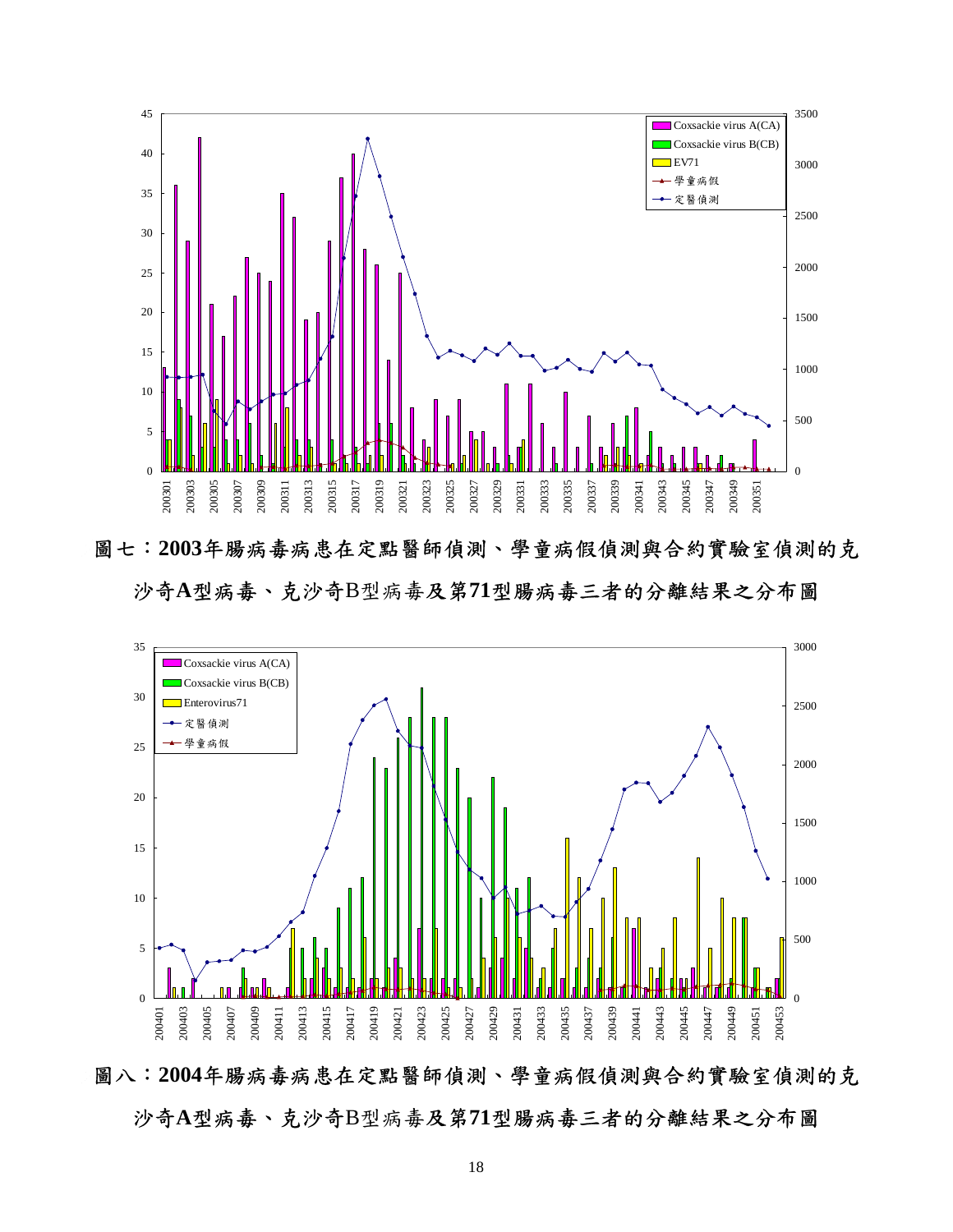

圖七:**2003**年腸病毒病患在定點醫師偵測、學童病假偵測與合約實驗室偵測的克 沙奇**A**型病毒、克沙奇B型病毒及第**71**型腸病毒三者的分離結果之分布圖



圖八:**2004**年腸病毒病患在定點醫師偵測、學童病假偵測與合約實驗室偵測的克 沙奇**A**型病毒、克沙奇B型病毒及第**71**型腸病毒三者的分離結果之分布圖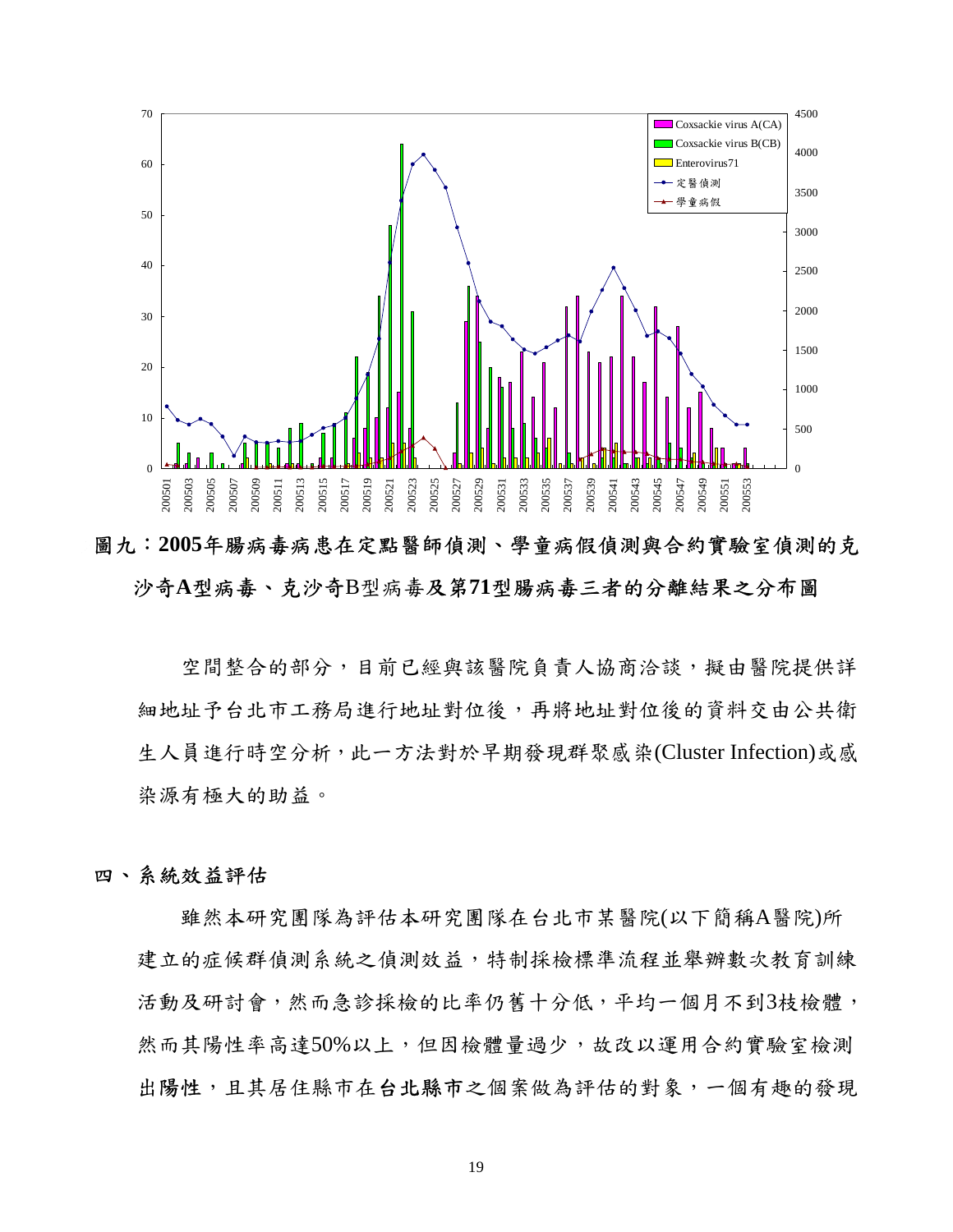

圖九:**2005**年腸病毒病患在定點醫師偵測、學童病假偵測與合約實驗室偵測的克 沙奇**A**型病毒、克沙奇B型病毒及第**71**型腸病毒三者的分離結果之分布圖

空間整合的部分,目前已經與該醫院負責人協商洽談,擬由醫院提供詳 細地址予台北市工務局進行地址對位後,再將地址對位後的資料交由公共衛 生人員進行時空分析,此一方法對於早期發現群聚感染(Cluster Infection)或感 染源有極大的助益。

## 四、系統效益評估

雖然本研究團隊為評估本研究團隊在台北市某醫院(以下簡稱A醫院)所 建立的症候群偵測系統之偵測效益,特制採檢標準流程並舉辦數次教育訓練 活動及研討會,然而急診採檢的比率仍舊十分低,平均一個月不到3枝檢體, 然而其陽性率高達50%以上,但因檢體量過少,故改以運用合約實驗室檢測 出陽性,且其居住縣市在台北縣市之個案做為評估的對象,一個有趣的發現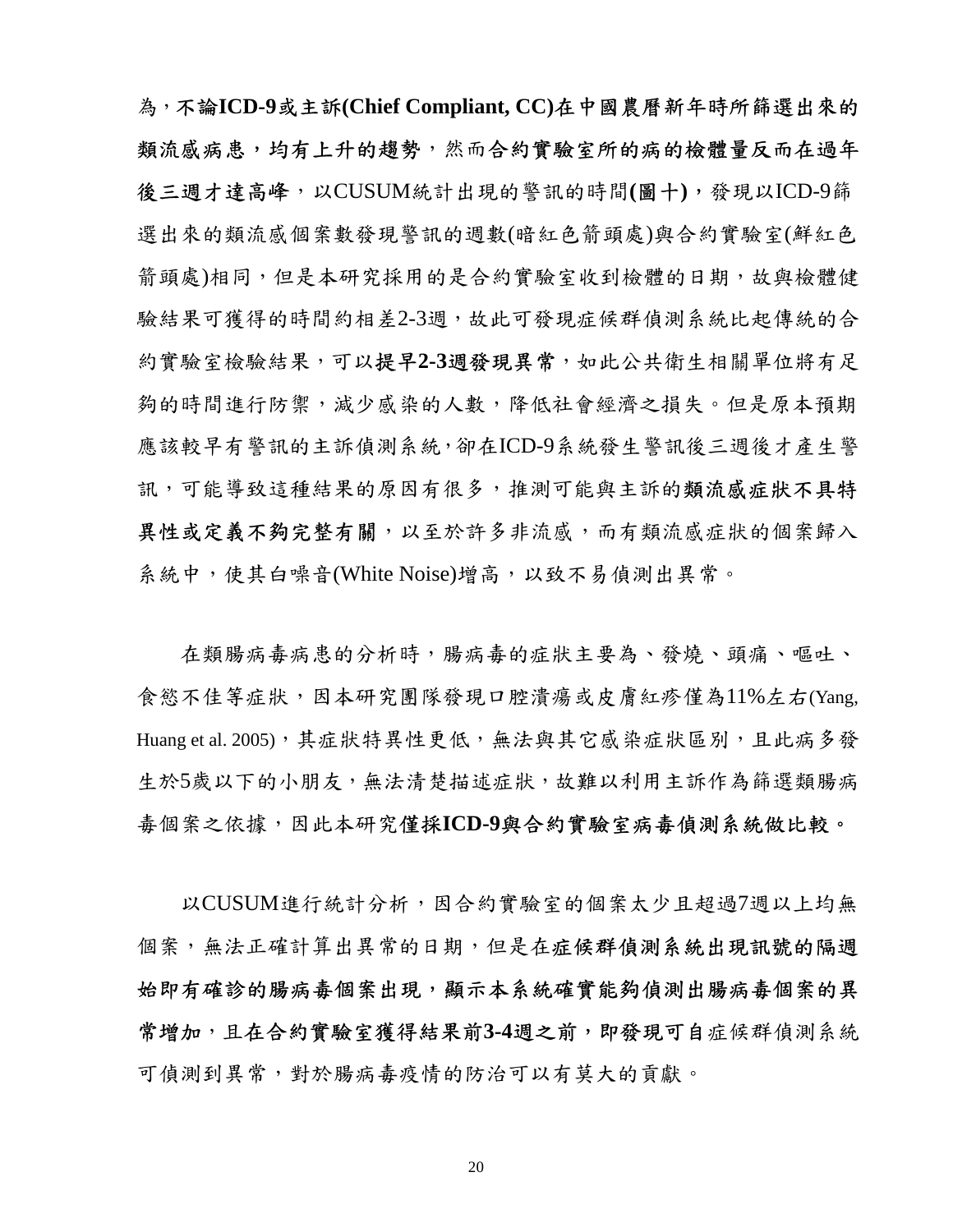為,不論**ICD-9**或主訴**(Chief Compliant, CC)**在中國農曆新年時所篩選出來的 類流感病患,均有上升的趨勢,然而合約實驗室所的病的檢體量反而在過年 後三週才達高峰,以CUSUM統計出現的警訊的時間**(**圖十**)**,發現以ICD-9篩 選出來的類流感個案數發現警訊的週數(暗紅色箭頭處)與合約實驗室(鮮紅色 箭頭處)相同,但是本研究採用的是合約實驗室收到檢體的日期,故與檢體健 驗結果可獲得的時間約相差2-3週,故此可發現症候群偵測系統比起傳統的合 約實驗室檢驗結果,可以提早**2-3**週發現異常,如此公共衛生相關單位將有足 夠的時間進行防禦,減少感染的人數,降低社會經濟之損失。但是原本預期 應該較早有警訊的主訴偵測系統,卻在ICD-9系統發生警訊後三週後才產生警 訊,可能導致這種結果的原因有很多,推測可能與主訴的類流感症狀不具特 異性或定義不夠完整有關,以至於許多非流感,而有類流感症狀的個案歸入 系統中,使其白噪音(White Noise)增高,以致不易偵測出異常。

在類腸病毒病患的分析時,腸病毒的症狀主要為、發燒、頭痛、嘔吐、 食慾不佳等症狀,因本研究團隊發現口腔潰瘍或皮膚紅疹僅為11%左右(Yang, Huang et al. 2005), 其症狀特異性更低, 無法與其它感染症狀區別, 且此病多發 生於5歲以下的小朋友,無法清楚描述症狀,故難以利用主訴作為篩選類腸病 毒個案之依據,因此本研究僅採**ICD-9**與合約實驗室病毒偵測系統做比較。

以CUSUM進行統計分析,因合約實驗室的個案太少且超過7週以上均無 個案,無法正確計算出異常的日期,但是在症候群偵測系統出現訊號的隔週 始即有確診的腸病毒個案出現,顯示本系統確實能夠偵測出腸病毒個案的異 常增加,且在合約實驗室獲得結果前3-4週之前,即發現可自症候群偵測系統 可偵測到異常,對於腸病毒疫情的防治可以有莫大的貢獻。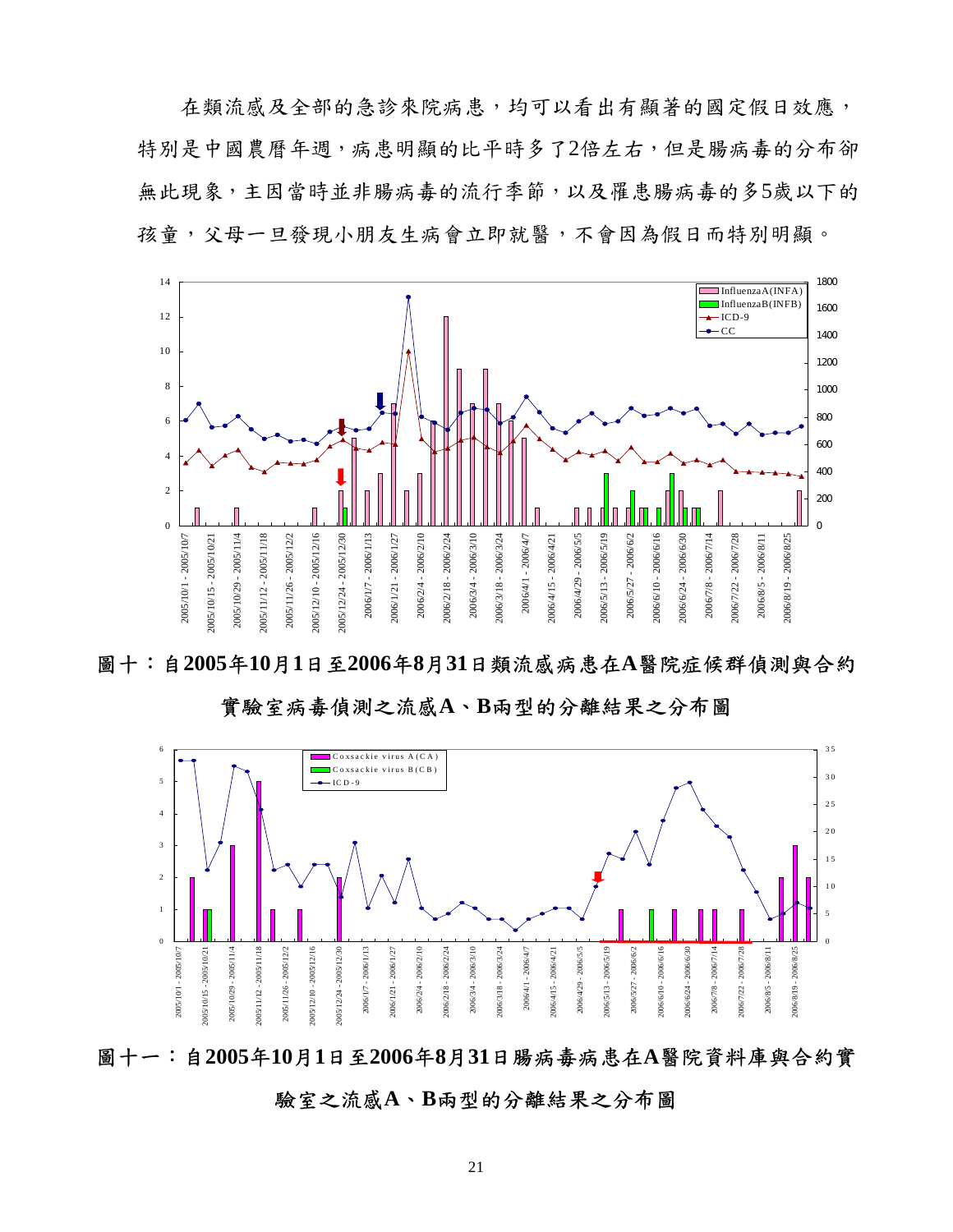在類流感及全部的急診來院病患,均可以看出有顯著的國定假日效應, 特別是中國農曆年週,病患明顯的比平時多了2倍左右,但是腸病毒的分布卻 無此現象,主因當時並非腸病毒的流行季節,以及罹患腸病毒的多5歲以下的 孩童,父母一旦發現小朋友生病會立即就醫,不會因為假日而特別明顯。



圖十:自**2005**年**10**月**1**日至**2006**年**8**月**31**日類流感病患在**A**醫院症候群偵測與合約

實驗室病毒偵測之流感**A**、**B**兩型的分離結果之分布圖



圖十一:自**2005**年**10**月**1**日至**2006**年**8**月**31**日腸病毒病患在**A**醫院資料庫與合約實

驗室之流感**A**、**B**兩型的分離結果之分布圖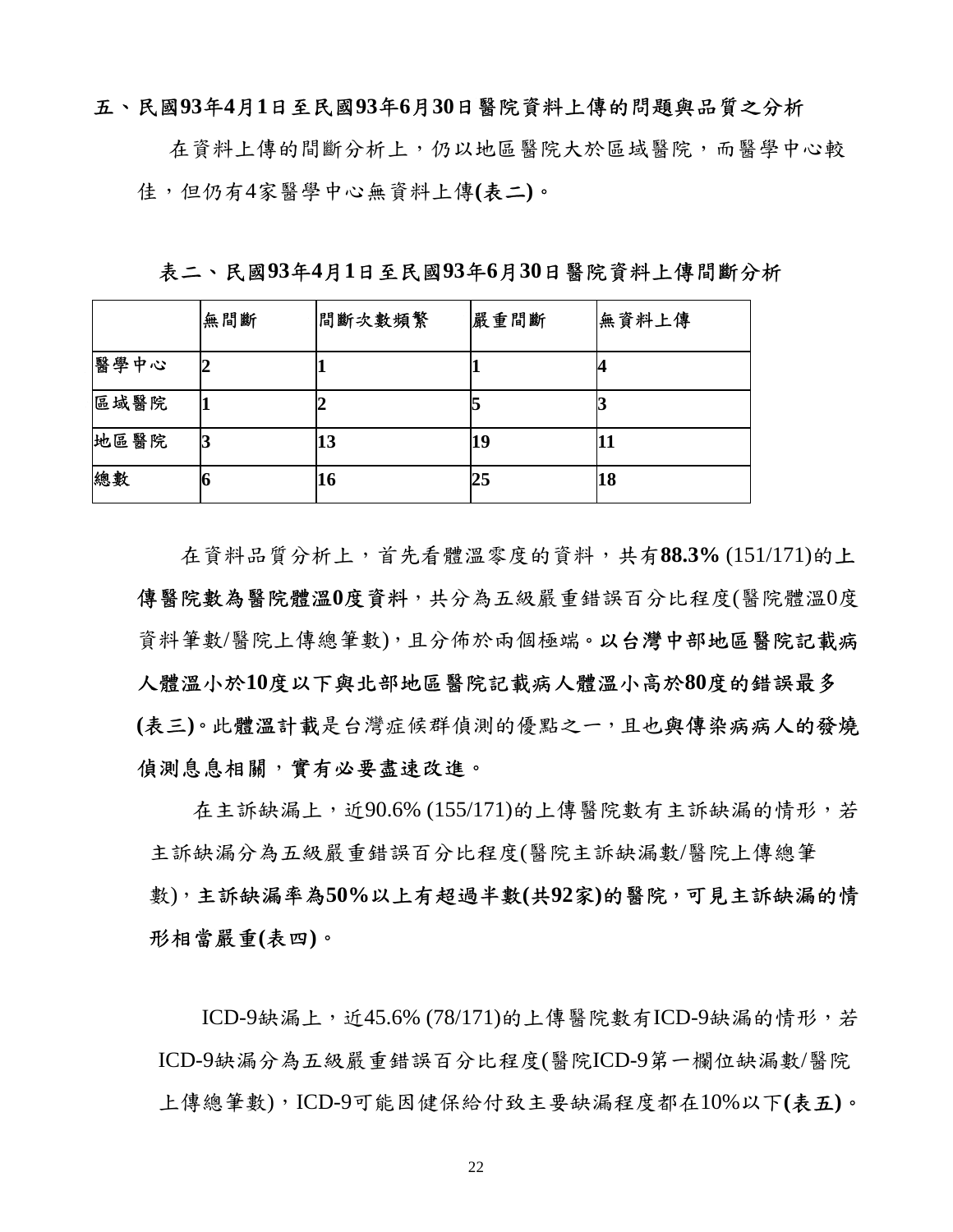## 五、民國**93**年**4**月**1**日至民國**93**年**6**月**30**日醫院資料上傳的問題與品質之分析

在資料上傳的間斷分析上,仍以地區醫院大於區域醫院,而醫學中心較 佳,但仍有4家醫學中心無資料上傳**(**表二**)**。

表二、民國**93**年**4**月**1**日至民國**93**年**6**月**30**日醫院資料上傳間斷分析

|      | 無間斷 | 間斷次數頻繁 | 嚴重間斷 | 無資料上傳 |
|------|-----|--------|------|-------|
| 醫學中心 |     |        |      |       |
| 區域醫院 |     |        |      |       |
| 地區醫院 |     | 13     | 19   | 11    |
| 總數   |     | 16     | 25   | 18    |

在資料品質分析上,首先看體溫零度的資料,共有**88.3%** (151/171)的上 傳醫院數為醫院體溫**0**度資料,共分為五級嚴重錯誤百分比程度(醫院體溫0度 資料筆數/醫院上傳總筆數),且分佈於兩個極端。以台灣中部地區醫院記載病 人體溫小於**10**度以下與北部地區醫院記載病人體溫小高於**80**度的錯誤最多 **(**表三**)**。此體溫計載是台灣症候群偵測的優點之一,且也與傳染病病人的發燒 偵測息息相關,實有必要盡速改進。

在主訴缺漏上,近90.6% (155/171)的上傳醫院數有主訴缺漏的情形,若 主訴缺漏分為五級嚴重錯誤百分比程度(醫院主訴缺漏數/醫院上傳總筆 數),主訴缺漏率為**50%**以上有超過半數**(**共**92**家**)**的醫院,可見主訴缺漏的情 形相當嚴重**(**表四**)**。

ICD-9缺漏上, 近45.6% (78/171)的上傳醫院數有ICD-9缺漏的情形, 若 ICD-9缺漏分為五級嚴重錯誤百分比程度(醫院ICD-9第一欄位缺漏數/醫院 上傳總筆數),ICD-9可能因健保給付致主要缺漏程度都在10%以下**(**表五**)**。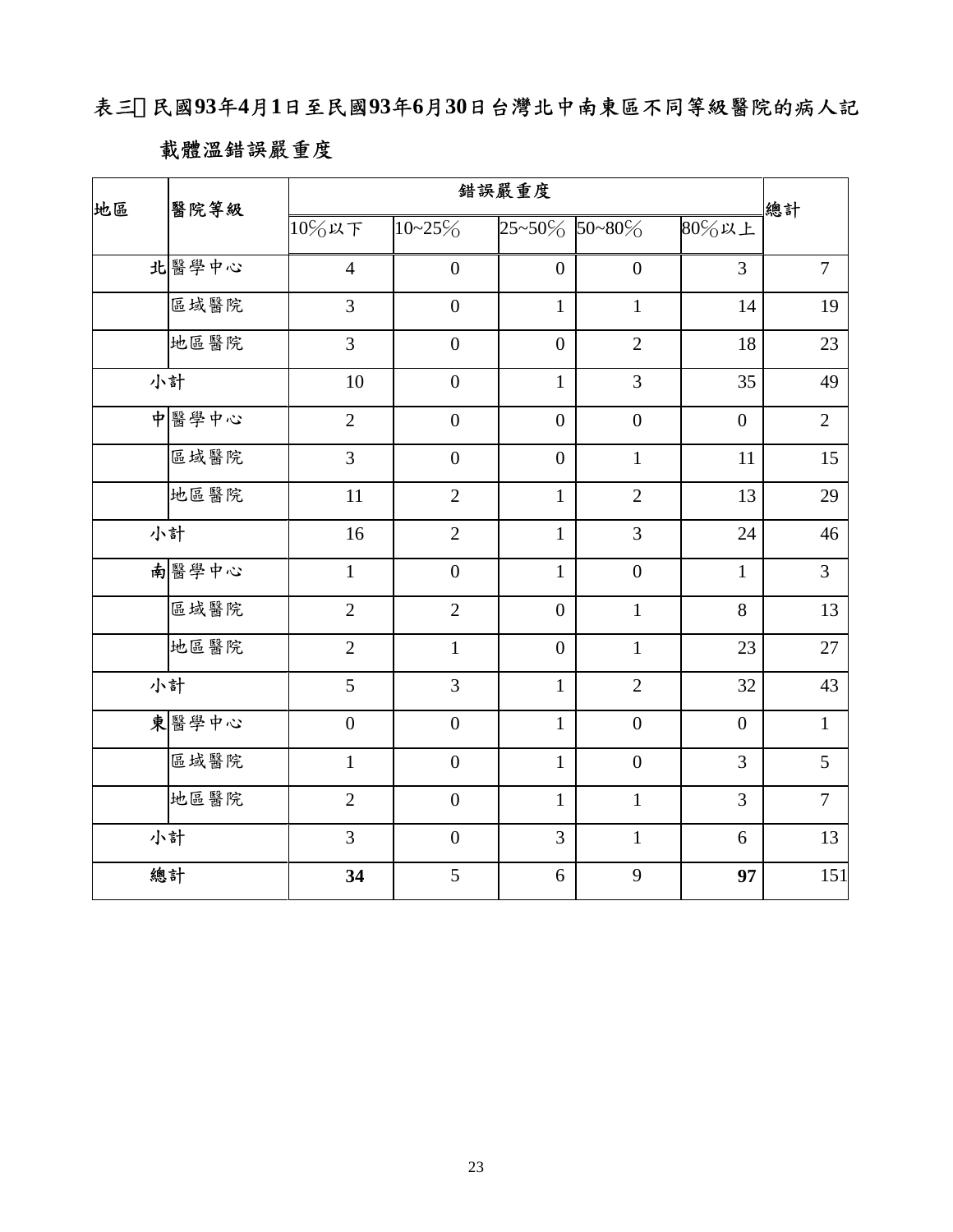表三、民國**93**年**4**月**1**日至民國**93**年**6**月**30**日台灣北中南東區不同等級醫院的病人記

# 載體溫錯誤嚴重度

| 地區<br>醫院等級 |       |                | 總計               |                      |                  |                |                |
|------------|-------|----------------|------------------|----------------------|------------------|----------------|----------------|
|            |       | 10%以下          | $10 - 25\%$      | $25 - 50\%$ 50 ~ 80% |                  | 80%以上          |                |
|            | 北醫學中心 | $\overline{4}$ | $\boldsymbol{0}$ | $\boldsymbol{0}$     | $\boldsymbol{0}$ | $\overline{3}$ | $\overline{7}$ |
|            | 區域醫院  | $\overline{3}$ | $\boldsymbol{0}$ | $\mathbf 1$          | $\mathbf{1}$     | 14             | 19             |
|            | 地區醫院  | $\overline{3}$ | $\boldsymbol{0}$ | $\boldsymbol{0}$     | $\overline{2}$   | 18             | 23             |
|            | 小計    | 10             | $\boldsymbol{0}$ | $\mathbf{1}$         | 3                | 35             | 49             |
|            | 中醫學中心 | $\overline{2}$ | $\overline{0}$   | $\overline{0}$       | $\overline{0}$   | $\overline{0}$ | $\overline{2}$ |
|            | 區域醫院  | $\overline{3}$ | $\boldsymbol{0}$ | $\boldsymbol{0}$     | $\mathbf{1}$     | 11             | 15             |
|            | 地區醫院  | $11\,$         | $\overline{2}$   | $\mathbf{1}$         | $\overline{2}$   | 13             | 29             |
|            | 小計    | 16             | $\overline{2}$   | $\mathbf{1}$         | $\overline{3}$   | 24             | 46             |
|            | 南醫學中心 | $\mathbf{1}$   | $\overline{0}$   | $\mathbf{1}$         | $\overline{0}$   | $\mathbf{1}$   | $\overline{3}$ |
|            | 區域醫院  | $\overline{2}$ | $\overline{2}$   | $\boldsymbol{0}$     | $\mathbf{1}$     | 8              | 13             |
|            | 地區醫院  | $\overline{2}$ | $\mathbf{1}$     | $\boldsymbol{0}$     | $\mathbf{1}$     | 23             | 27             |
|            | 小計    | 5              | $\overline{3}$   | $\mathbf{1}$         | $\overline{2}$   | 32             | 43             |
|            | 東醫學中心 | $\overline{0}$ | $\mathbf{0}$     | $\mathbf{1}$         | $\overline{0}$   | $\overline{0}$ | $\mathbf{1}$   |
|            | 區域醫院  | $\mathbf{1}$   | $\overline{0}$   | $\mathbf{1}$         | $\overline{0}$   | 3              | 5              |
|            | 地區醫院  | $\overline{2}$ | $\overline{0}$   | $\mathbf{1}$         | $\mathbf{1}$     | 3              | $\overline{7}$ |
|            | 小計    | 3              | $\boldsymbol{0}$ | 3                    | $\mathbf{1}$     | 6              | 13             |
|            | 總計    | 34             | 5                | 6                    | 9                | 97             | 151            |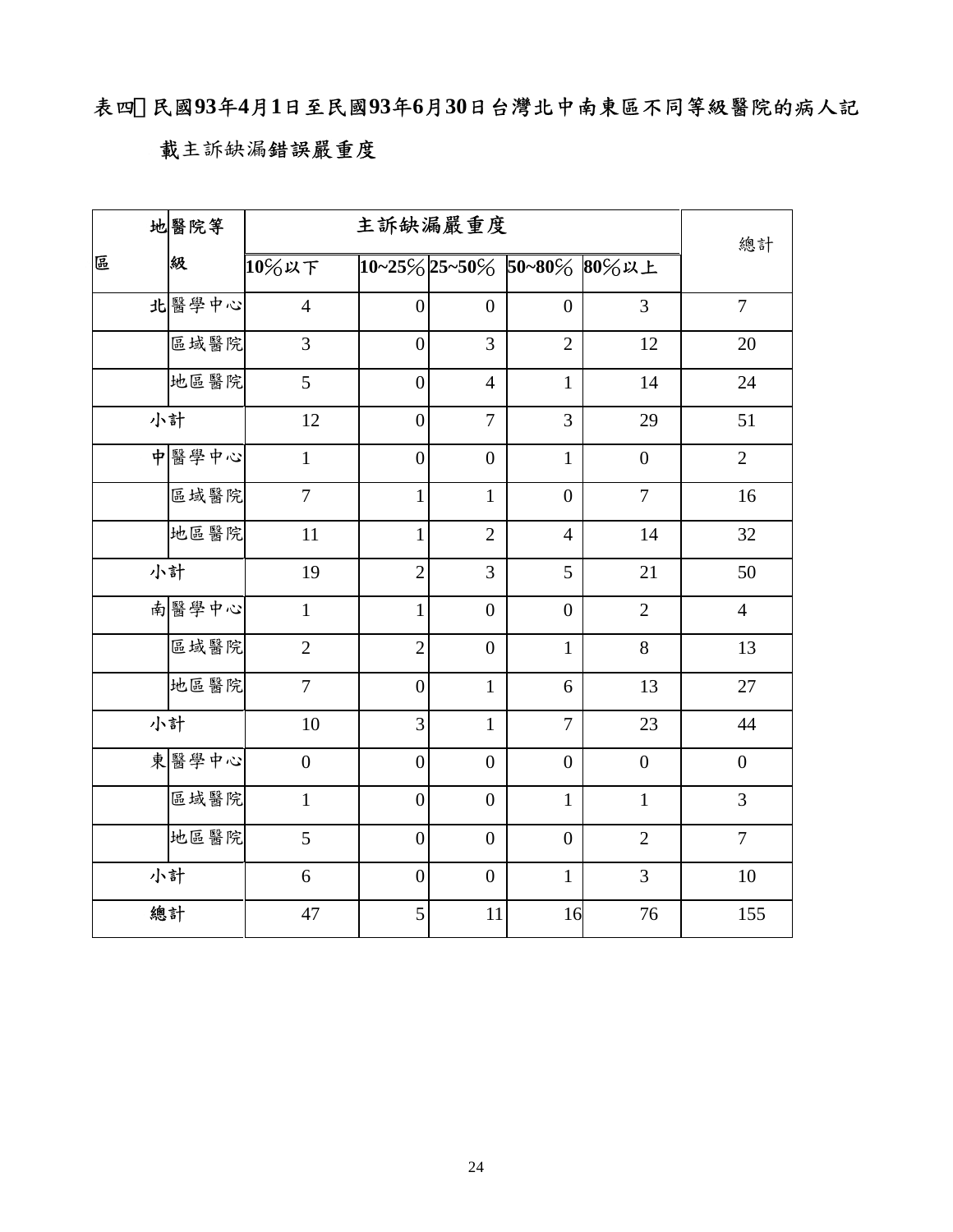# 表四、民國**93**年**4**月**1**日至民國**93**年**6**月**30**日台灣北中南東區不同等級醫院的病人記

## 載主訴缺漏錯誤嚴重度

|   | 地醫院等  | 主訴缺漏嚴重度          |                  |                  |                |                           | 總計               |
|---|-------|------------------|------------------|------------------|----------------|---------------------------|------------------|
| 區 | 級     | 10%以下            |                  |                  |                | 10~25%25~50% 50~80% 80%以上 |                  |
|   | 北醫學中心 | $\overline{4}$   | $\overline{0}$   | $\overline{0}$   | $\overline{0}$ | $\overline{3}$            | $\overline{7}$   |
|   | 區域醫院  | $\overline{3}$   | $\boldsymbol{0}$ | 3                | $\overline{2}$ | $12\,$                    | 20               |
|   | 地區醫院  | 5                | $\boldsymbol{0}$ | $\overline{4}$   | $\mathbf{1}$   | 14                        | 24               |
|   | 小計    | 12               | $\boldsymbol{0}$ | $\overline{7}$   | 3              | 29                        | 51               |
|   | 中醫學中心 | $\mathbf{1}$     | $\boldsymbol{0}$ | $\boldsymbol{0}$ | $\mathbf{1}$   | $\boldsymbol{0}$          | $\overline{2}$   |
|   | 區域醫院  | $\overline{7}$   | $\mathbf{1}$     | $\mathbf{1}$     | $\overline{0}$ | $\overline{7}$            | 16               |
|   | 地區醫院  | 11               | $\mathbf{1}$     | $\overline{2}$   | $\overline{4}$ | 14                        | 32               |
|   | 小計    | 19               | $\overline{2}$   | 3                | 5              | 21                        | 50               |
|   | 南醫學中心 | $\mathbf{1}$     | 1                | $\overline{0}$   | $\overline{0}$ | $\overline{2}$            | $\overline{4}$   |
|   | 區域醫院  | $\overline{2}$   | $\overline{2}$   | $\overline{0}$   | $\mathbf{1}$   | 8                         | 13               |
|   | 地區醫院  | $\overline{7}$   | $\overline{0}$   | $\mathbf{1}$     | 6              | 13                        | $27\,$           |
|   | 小計    | 10               | 3                | $\mathbf{1}$     | $\overline{7}$ | 23                        | 44               |
|   | 東醫學中心 | $\boldsymbol{0}$ | $\boldsymbol{0}$ | $\boldsymbol{0}$ | $\overline{0}$ | $\boldsymbol{0}$          | $\boldsymbol{0}$ |
|   | 區域醫院  | $\mathbf{1}$     | $\boldsymbol{0}$ | $\overline{0}$   | $\mathbf{1}$   | $\mathbf{1}$              | $\overline{3}$   |
|   | 地區醫院  | 5                | $\overline{0}$   | $\overline{0}$   | $\overline{0}$ | $\overline{2}$            | $\overline{7}$   |
|   | 小計    | 6                | $\boldsymbol{0}$ | $\overline{0}$   | $\mathbf{1}$   | $\overline{3}$            | $10\,$           |
|   | 總計    | $47\,$           | 5                | 11               | 16             | 76                        | 155              |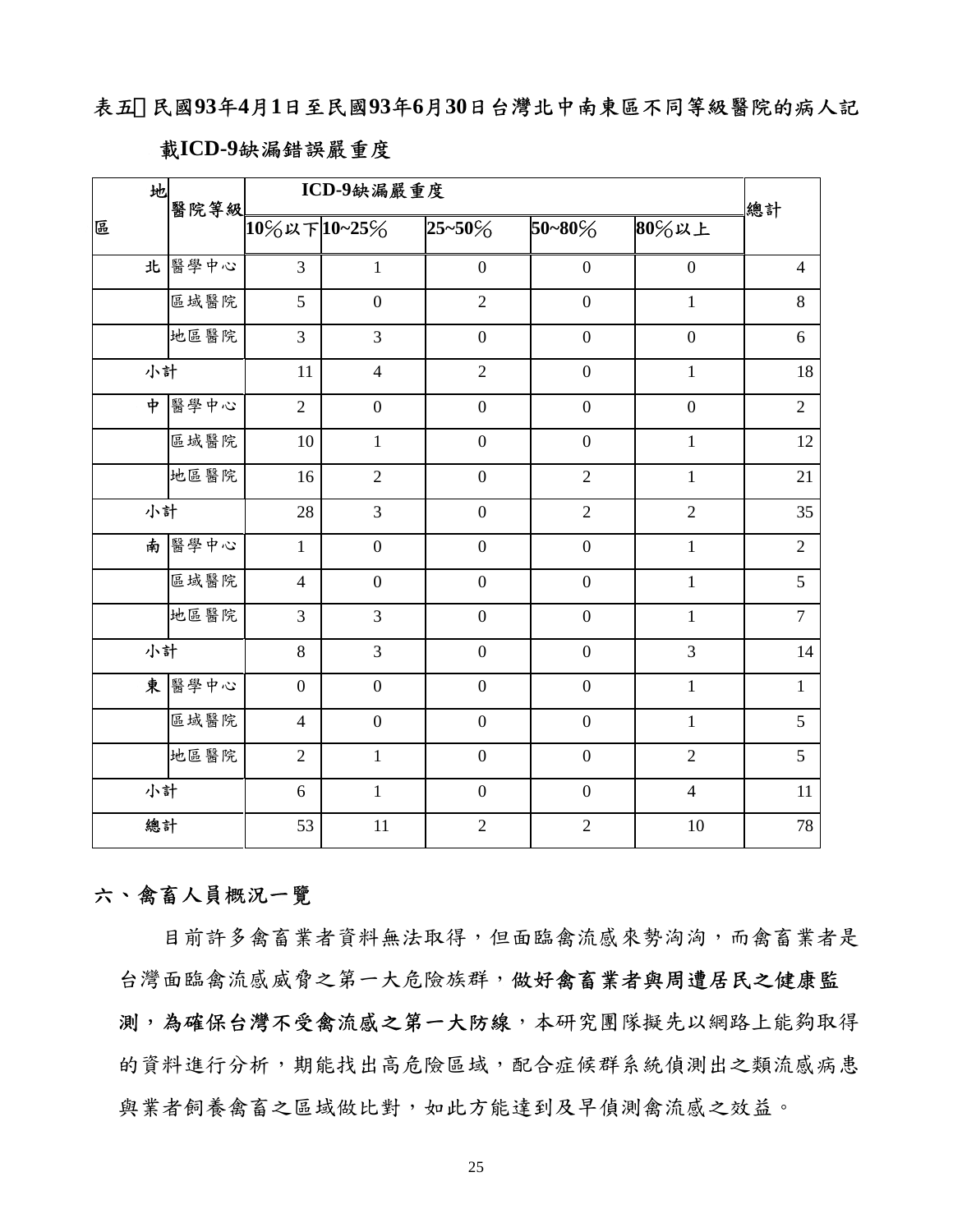表五、民國**93**年**4**月**1**日至民國**93**年**6**月**30**日台灣北中南東區不同等級醫院的病人記

## 載**ICD-9**缺漏錯誤嚴重度

| 地<br>醫院等級          |       | ICD-9缺漏嚴重度     |                  |                  |                  |                  |                |
|--------------------|-------|----------------|------------------|------------------|------------------|------------------|----------------|
| 區                  |       | 10%以下10~25%    |                  | $25 - 50\%$      | $50 - 80\%$      | 80%以上            | 總計             |
|                    | 北醫學中心 | $\overline{3}$ | $\mathbf{1}$     | $\boldsymbol{0}$ | $\overline{0}$   | $\boldsymbol{0}$ | $\overline{4}$ |
|                    | 區域醫院  | 5              | $\boldsymbol{0}$ | $\overline{2}$   | $\overline{0}$   | $\mathbf{1}$     | 8              |
|                    | 地區醫院  | $\overline{3}$ | $\overline{3}$   | $\overline{0}$   | $\overline{0}$   | $\overline{0}$   | 6              |
| 小計                 |       | 11             | $\overline{4}$   | $\overline{2}$   | $\overline{0}$   | $\mathbf{1}$     | $18\,$         |
| $\dot{\mathbf{r}}$ | 醫學中心  | $\overline{2}$ | $\boldsymbol{0}$ | $\boldsymbol{0}$ | $\boldsymbol{0}$ | $\boldsymbol{0}$ | $\overline{2}$ |
|                    | 區域醫院  | $10\,$         | $\mathbf{1}$     | $\mathbf 0$      | $\overline{0}$   | $\mathbf{1}$     | 12             |
|                    | 地區醫院  | 16             | $\overline{2}$   | $\overline{0}$   | $\overline{2}$   | $\mathbf{1}$     | 21             |
| 小計                 |       | 28             | $\overline{3}$   | $\boldsymbol{0}$ | $\overline{2}$   | $\overline{2}$   | 35             |
|                    | 南醫學中心 | $\mathbf{1}$   | $\overline{0}$   | $\boldsymbol{0}$ | $\boldsymbol{0}$ | $\mathbf{1}$     | $\overline{2}$ |
|                    | 區域醫院  | $\overline{4}$ | $\boldsymbol{0}$ | $\boldsymbol{0}$ | $\boldsymbol{0}$ | $\,1\,$          | 5              |
|                    | 地區醫院  | $\overline{3}$ | 3                | $\boldsymbol{0}$ | $\boldsymbol{0}$ | $\,1\,$          | $\overline{7}$ |
| 小計                 |       | 8              | 3                | $\boldsymbol{0}$ | $\overline{0}$   | 3                | 14             |
|                    | 東醫學中心 | $\overline{0}$ | $\boldsymbol{0}$ | $\boldsymbol{0}$ | $\boldsymbol{0}$ | $\mathbf{1}$     | $\mathbf{1}$   |
|                    | 區域醫院  | $\overline{4}$ | $\overline{0}$   | $\overline{0}$   | $\overline{0}$   | $\mathbf{1}$     | 5              |
|                    | 地區醫院  | $\overline{2}$ | $\mathbf{1}$     | $\boldsymbol{0}$ | $\overline{0}$   | $\overline{2}$   | 5              |
| 小計                 |       | 6              | $\mathbf{1}$     | $\overline{0}$   | $\overline{0}$   | $\overline{4}$   | $11\,$         |
| 總計                 |       | 53             | 11               | $\overline{2}$   | $\overline{2}$   | 10               | 78             |

## 六、禽畜人員概況一覽

目前許多禽畜業者資料無法取得,但面臨禽流感來勢洶洶,而禽畜業者是 台灣面臨禽流感威脅之第一大危險族群,做好禽畜業者與周遭居民之健康監 測,為確保台灣不受禽流感之第一大防線,本研究團隊擬先以網路上能夠取得 的資料進行分析,期能找出高危險區域,配合症候群系統偵測出之類流感病患 與業者飼養禽畜之區域做比對,如此方能達到及早偵測禽流感之效益。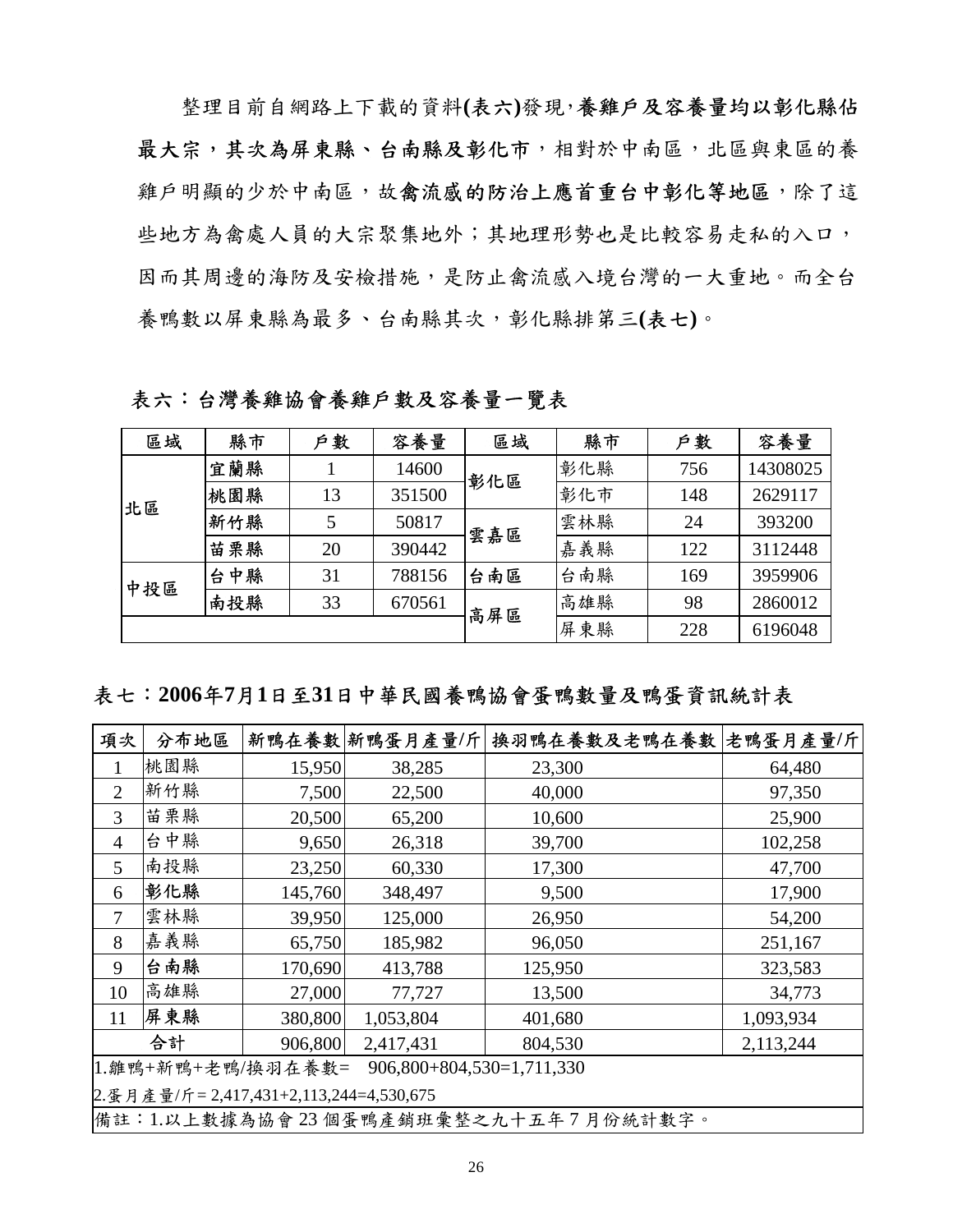整理目前自網路上下載的資料**(**表六**)**發現,養雞戶及容養量均以彰化縣佔 最大宗,其次為屏東縣、台南縣及彰化市,相對於中南區,北區與東區的養 雞戶明顯的少於中南區,故禽流感的防治上應首重台中彰化等地區,除了這 些地方為禽處人員的大宗聚集地外;其地理形勢也是比較容易走私的入口, 因而其周邊的海防及安檢措施,是防止禽流感入境台灣的一大重地。而全台 養鴨數以屏東縣為最多、台南縣其次,彰化縣排第三**(**表七**)**。

表六:台灣養雞協會養雞戶數及容養量一覽表

| 區域  | 縣市  | 户敦 | 容養量    | 區域  | 縣市  | 户數  | 容養量      |
|-----|-----|----|--------|-----|-----|-----|----------|
|     | 宜蘭縣 |    | 14600  | 彰化區 | 彰化縣 | 756 | 14308025 |
| 北區  | 桃園縣 | 13 | 351500 | 雲嘉區 | 彰化市 | 148 | 2629117  |
|     | 新竹縣 | 5  | 50817  |     | 雲林縣 | 24  | 393200   |
|     | 苗栗縣 | 20 | 390442 |     | 嘉義縣 | 122 | 3112448  |
| 中投區 | 台中縣 | 31 | 788156 | 台南區 | 台南縣 | 169 | 3959906  |
|     | 南投縣 | 33 | 670561 | 高屏區 | 高雄縣 | 98  | 2860012  |
|     |     |    |        |     | 屏東縣 | 228 | 6196048  |

## 表七:**2006**年**7**月**1**日至**31**日中華民國養鴨協會蛋鴨數量及鴨蛋資訊統計表

| 項次                                               | 分布地區                                   |         | 新鴨在養數 新鴨蛋月產量/斤 | 换羽鴨在養數及老鴨在養數 老鴨蛋月產量/斤               |           |  |  |
|--------------------------------------------------|----------------------------------------|---------|----------------|-------------------------------------|-----------|--|--|
|                                                  | 桃園縣                                    | 15,950  | 38,285         | 23,300                              | 64,480    |  |  |
| $\overline{2}$                                   | 新竹縣                                    | 7,500   | 22,500         | 40,000                              | 97,350    |  |  |
| 3                                                | 苗栗縣                                    | 20,500  | 65,200         | 10,600                              | 25,900    |  |  |
| 4                                                | 台中縣                                    | 9,650   | 26,318         | 39,700                              | 102,258   |  |  |
| $\mathfrak{H}$                                   | 南投縣                                    | 23,250  | 60,330         | 17,300                              | 47,700    |  |  |
| 6                                                | 彰化縣                                    | 145,760 | 348,497        | 9,500                               | 17,900    |  |  |
| 7                                                | 雲林縣                                    | 39,950  | 125,000        | 26,950                              | 54,200    |  |  |
| 8                                                | 嘉義縣                                    | 65,750  | 185,982        | 96,050                              | 251,167   |  |  |
| 9                                                | 台南縣                                    | 170,690 | 413,788        | 125,950                             | 323,583   |  |  |
| 10                                               | 高雄縣                                    | 27,000  | 77,727         | 13,500                              | 34,773    |  |  |
| 11                                               | 屏東縣                                    | 380,800 | 1,053,804      | 401,680                             | 1,093,934 |  |  |
|                                                  | 合計                                     | 906,800 | 2,417,431      | 804,530                             | 2,113,244 |  |  |
| 1.雛鴨+新鴨+老鴨/換羽在養數=<br>$906,800+804,530=1,711,330$ |                                        |         |                |                                     |           |  |  |
|                                                  | 2.蛋月產量/斤=2,417,431+2,113,244=4,530,675 |         |                |                                     |           |  |  |
|                                                  |                                        |         |                | 備註:1.以上數據為協會23個蛋鴨產銷班彙整之九十五年7月份統計數字。 |           |  |  |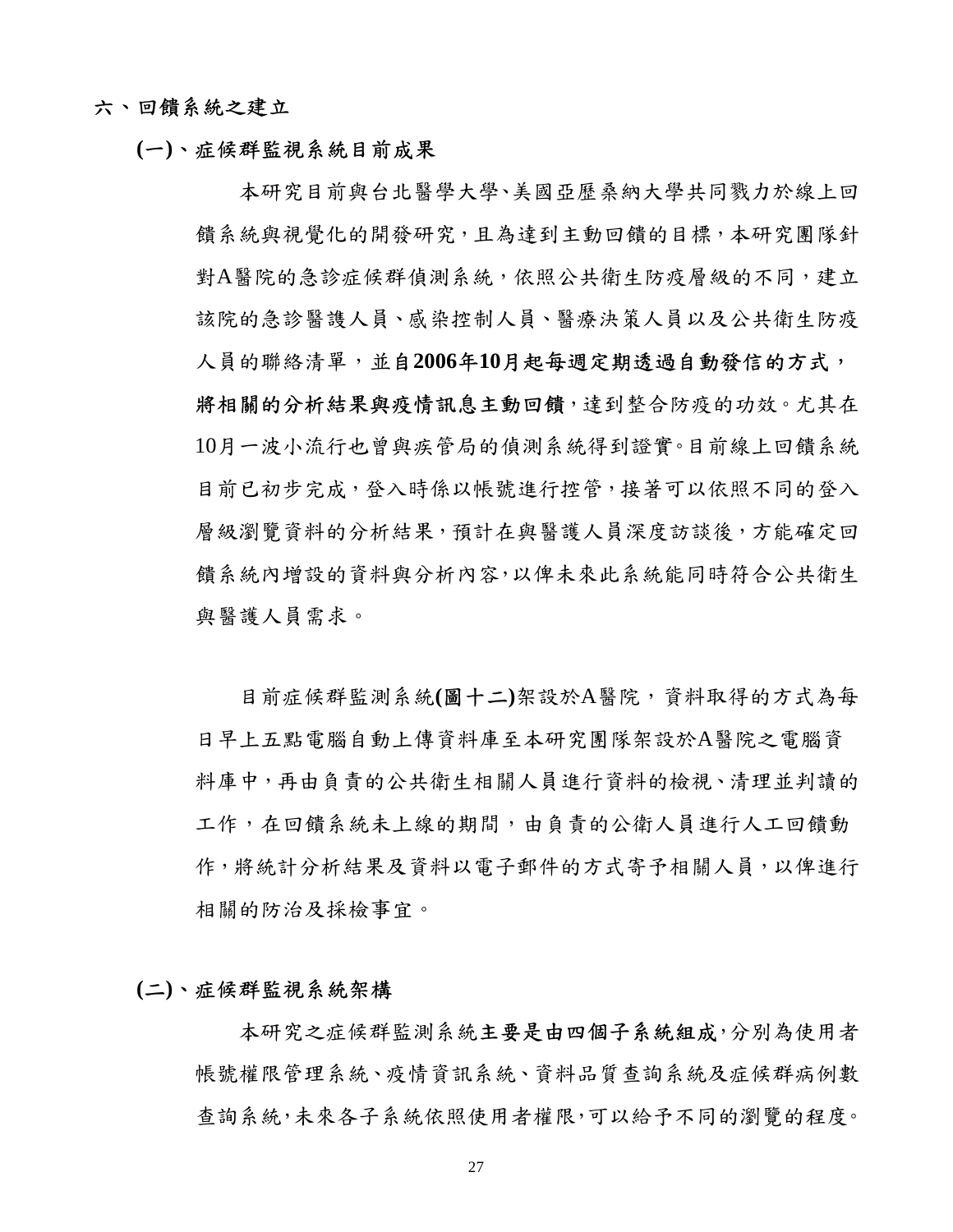### 六、回饋系統之建立

## **(**一**)**、症候群監視系統目前成果

本研究目前與台北醫學大學、美國亞歷桑納大學共同戮力於線上回 饋系統與視覺化的開發研究,且為達到主動回饋的目標,本研究團隊針 對A醫院的急診症候群偵測系統,依照公共衛生防疫層級的不同,建立 該院的急診醫謢人員、感染控制人員、醫療決策人員以及公共衛生防疫 人員的聯絡清單,並自**2006**年**10**月起每週定期透過自動發信的方式, 將相關的分析結果與疫情訊息主動回饋,達到整合防疫的功效。尤其在 10月一波小流行也曾與疾管局的偵測系統得到證實。目前線上回饋系統 目前已初步完成,登入時係以帳號進行控管,接著可以依照不同的登入 層級瀏覽資料的分析結果,預計在與醫護人員深度訪談後,方能確定回 饋系統內增設的資料與分析內容,以俾未來此系統能同時符合公共衛生 與醫護人員需求。

目前症候群監測系統**(**圖十二**)**架設於A醫院,資料取得的方式為每 日早上五點電腦自動上傳資料庫至本研究團隊架設於A醫院之電腦資 料庫中,再由負責的公共衛生相關人員進行資料的檢視、清理並判讀的 工作,在回饋系統未上線的期間,由負責的公衛人員進行人工回饋動 作,將統計分析結果及資料以電子郵件的方式寄予相關人員,以俾進行 相關的防治及採檢事宜。

#### **(**二**)**、症候群監視系統架構

本研究之症候群監測系統主要是由四個子系統組成,分別為使用者 帳號權限管理系統、疫情資訊系統、資料品質查詢系統及症候群病例數 查詢系統,未來各子系統依照使用者權限,可以給予不同的瀏覽的程度。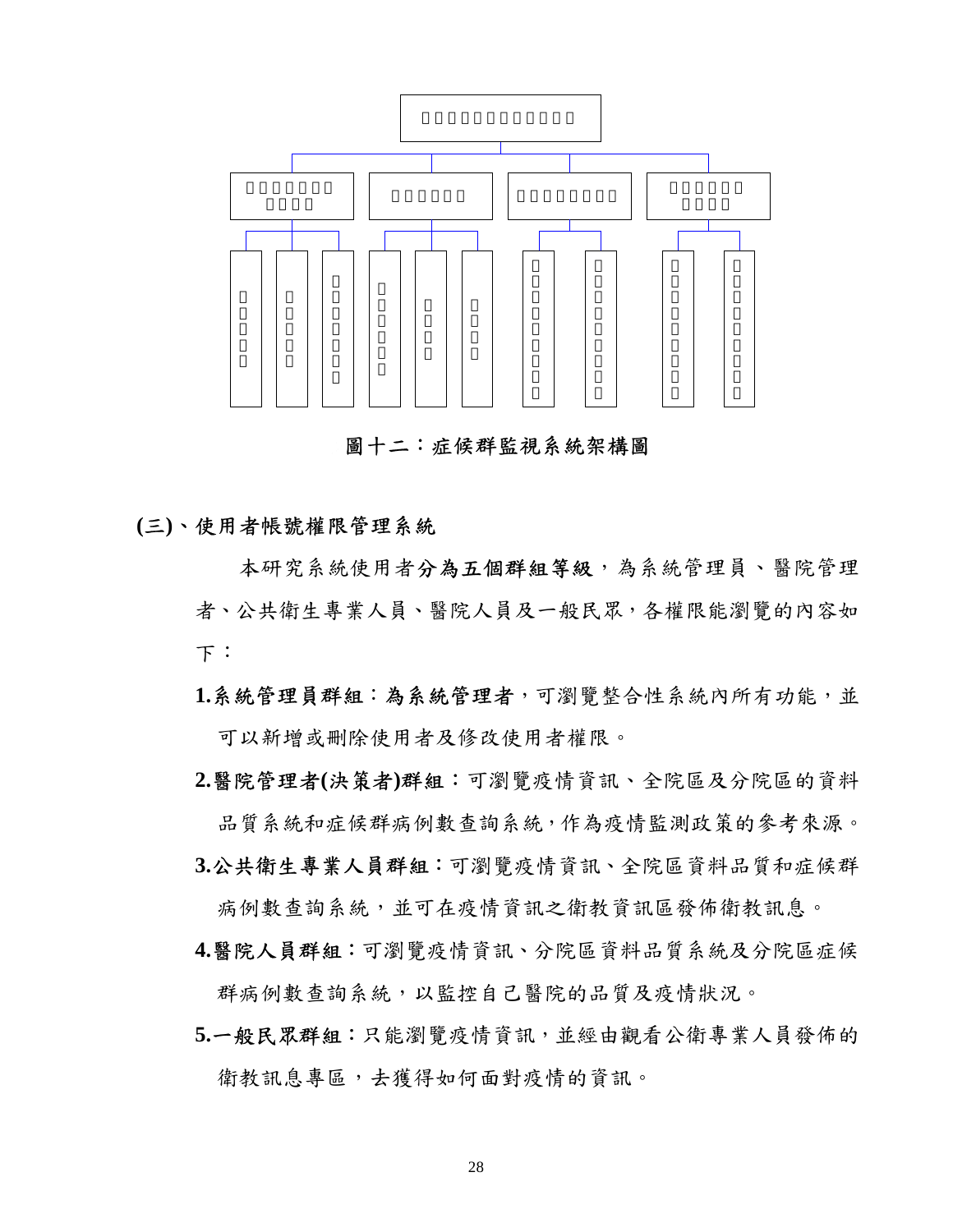

圖十二:症候群監視系統架構圖

## **(**三**)**、使用者帳號權限管理系統

本研究系統使用者分為五個群組等級,為系統管理員、醫院管理 者、公共衛生專業人員、醫院人員及一般民眾,各權限能瀏覽的內容如 下:

- **1.**系統管理員群組:為系統管理者,可瀏覽整合性系統內所有功能,並 可以新增或刪除使用者及修改使用者權限。
- **2.**醫院管理者**(**決策者**)**群組:可瀏覽疫情資訊、全院區及分院區的資料 品質系統和症候群病例數查詢系統,作為疫情監測政策的參考來源。
- **3.**公共衛生專業人員群組:可瀏覽疫情資訊、全院區資料品質和症候群 病例數查詢系統,並可在疫情資訊之衛教資訊區發佈衛教訊息。
- **4.**醫院人員群組:可瀏覽疫情資訊、分院區資料品質系統及分院區症候 群病例數查詢系統,以監控自己醫院的品質及疫情狀況。
- **5.**一般民眾群組:只能瀏覽疫情資訊,並經由觀看公衛專業人員發佈的 衛教訊息專區,去獲得如何面對疫情的資訊。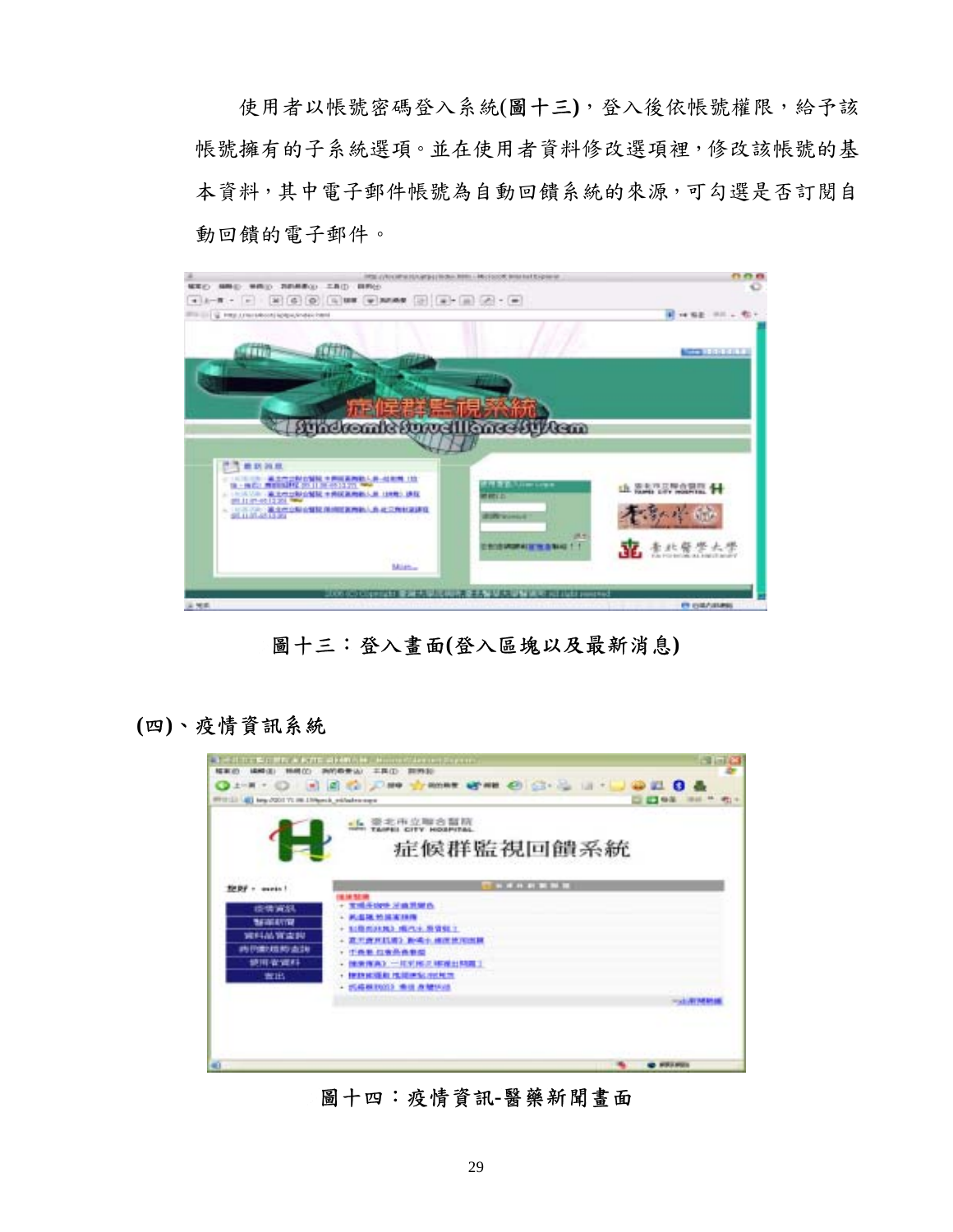使用者以帳號密碼登入系統(圖十三**)**,登入後依帳號權限,給予該 帳號擁有的子系統選項。並在使用者資料修改選項裡,修改該帳號的基 本資料,其中電子郵件帳號為自動回饋系統的來源,可勾選是否訂閱自 動回饋的電子郵件。



圖十三:登入畫面**(**登入區塊以及最新消息**)** 

**(**四**)**、疫情資訊系統



圖十四:疫情資訊**-**醫藥新聞畫面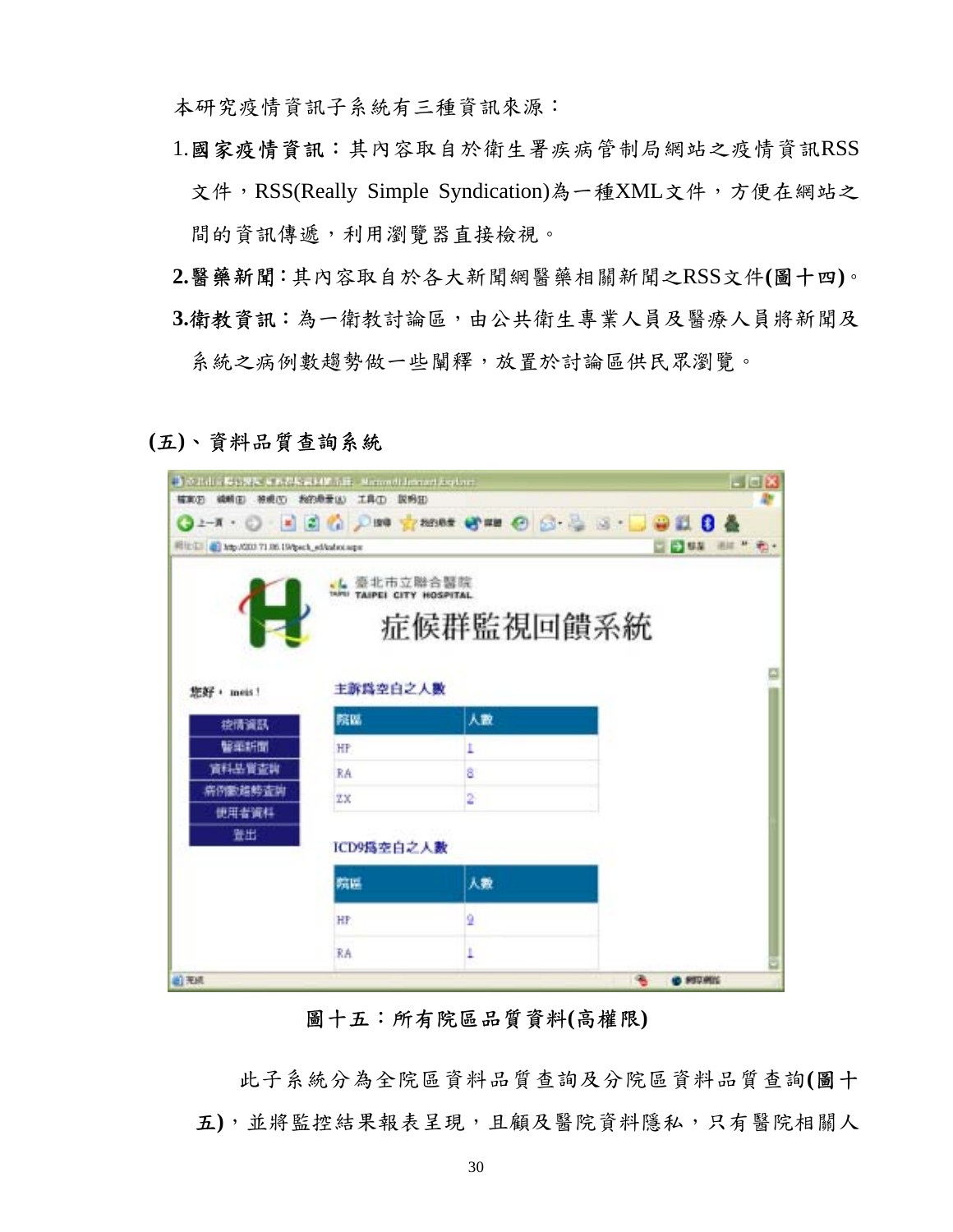本研究疫情資訊子系統有三種資訊來源:

- 1.國家疫情資訊:其內容取自於衛生署疾病管制局網站之疫情資訊RSS 文件,RSS(Really Simple Syndication)為一種XML文件,方便在網站之 間的資訊傳遞,利用瀏覽器直接檢視。
- **2.**醫藥新聞:其內容取自於各大新聞網醫藥相關新聞之RSS文件**(**圖十四**)**。 **3.**衛教資訊:為一衛教討論區,由公共衛生專業人員及醫療人員將新聞及 系統之病例數趨勢做一些闡釋,放置於討論區供民眾瀏覽。

**(**五**)**、資料品質查詢系統

| ■ ※2dia #40 東京 東京都松県34W 556, Manuell Internet Explorer<br>植家石 磷精田 被观(S) 我的悬垂(A) 工具(D) 脱粉田 |                      |                                                                  | $-10x$                |
|-------------------------------------------------------------------------------------------|----------------------|------------------------------------------------------------------|-----------------------|
|                                                                                           |                      | <b>O 2-N + O B B O D B 9 7 2005 6 21 0 8 - B &amp; B B &amp;</b> |                       |
| 利比 [1] an Mg/XXXI 71.06.19/peck_ed/advotage                                               |                      |                                                                  | □ ● ## ## * 卷         |
|                                                                                           | TAIPEI CITY HOSPITAL | 臺北市立聯合醫院<br>症候群監視回饋系統                                            |                       |
| 您好, meis!                                                                                 | 主訴爲空白之人數             |                                                                  |                       |
| 控情資訊                                                                                      | 院區                   | 人数                                                               |                       |
| 醫藥折面                                                                                      | HP.                  |                                                                  |                       |
| 資料基質查詢                                                                                    | RA                   | 8                                                                |                       |
| 病例数錯時查詢                                                                                   | ŻΧ                   | 2                                                                |                       |
| 使用者資料<br>登出                                                                               | ICD9爲空白之人數           |                                                                  |                       |
|                                                                                           | 院區                   | 人数                                                               |                       |
|                                                                                           | HP                   |                                                                  |                       |
|                                                                                           | RA                   | ۲                                                                |                       |
| 前无線                                                                                       |                      |                                                                  | 伟<br><b>O PITARIS</b> |

## 圖十五:所有院區品質資料**(**高權限**)**

此子系統分為全院區資料品質查詢及分院區資料品質查詢**(**圖十 五**)**,並將監控結果報表呈現,且顧及醫院資料隱私,只有醫院相關人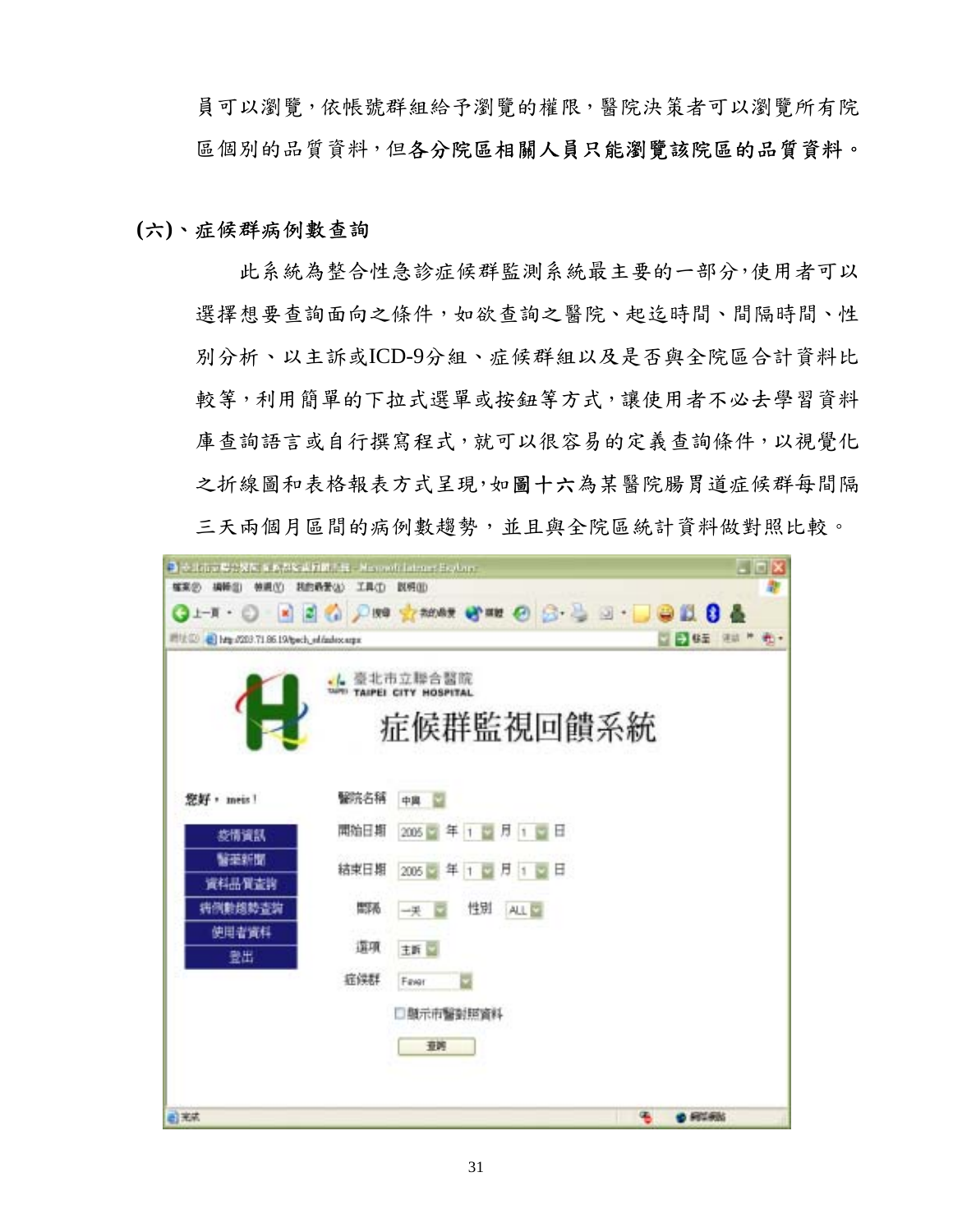員可以瀏覽,依帳號群組給予瀏覽的權限,醫院決策者可以瀏覽所有院 區個別的品質資料,但各分院區相關人員只能瀏覽該院區的品質資料。

## **(**六**)**、症候群病例數查詢

此系統為整合性急診症候群監測系統最主要的一部分,使用者可以 選擇想要查詢面向之條件,如欲查詢之醫院、起迄時間、間隔時間、性 別分析、以主訴或ICD-9分組、症候群組以及是否與全院區合計資料比 較等,利用簡單的下拉式選單或按鈕等方式,讓使用者不必去學習資料 庫查詢語言或自行撰寫程式,就可以很容易的定義查詢條件,以視覺化 之折線圖和表格報表方式呈現,如圖十六為某醫院腸胃道症候群每間隔 三天兩個月區間的病例數趨勢,並且與全院區統計資料做對照比較。

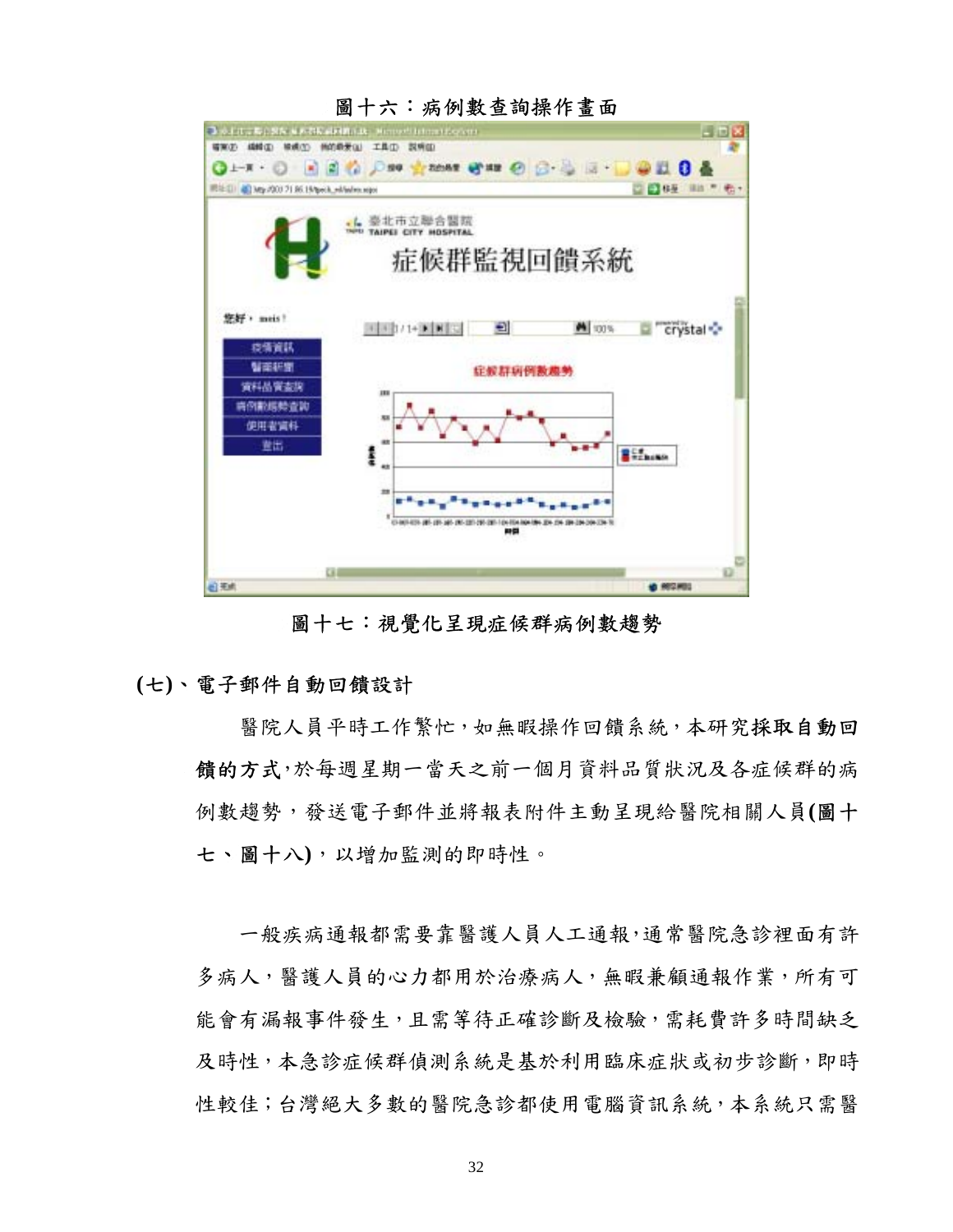

圖十六:病例數查詢操作畫面

圖十七:視覺化呈現症候群病例數趨勢

## **(**七**)**、電子郵件自動回饋設計

醫院人員平時工作繁忙,如無暇操作回饋系統,本研究採取自動回 饋的方式,於每週星期一當天之前一個月資料品質狀況及各症候群的病 例數趨勢,發送電子郵件並將報表附件主動呈現給醫院相關人員**(**圖十 七、圖十八**)**,以增加監測的即時性。

一般疾病通報都需要靠醫護人員人工通報,通常醫院急診裡面有許 多病人,醫護人員的心力都用於治療病人,無暇兼顧通報作業,所有可 能會有漏報事件發生,且需等待正確診斷及檢驗,需耗費許多時間缺乏 及時性,本急診症候群偵測系統是基於利用臨床症狀或初步診斷,即時 性較佳;台灣絕大多數的醫院急診都使用電腦資訊系統,本系統只需醫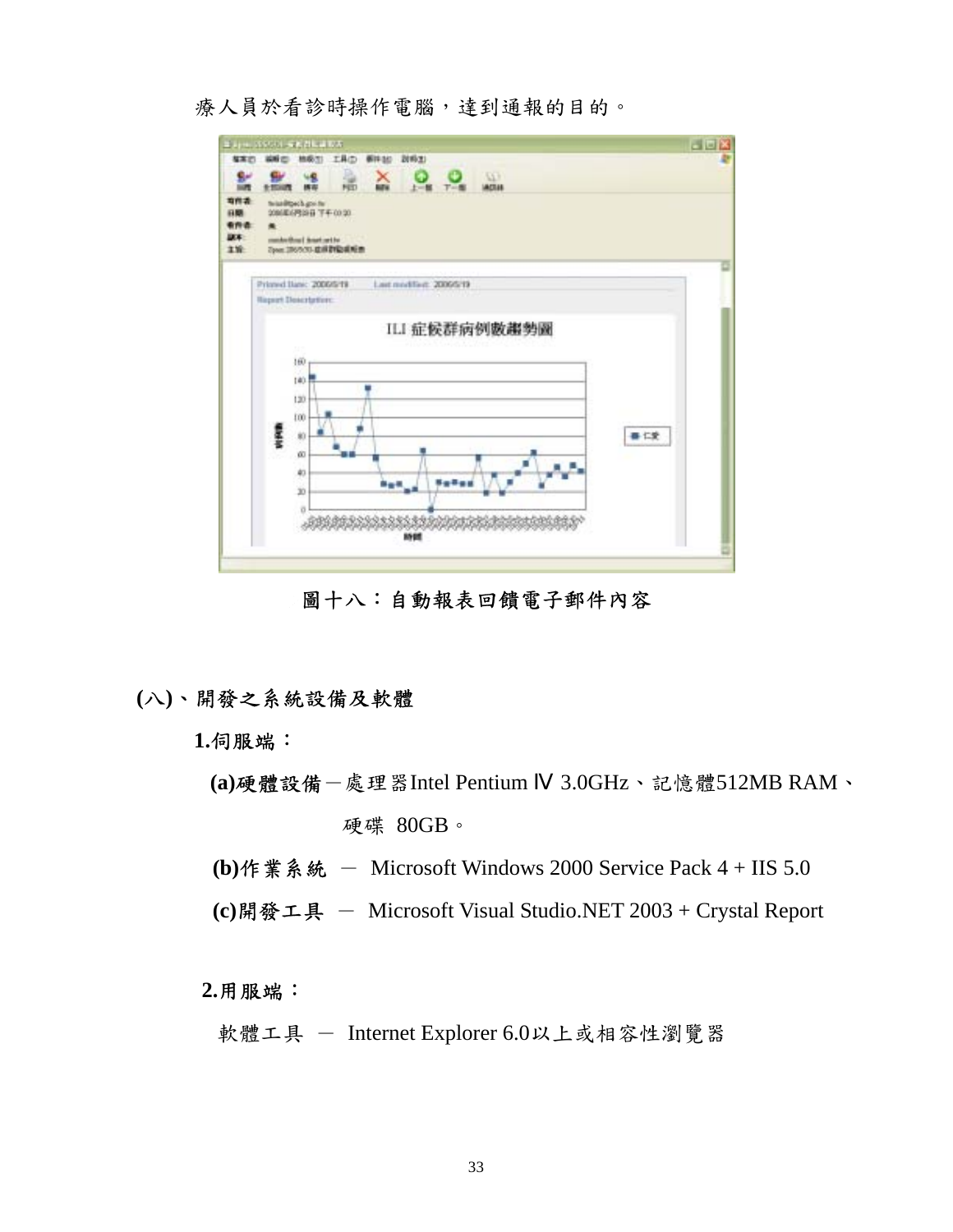療人員於看診時操作電腦,達到通報的目的。



圖十八:自動報表回饋電子郵件內容

## **(**八**)**、開發之系統設備及軟體

**1.**伺服端:

- **(a)**硬體設備-處理器Intel Pentium 3.0GHz、記憶體512MB RAM、 硬碟 80GB。
- **(b)**作業系統 Microsoft Windows 2000 Service Pack 4 + IIS 5.0
- **(c)**開發工具 Microsoft Visual Studio.NET 2003 + Crystal Report

**2.**用服端:

軟體工具 - Internet Explorer 6.0以上或相容性瀏覽器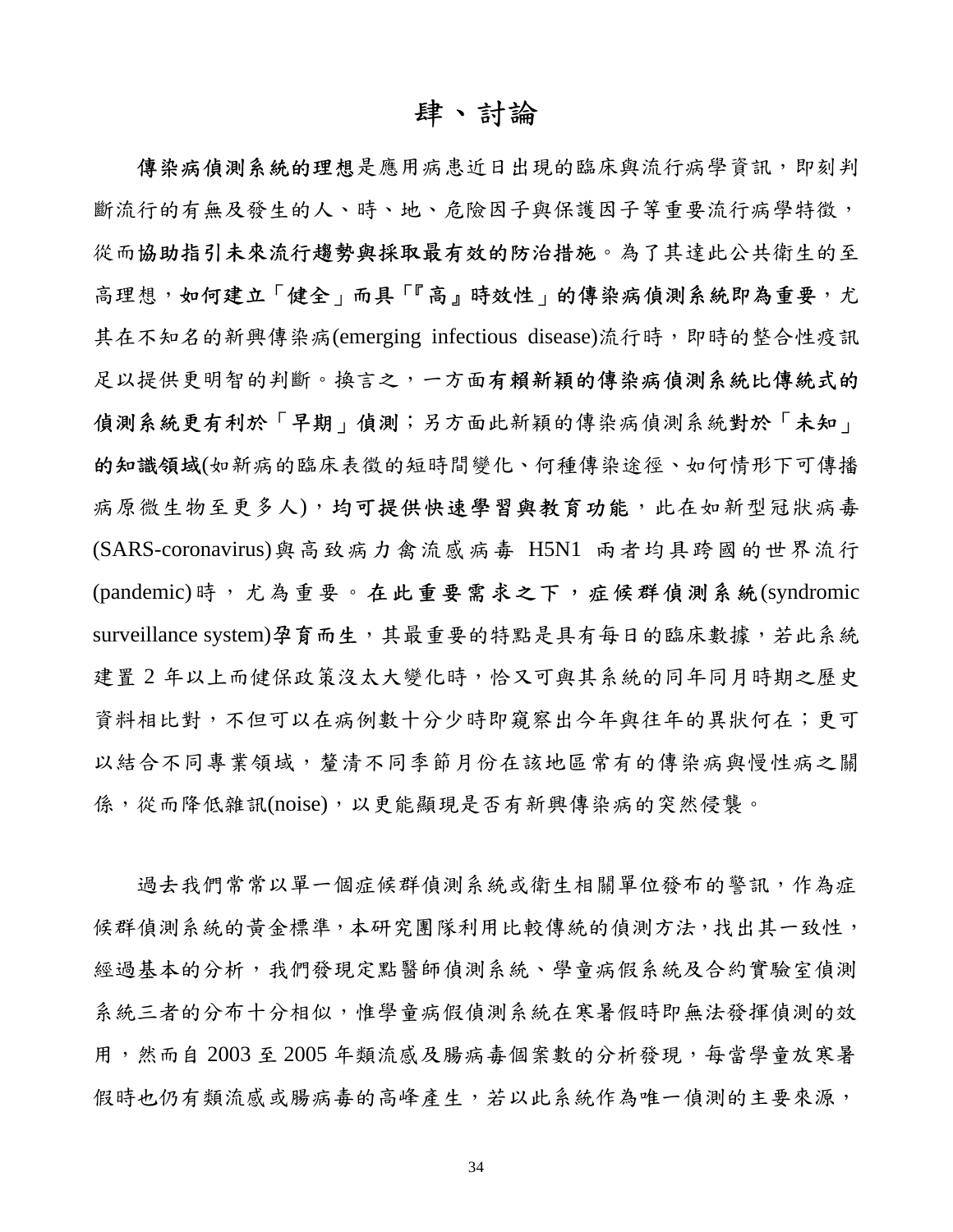# 肆、討論

傳染病偵測系統的理想是應用病患近日出現的臨床與流行病學資訊,即刻判 斷流行的有無及發生的人、時、地、危險因子與保護因子等重要流行病學特徵, 從而協助指引未來流行趨勢與採取最有效的防治措施。為了其達此公共衛生的至 高理想,如何建立「健全」而具「『高』時效性」的傳染病偵測系統即為重要,尤 其在不知名的新興傳染病(emerging infectious disease)流行時,即時的整合性疫訊 足以提供更明智的判斷。換言之,一方面有賴新穎的傳染病偵測系統比傳統式的 偵測系統更有利於「早期」偵測;另方面此新穎的傳染病偵測系統對於「未知」 的知識領域(如新病的臨床表徵的短時間變化、何種傳染途徑、如何情形下可傳播 病原微生物至更多人),均可提供快速學習與教育功能,此在如新型冠狀病毒 (SARS-coronavirus)與高致病力禽流感病毒 H5N1 兩者均具跨國的世界流行 (pandemic)時,尤為重要。在此重要需求之下,症候群偵測系統(syndromic surveillance system)孕育而生,其最重要的特點是具有每日的臨床數據,若此系統 建置 2 年以上而健保政策沒太大變化時,恰又可與其系統的同年同月時期之歷史 資料相比對,不但可以在病例數十分少時即窺察出今年與往年的異狀何在;更可 以結合不同專業領域,釐清不同季節月份在該地區常有的傳染病與慢性病之關 係,從而降低雜訊(noise),以更能顯現是否有新興傳染病的突然侵襲。

過去我們常常以單一個症候群偵測系統或衛生相關單位發布的警訊,作為症 候群偵測系統的黃金標準,本研究團隊利用比較傳統的偵測方法,找出其一致性, 經過基本的分析,我們發現定點醫師偵測系統、學童病假系統及合約實驗室偵測 系統三者的分布十分相似,惟學童病假偵測系統在寒暑假時即無法發揮偵測的效 用,然而自 2003 至 2005 年類流感及腸病毒個案數的分析發現,每當學童放寒暑 假時也仍有類流感或腸病毒的高峰產生,若以此系統作為唯一偵測的主要來源,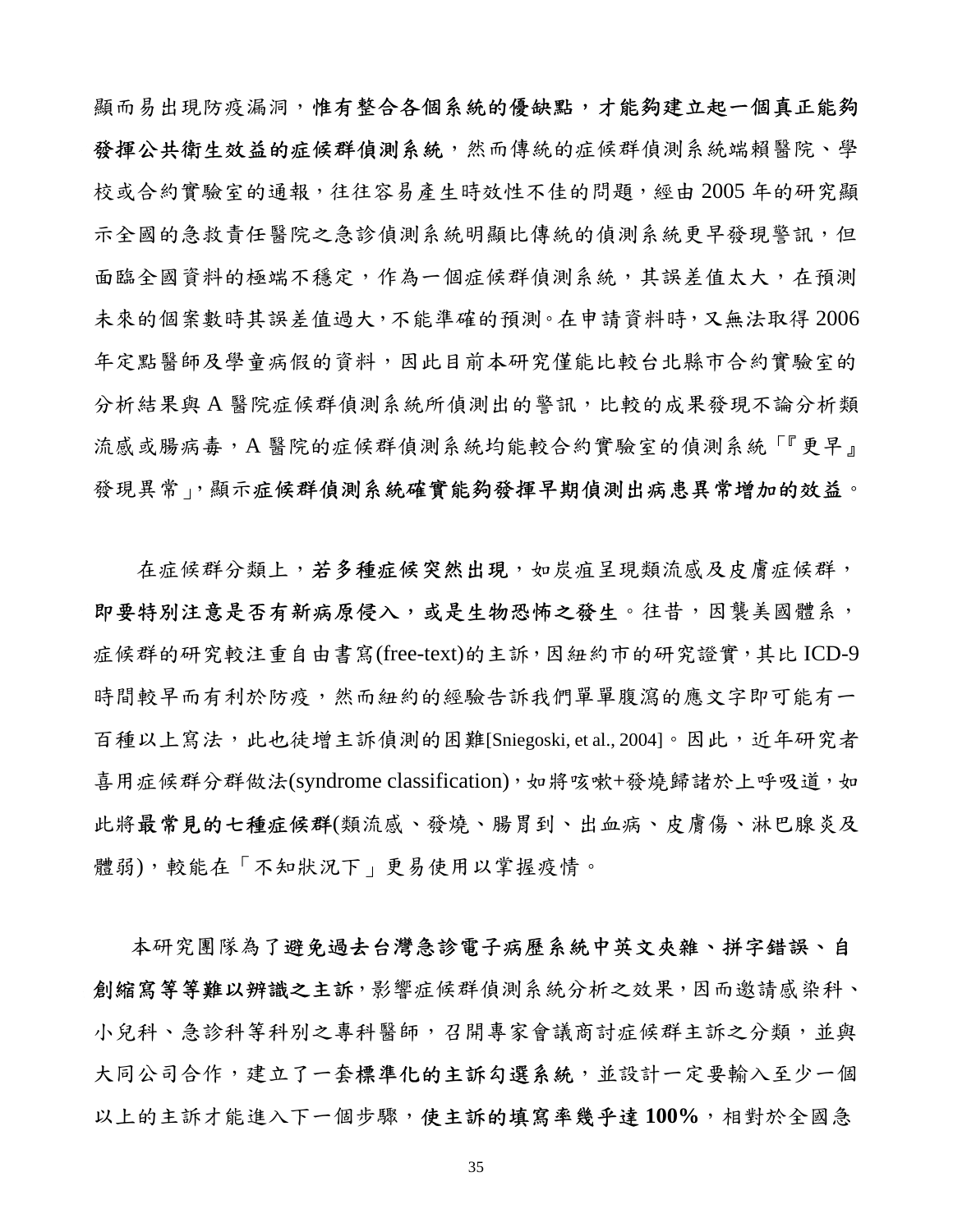顯而易出現防疫漏洞,惟有整合各個系統的優缺點,才能夠建立起一個真正能夠 發揮公共衛生效益的症候群偵測系統,然而傳統的症候群偵測系統端賴醫院、學 校或合約實驗室的通報,往往容易產生時效性不佳的問題,經由 2005 年的研究顯 示全國的急救責任醫院之急診偵測系統明顯比傳統的偵測系統更早發現警訊,但 面臨全國資料的極端不穩定,作為一個症候群偵測系統,其誤差值太大,在預測 未來的個案數時其誤差值過大,不能準確的預測。在申請資料時,又無法取得 2006 年定點醫師及學童病假的資料,因此目前本研究僅能比較台北縣市合約實驗室的 分析結果與 A 醫院症候群偵測系統所偵測出的警訊,比較的成果發現不論分析類 流感或腸病毒,A 醫院的症候群偵測系統均能較合約實驗室的偵測系統「『更早』 發現異常」,顯示症候群偵測系統確實能夠發揮早期偵測出病患異常增加的效益。

在症候群分類上,若**多種症候突然出現**,如炭疽呈現類流感及皮膚症候群, 即要特別注意是否有新病原侵入,或是生物恐怖之發生。往昔,因襲美國體系, 症候群的研究較注重自由書寫(free-text)的主訴,因紐約市的研究證實,其比 ICD-9 時間較早而有利於防疫,然而紐約的經驗告訴我們單單腹瀉的應文字即可能有一 百種以上寫法,此也徒增主訴偵測的困難[Sniegoski, et al., 2004]。因此,近年研究者 喜用症候群分群做法(syndrome classification),如將咳嗽+發燒歸諸於上呼吸道,如 此將最常見的七種症候群(類流感、發燒、腸胃到、出血病、皮膚傷、淋巴腺炎及 體弱),較能在「不知狀況下」更易使用以掌握疫情。

本研究團隊為了避免過去台灣急診電子病歷系統中英文夾雜、拼字錯誤、自 創縮寫等等難以辨識之主訴,影響症候群偵測系統分析之效果,因而邀請感染科、 小兒科、急診科等科別之專科醫師,召開專家會議商討症候群主訴之分類,並與 大同公司合作,建立了一套標準化的主訴勾選系統,並設計一定要輸入至少一個 以上的主訴才能進入下一個步驟,使主訴的填寫率幾乎達 **100%**,相對於全國急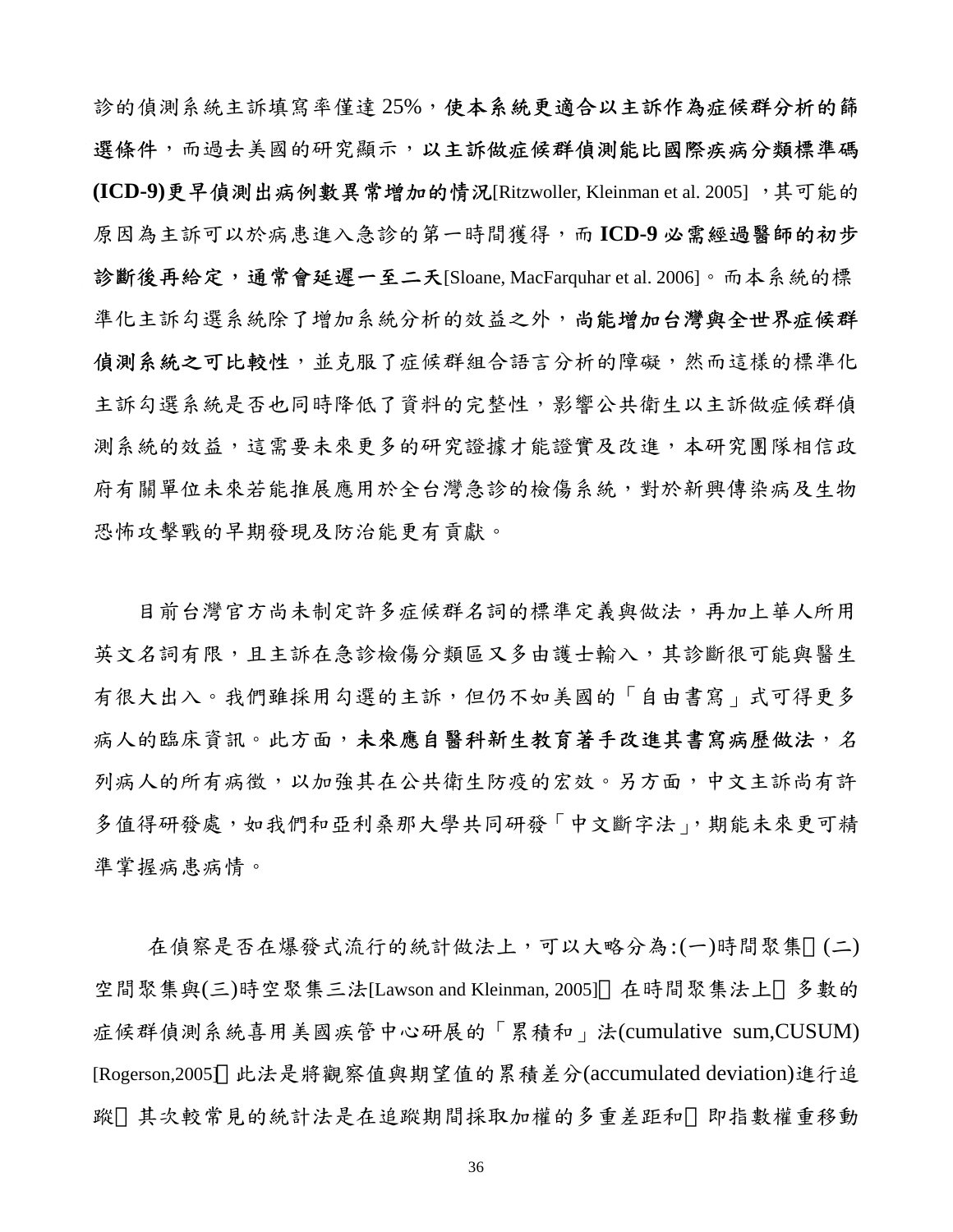診的偵測系統主訴填寫率僅達 25%,使本系統更適合以主訴作為症候群分析的篩 選條件,而過去美國的研究顯示,以主訴做症候群偵測能比國際疾病分類標準碼 **(ICD-9)**更早偵測出病例數異常增加的情況[Ritzwoller, Kleinman et al. 2005] ,其可能的 原因為主訴可以於病患進入急診的第一時間獲得,而 **ICD-9** 必需經過醫師的初步 診斷後再給定,通常會延遲一至二天[Sloane, MacFarquhar et al. 2006]。而本系統的標 準化主訴勾選系統除了增加系統分析的效益之外,尚能增加台灣與全世界症候群 偵測系統之可比較性,並克服了症候群組合語言分析的障礙,然而這樣的標準化 主訴勾選系統是否也同時降低了資料的完整性,影響公共衛生以主訴做症候群偵 測系統的效益,這需要未來更多的研究證據才能證實及改進,本研究團隊相信政 府有關單位未來若能推展應用於全台灣急診的檢傷系統,對於新興傳染病及生物 恐怖攻擊戰的早期發現及防治能更有貢獻。

目前台灣官方尚未制定許多症候群名詞的標準定義與做法,再加上華人所用 英文名詞有限,且主訴在急診檢傷分類區又多由護士輸入,其診斷很可能與醫生 有很大出入。我們雖採用勾選的主訴,但仍不如美國的「自由書寫」式可得更多 病人的臨床資訊。此方面,未來應自醫科新生教育著手改進其書寫病歷做法,名 列病人的所有病徵,以加強其在公共衛生防疫的宏效。另方面,中文主訴尚有許 多值得研發處,如我們和亞利桑那大學共同研發「中文斷字法」,期能未來更可精 準掌握病患病情。

在偵察是否在爆發式流行的統計做法上,可以大略分為:(一)時間聚集 (二) 空間聚集與(三)時空聚集三法[Lawson and Kleinman, 2005] 在時間聚集法上 多數的 症候群偵測系統喜用美國疾管中心研展的「累積和」法(cumulative sum,CUSUM) [Rogerson,2005] 此法是將觀察值與期望值的累積差分(accumulated deviation)進行追 蹤 其次較常見的統計法是在追蹤期間採取加權的多重差距和 即指數權重移動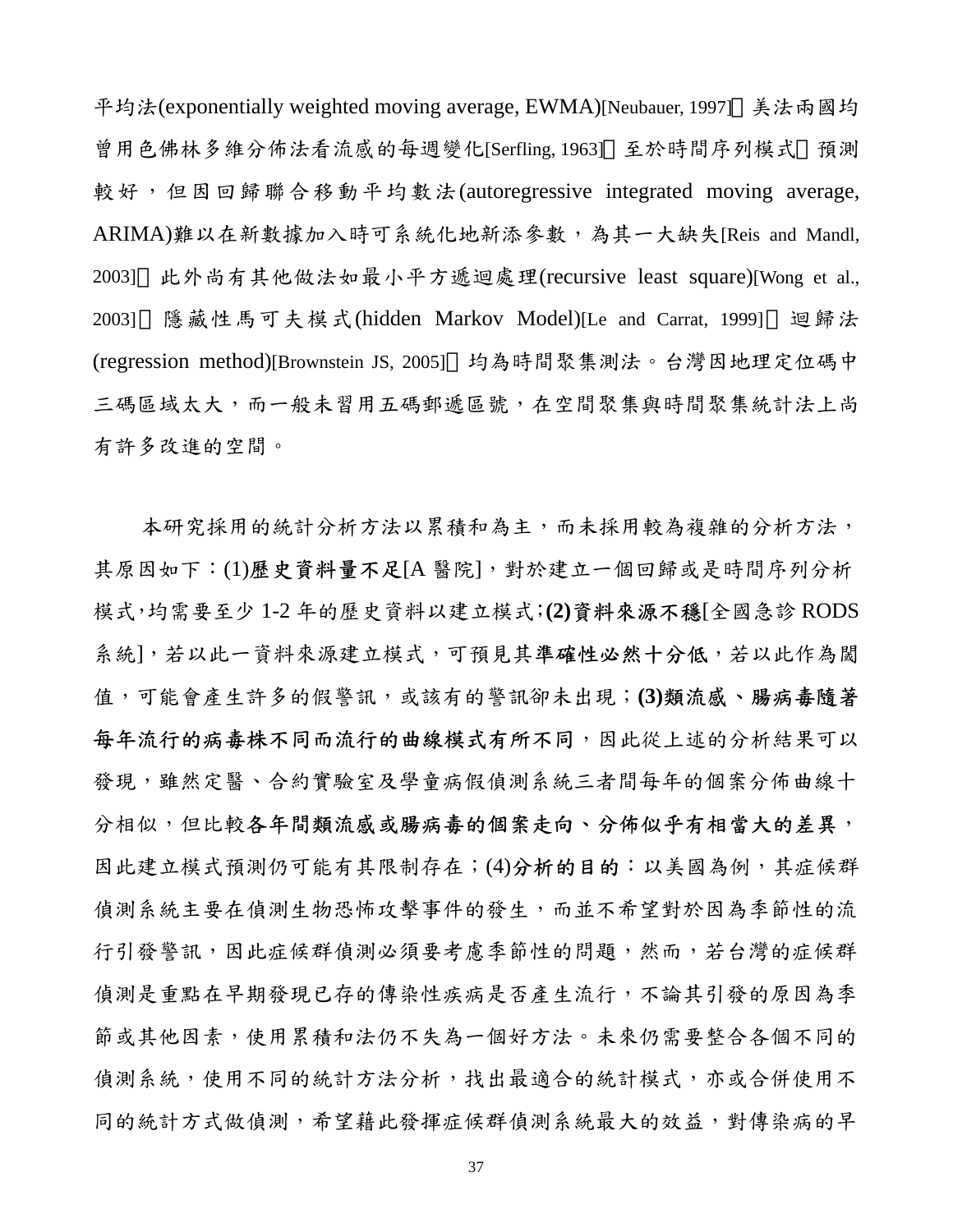平均法(exponentially weighted moving average, EWMA)[Neubauer, 1997] 美法兩國均 曾用色佛林多維分佈法看流感的每週變化[Serfling, 1963] 至於時間序列模式 預測 較好,但因回歸聯合移動平均數法(autoregressive integrated moving average, ARIMA)難以在新數據加入時可系統化地新添參數,為其一大缺失[Reis and Mandl, 2003] 此外尚有其他做法如最小平方遞迴處理(recursive least square)[Wong et al., 2003] 隱藏性馬可夫模式(hidden Markov Model)[Le and Carrat, 1999] 迴歸法 (regression method)[Brownstein JS, 2005] 均為時間聚集測法。台灣因地理定位碼中 三碼區域太大,而一般未習用五碼郵遞區號,在空間聚集與時間聚集統計法上尚 有許多改進的空間。

本研究採用的統計分析方法以累積和為主,而未採用較為複雜的分析方法, 其原因如下:(1)歷史資料量不足[A 醫院],對於建立一個回歸或是時間序列分析 模式,均需要至少 1-2 年的歷史資料以建立模式;**(2)**資料來源不穩[全國急診 RODS 系統],若以此一資料來源建立模式,可預見其準確性必然十分低,若以此作為閾 值,可能會產生許多的假警訊,或該有的警訊卻未出現;**(3)**類流感、腸病毒隨著 每年流行的病毒株不同而流行的曲線模式有所不同,因此從上述的分析結果可以 發現,雖然定醫、合約實驗室及學童病假偵測系統三者間每年的個案分佈曲線十 分相似,但比較各年間類流感或腸病毒的個案走向、分佈似乎有相當大的差異, 因此建立模式預測仍可能有其限制存在;(4)分析的目的:以美國為例,其症候群 偵測系統主要在偵測生物恐怖攻擊事件的發生,而並不希望對於因為季節性的流 行引發警訊,因此症候群偵測必須要考慮季節性的問題,然而,若台灣的症候群 偵測是重點在早期發現已存的傳染性疾病是否產生流行,不論其引發的原因為季 節或其他因素,使用累積和法仍不失為一個好方法。未來仍需要整合各個不同的 偵測系統,使用不同的統計方法分析,找出最適合的統計模式,亦或合併使用不 同的統計方式做偵測,希望藉此發揮症候群偵測系統最大的效益,對傳染病的早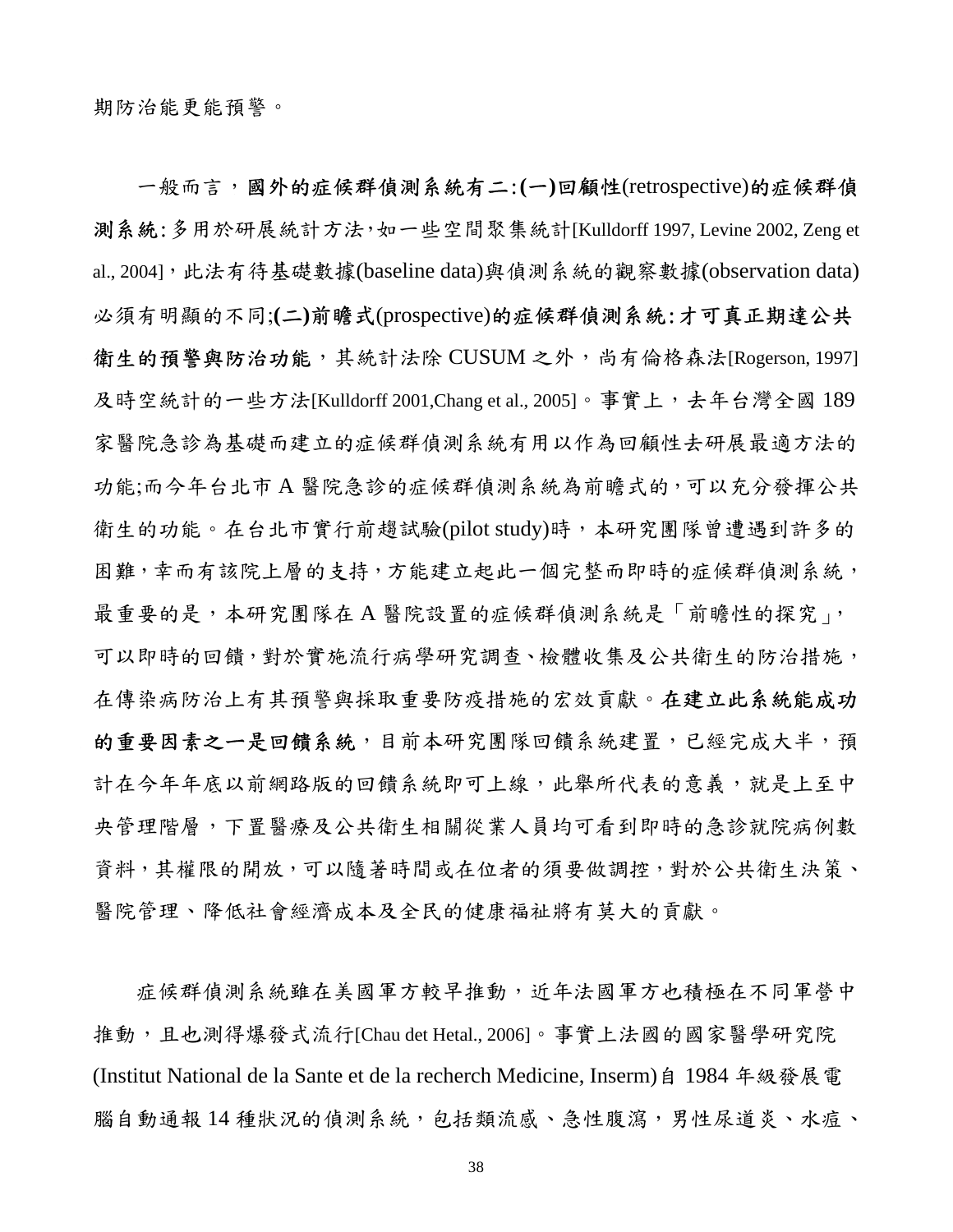一般而言,國外的症候群偵測系統有二:**(**一**)**回顧性(retrospective)的症候群偵 測系統:多用於研展統計方法,如一些空間聚集統計[Kulldorff 1997, Levine 2002, Zeng et al., 2004], 此法有待基礎數據(baseline data)與偵測系統的觀察數據(observation data) 必須有明顯的不同;**(**二**)**前瞻式(prospective)的症候群偵測系統:才可真正期達公共 衛生的預警與防治功能,其統計法除 CUSUM 之外,尚有倫格森法[Rogerson, 1997] 及時空統計的一些方法[Kulldorff 2001,Chang et al., 2005]。事實上,去年台灣全國 189 家醫院急診為基礎而建立的症候群偵測系統有用以作為回顧性去研展最適方法的 功能;而今年台北市 A 醫院急診的症候群偵測系統為前瞻式的,可以充分發揮公共 衛生的功能。在台北市實行前趨試驗(pilot study)時,本研究團隊曾遭遇到許多的 困難,幸而有該院上層的支持,方能建立起此一個完整而即時的症候群偵測系統, 最重要的是,本研究團隊在 A 醫院設置的症候群偵測系統是「前瞻性的探究」, 可以即時的回饋,對於實施流行病學研究調查、檢體收集及公共衛生的防治措施, 在傳染病防治上有其預警與採取重要防疫措施的宏效貢獻。在建立此系統能成功 的重要因素之一是回饋系統,目前本研究團隊回饋系統建置,已經完成大半,預 計在今年年底以前網路版的回饋系統即可上線,此舉所代表的意義,就是上至中 央管理階層,下置醫療及公共衛生相關從業人員均可看到即時的急診就院病例數 資料,其權限的開放,可以隨著時間或在位者的須要做調控,對於公共衛生決策、 醫院管理、降低社會經濟成本及全民的健康福祉將有莫大的貢獻。

症候群偵測系統雖在美國軍方較早推動,近年法國軍方也積極在不同軍營中 推動,且也測得爆發式流行[Chau det Hetal., 2006]。事實上法國的國家醫學研究院 (Institut National de la Sante et de la recherch Medicine, Inserm)自 1984 年級發展電 腦自動通報14種狀況的偵測系統,包括類流感、急性腹瀉,男性尿道炎、水痘、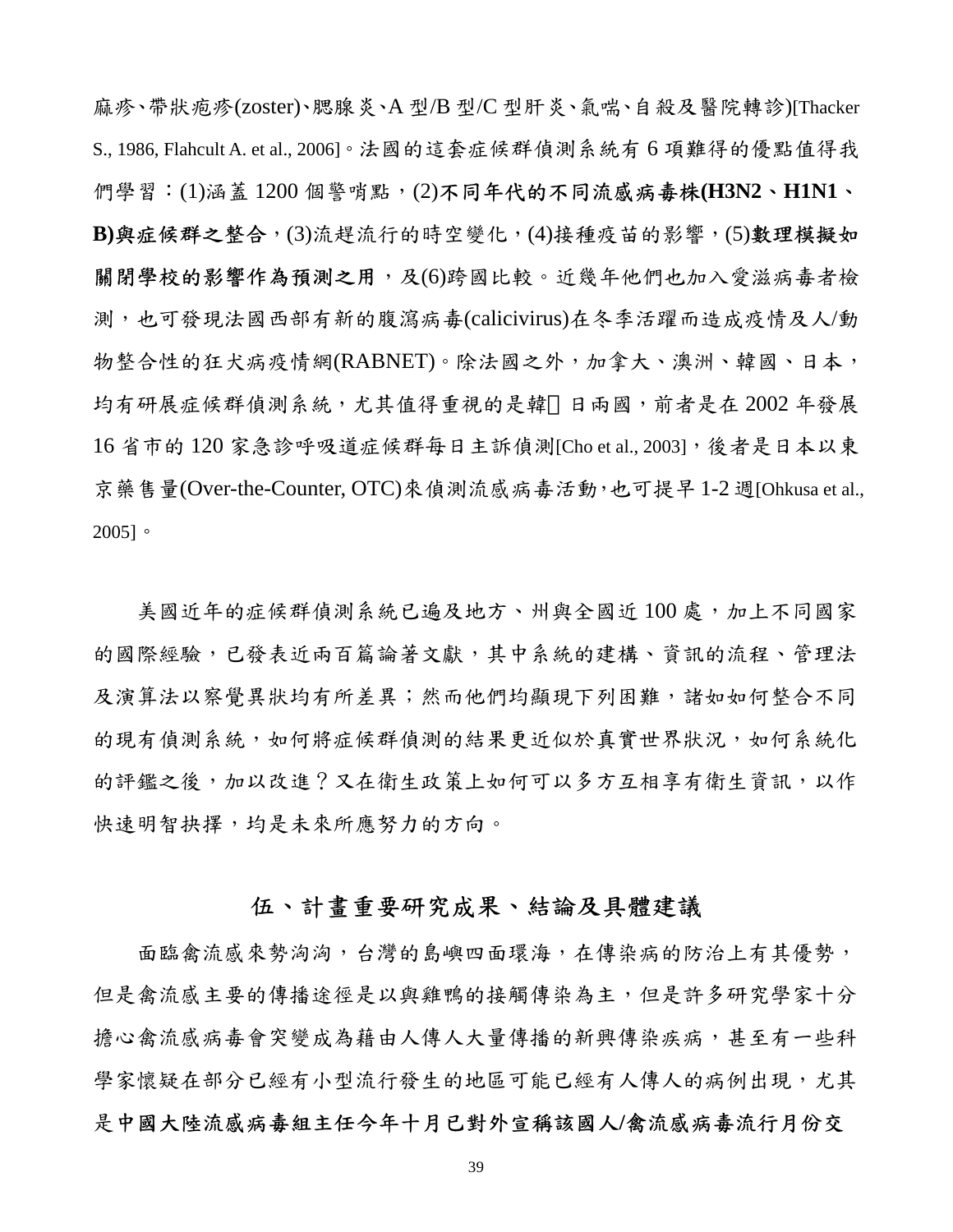麻疹、帶狀疱疹(zoster)、腮腺炎、A 型/B 型/C 型肝炎、氣喘、自殺及醫院轉診)[Thacker S., 1986, Flahcult A. et al., 2006]。法國的這套症候群偵測系統有 6 項難得的優點值得我 們學習:(1)涵蓋 1200 個警哨點,(2)不同年代的不同流感病毒株**(H3N2**、**H1N1**、 **B)**與症候群之整合,(3)流趕流行的時空變化,(4)接種疫苗的影響,(5)數理模擬如 關閉學校的影響作為預測之用,及(6)跨國比較。近幾年他們也加入愛滋病毒者檢 測,也可發現法國西部有新的腹瀉病毒(calicivirus)在冬季活躍而造成疫情及人/動 物整合性的狂犬病疫情網(RABNET)。除法國之外,加拿大、澳洲、韓國、日本, 均有研展症候群偵測系統,尤其值得重視的是韓 日兩國,前者是在 2002 年發展 16 省市的 120 家急診呼吸道症候群每日主訴偵測[Cho et al., 2003],後者是日本以東 京藥售量(Over-the-Counter, OTC)來偵測流感病毒活動,也可提早 1-2 週[Ohkusa et al., 2005]。

美國近年的症候群偵測系統已遍及地方、州與全國近100處,加上不同國家 的國際經驗,已發表近兩百篇論著文獻,其中系統的建構、資訊的流程、管理法 及演算法以察覺異狀均有所差異;然而他們均顯現下列困難,諸如如何整合不同 的現有偵測系統,,如何將症候群偵測的結果更近似於真實世界狀況,如何系統化 的評鑑之後,加以改進?又在衛生政策上如何可以多方互相享有衛生資訊,以作 快速明智抉擇,均是未來所應努力的方向。

## 伍、計畫重要研究成果、結論及具體建議

面臨禽流感來勢洶洶,台灣的島嶼四面環海,在傳染病的防治上有其優勢, 但是禽流感主要的傳播途徑是以與雞鴨的接觸傳染為主,但是許多研究學家十分 擔心禽流感病毒會突變成為藉由人傳人大量傳播的新興傳染疾病,甚至有一些科 學家懷疑在部分已經有小型流行發生的地區可能已經有人傳人的病例出現,尤其 是中國大陸流感病毒組主任今年十月已對外宣稱該國人**/**禽流感病毒流行月份交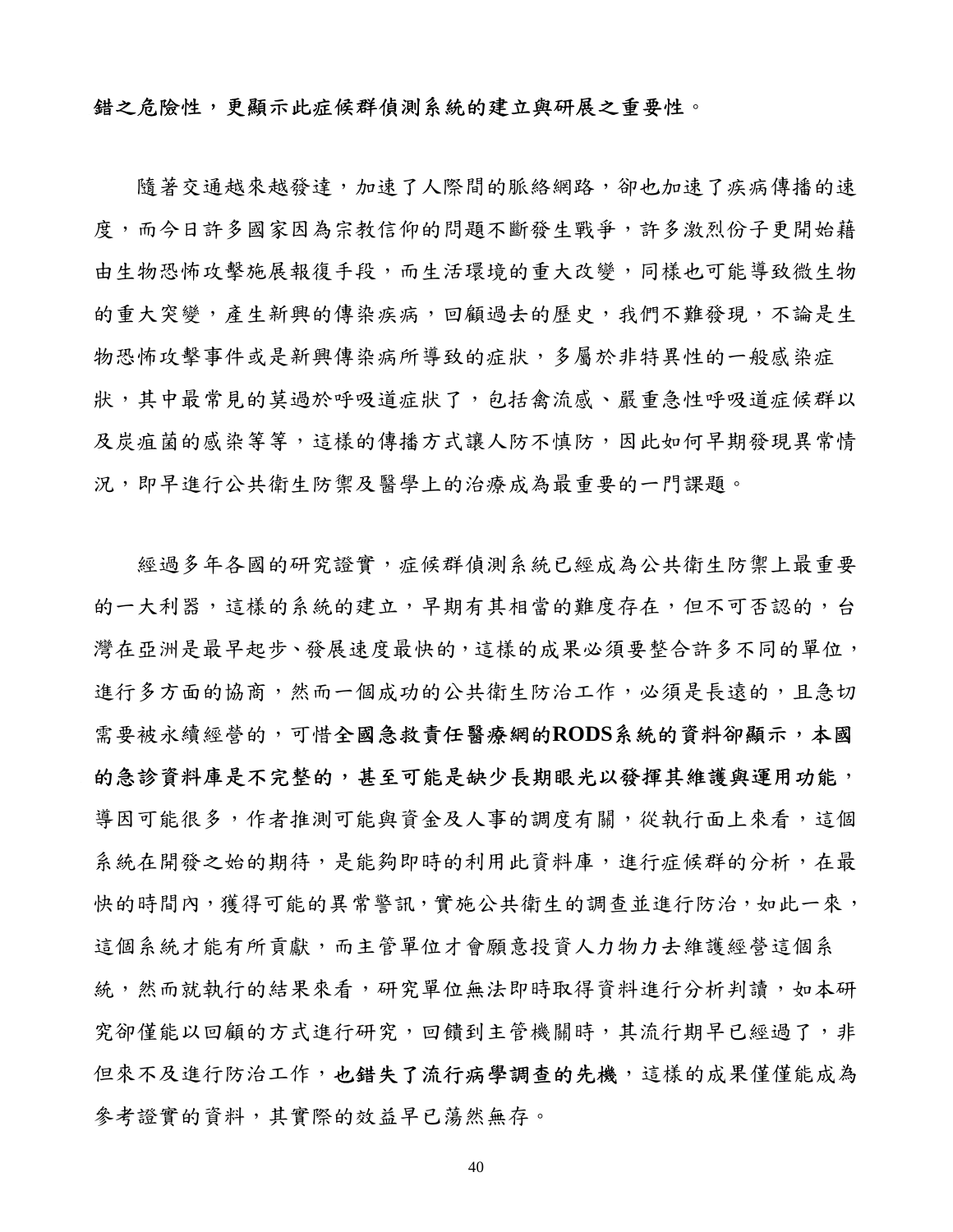## 錯之危險性,更顯示此症候群偵測系統的建立與研展之重要性。

隨著交通越來越發達,加速了人際間的脈絡網路,卻也加速了疾病傳播的速 度,而今日許多國家因為宗教信仰的問題不斷發生戰爭,許多激烈份子更開始藉 由生物恐怖攻擊施展報復手段,而生活環境的重大改變,同樣也可能導致微生物 的重大突變,產生新興的傳染疾病,回顧過去的歷史,我們不難發現,不論是生 物恐怖攻擊事件或是新興傳染病所導致的症狀,多屬於非特異性的一般感染症 狀,其中最常見的莫過於呼吸道症狀了,包括禽流感、嚴重急性呼吸道症候群以 及炭疽菌的感染等等,這樣的傳播方式讓人防不慎防,因此如何早期發現異常情 況,即早進行公共衛生防禦及醫學上的治療成為最重要的一門課題。

經過多年各國的研究證實,症候群偵測系統已經成為公共衛生防禦上最重要 的一大利器,這樣的系統的建立,早期有其相當的難度存在,但不可否認的,台 灣在亞洲是最早起步、發展速度最快的,這樣的成果必須要整合許多不同的單位, 進行多方面的協商,然而一個成功的公共衛生防治工作,必須是長遠的,且急切 需要被永續經營的,可惜全國急救責任醫療網的**RODS**系統的資料卻顯示,本國 的急診資料庫是不完整的,甚至可能是缺少長期眼光以發揮其維護與運用功能, 導因可能很多,作者推測可能與資金及人事的調度有關,從執行面上來看,這個 系統在開發之始的期待,是能夠即時的利用此資料庫,進行症候群的分析,在最 快的時間內,獲得可能的異常警訊,實施公共衛生的調查並進行防治,如此一來, 這個系統才能有所貢獻,而主管單位才會願意投資人力物力去維護經營這個系 統,然而就執行的結果來看,研究單位無法即時取得資料進行分析判讀,如本研 究卻僅能以回顧的方式進行研究,回饋到主管機關時,其流行期早已經過了,非 但來不及進行防治工作,也錯失了流行病學調查的先機,這樣的成果僅僅能成為 參考證實的資料,其實際的效益早已蕩然無存。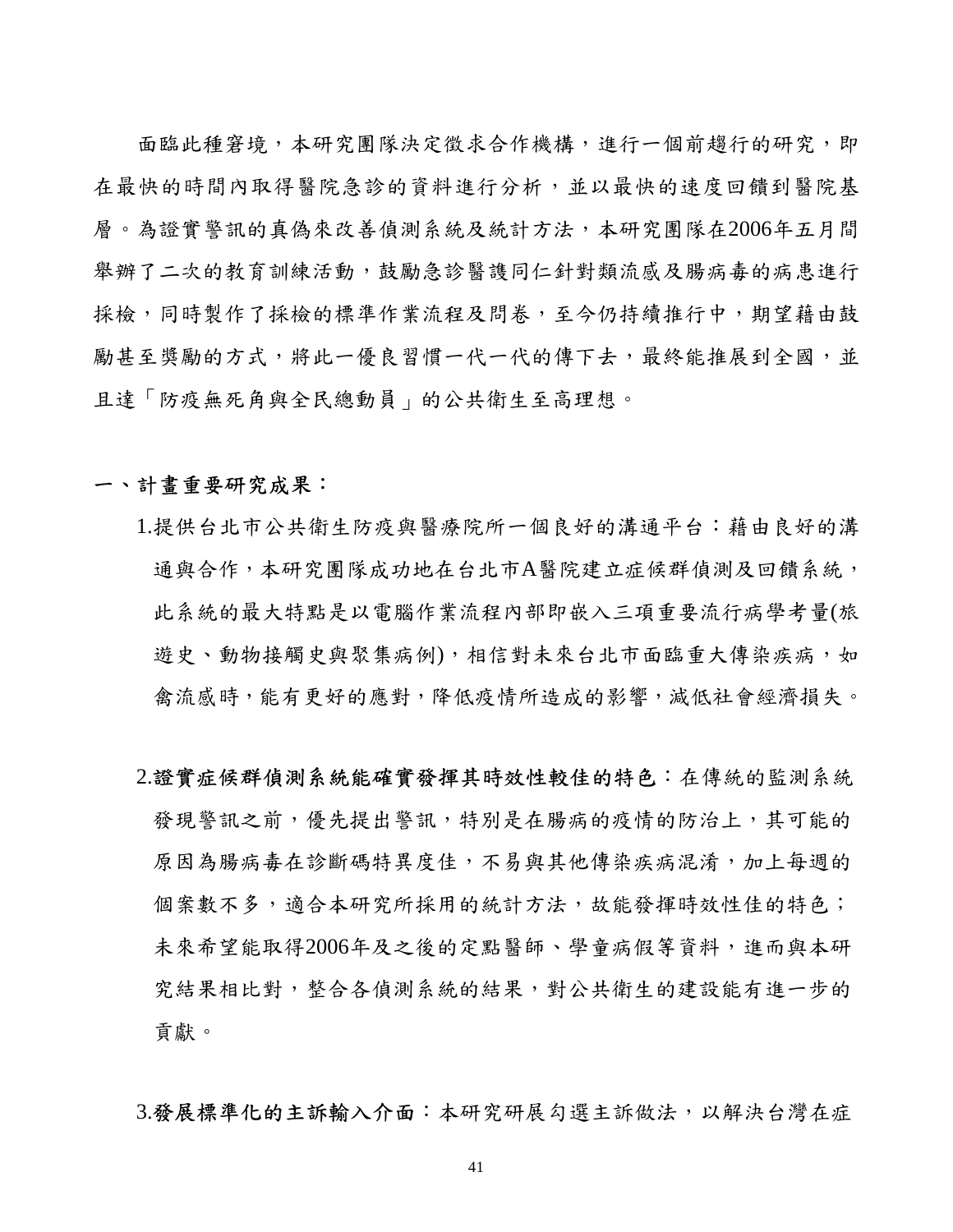面臨此種窘境,本研究團隊決定徵求合作機構,進行一個前趨行的研究,即 在最快的時間內取得醫院急診的資料進行分析,並以最快的速度回饋到醫院基 層。為證實警訊的真偽來改善偵測系統及統計方法,本研究團隊在2006年五月間 舉辦了二次的教育訓練活動,鼓勵急診醫護同仁針對類流感及腸病毒的病患進行 採檢,同時製作了採檢的標準作業流程及問卷,至今仍持續推行中,期望藉由鼓 勵甚至獎勵的方式,將此一優良習慣一代一代的傳下去,最終能推展到全國,並 且達「防疫無死角與全民總動員」的公共衛生至高理想。

## 一、計畫重要研究成果:

- 1.提供台北市公共衛生防疫與醫療院所一個良好的溝通平台:藉由良好的溝 通與合作,本研究團隊成功地在台北市A醫院建立症候群偵測及回饋系統, 此系統的最大特點是以電腦作業流程內部即嵌入三項重要流行病學考量(旅 遊史、動物接觸史與聚集病例),相信對未來台北市面臨重大傳染疾病,如 禽流感時,能有更好的應對,降低疫情所造成的影響,減低社會經濟損失。
- 2.證實症候群偵測系統能確實發揮其時效性較佳的特色:在傳統的監測系統 發現警訊之前,優先提出警訊,特別是在腸病的疫情的防治上,其可能的 原因為腸病毒在診斷碼特異度佳,不易與其他傳染疾病混淆,加上每週的 個案數不多,適合本研究所採用的統計方法,故能發揮時效性佳的特色; 未來希望能取得2006年及之後的定點醫師、學童病假等資料,進而與本研 究結果相比對,整合各偵測系統的結果,對公共衛生的建設能有進一步的 貢獻。

3.發展標準化的主訴輸入介面:本研究研展勾選主訴做法,以解決台灣在症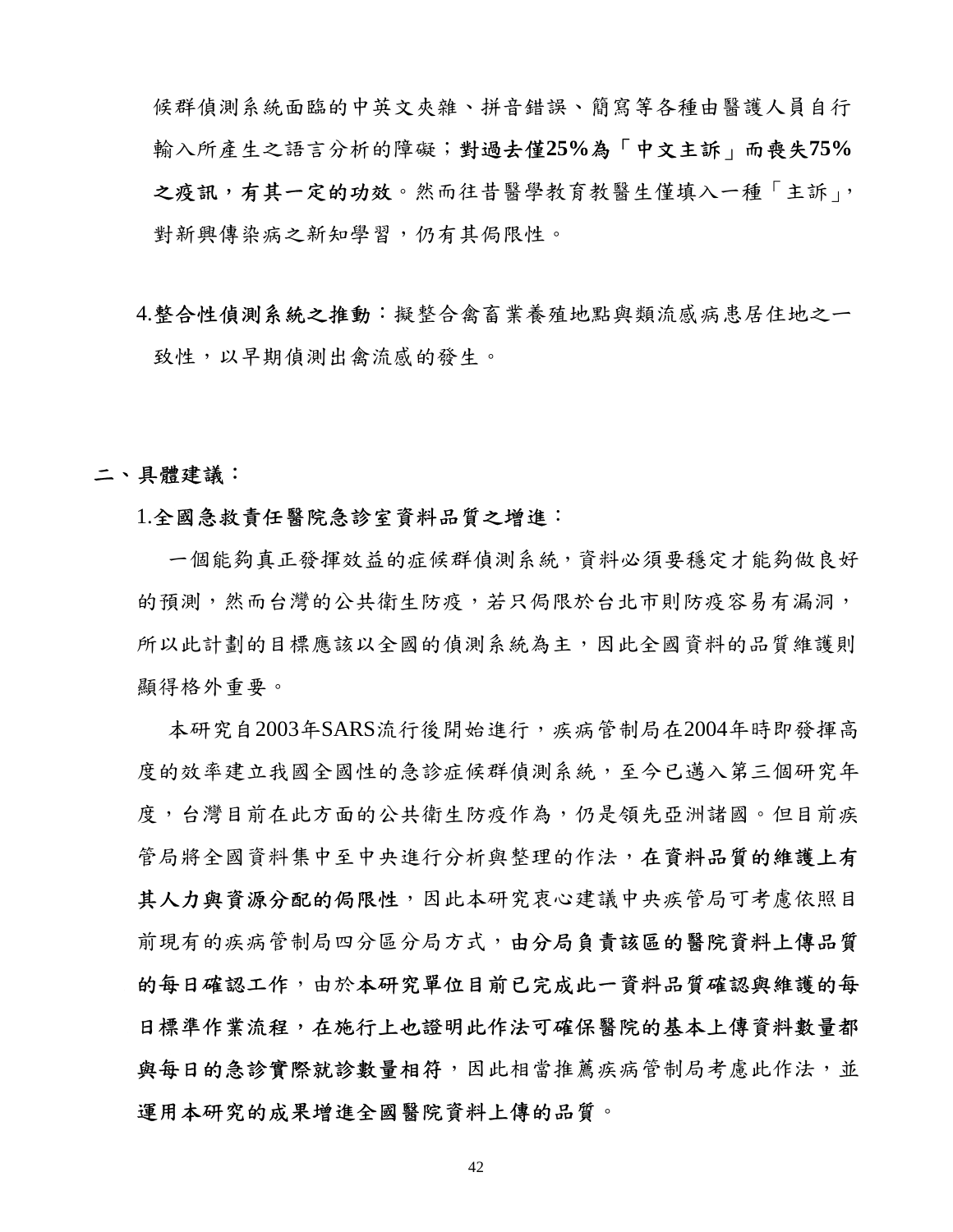候群偵測系統面臨的中英文夾雜、拼音錯誤、簡寫等各種由醫護人員自行 輸入所產生之語言分析的障礙;對過去僅**25%**為「中文主訴」而喪失**75%** 之疫訊,有其一定的功效。然而往昔醫學教育教醫生僅填入一種「主訴」, 對新興傳染病之新知學習,仍有其侷限性。

# 4.整合性偵測系統之推動:擬整合禽畜業養殖地點與類流感病患居住地之一 致性,以早期偵測出禽流感的發生。

二、具體建議:

### 1.全國急救責任醫院急診室資料品質之增進:

一個能夠真正發揮效益的症候群偵測系統,資料必須要穩定才能夠做良好 的預測,然而台灣的公共衛生防疫,若只侷限於台北市則防疫容易有漏洞, 所以此計劃的目標應該以全國的偵測系統為主,因此全國資料的品質維護則 顯得格外重要。

本研究自2003年SARS流行後開始進行,疾病管制局在2004年時即發揮高 度的效率建立我國全國性的急診症候群偵測系統,至今已邁入第三個研究年 度,台灣目前在此方面的公共衛生防疫作為,仍是領先亞洲諸國。但目前疾 管局將全國資料集中至中央進行分析與整理的作法,在資料品質的維護上有 其人力與資源分配的侷限性,因此本研究衷心建議中央疾管局可考慮依照目 前現有的疾病管制局四分區分局方式,由分局負責該區的醫院資料上傳品質 的每日確認工作,由於本研究單位目前已完成此一資料品質確認與維護的每 日標準作業流程,在施行上也證明此作法可確保醫院的基本上傳資料數量都 與每日的急診實際就診數量相符,因此相當推薦疾病管制局考慮此作法,並 運用本研究的成果增進全國醫院資料上傳的品質。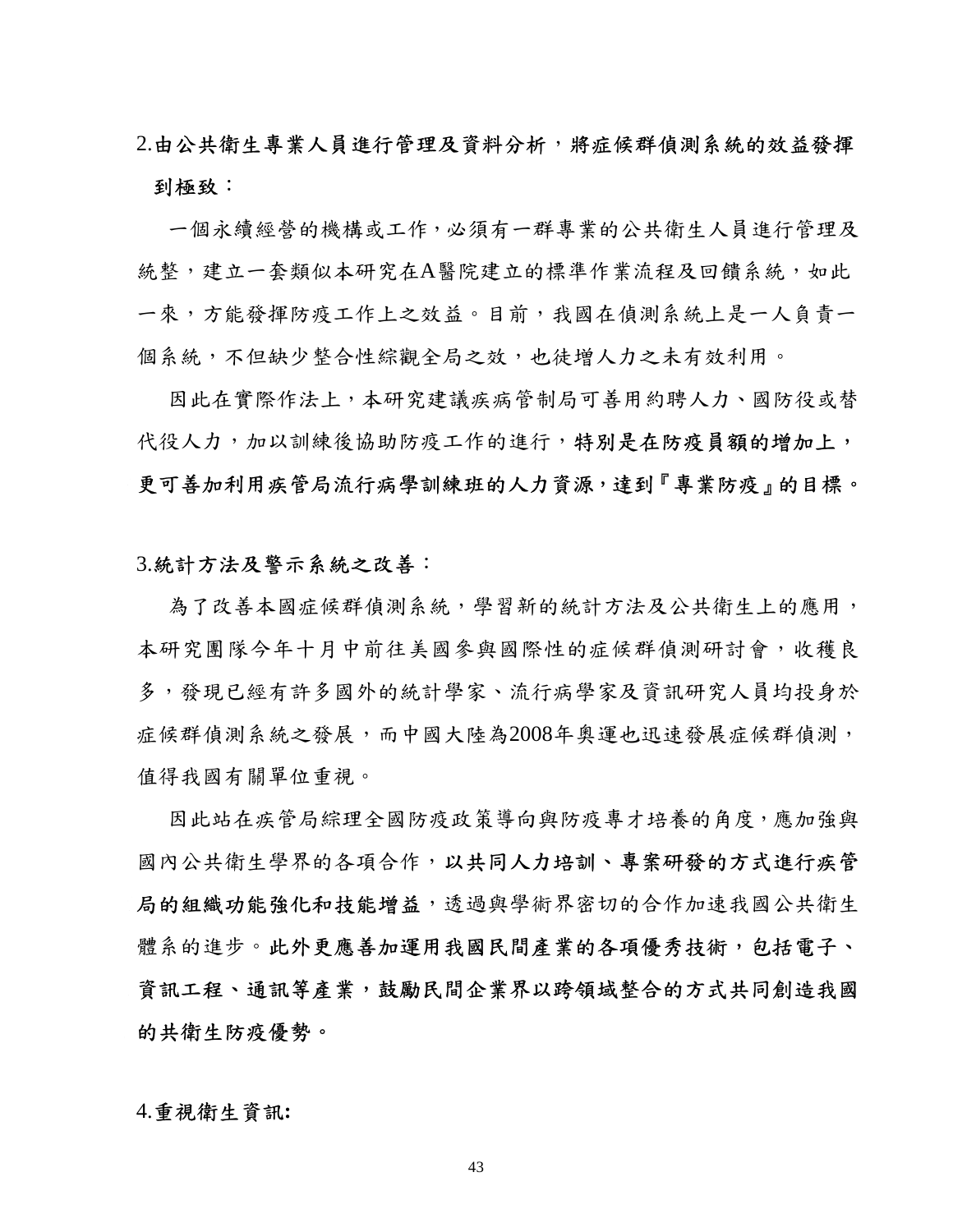# 2.由公共衛生專業人員進行管理及資料分析,將症候群偵測系統的效益發揮 到極致:

一個永續經營的機構或工作,必須有一群專業的公共衛生人員進行管理及 統整,建立一套類似本研究在A醫院建立的標準作業流程及回饋系統,如此 一來,方能發揮防疫工作上之效益。目前,我國在偵測系統上是一人負責一 個系統,不但缺少整合性綜觀全局之效,也徒増人力之未有效利用。

因此在實際作法上,本研究建議疾病管制局可善用約聘人力、國防役或替 代役人力,加以訓練後協助防疫工作的進行,特別是在防疫員額的增加上, 更可善加利用疾管局流行病學訓練班的人力資源,達到『專業防疫』的目標。

#### 3.統計方法及警示系統之改善:

為了改善本國症候群偵測系統,學習新的統計方法及公共衛生上的應用, 本研究團隊今年十月中前往美國參與國際性的症候群偵測研討會,收穫良 多,發現已經有許多國外的統計學家、流行病學家及資訊研究人員均投身於 症候群偵測系統之發展,而中國大陸為2008年奧運也迅速發展症候群偵測, 值得我國有關單位重視。

因此站在疾管局綜理全國防疫政策導向與防疫專才培養的角度,應加強與 國內公共衛生學界的各項合作,以共同人力培訓、專案研發的方式進行疾管 局的組織功能強化和技能增益,透過與學術界密切的合作加速我國公共衛生 體系的進步。此外更應善加運用我國民間產業的各項優秀技術,包括電子、 資訊工程、通訊等產業,鼓勵民間企業界以跨領域整合的方式共同創造我國 的共衛生防疫優勢。

#### 4.重視衛生資訊**:**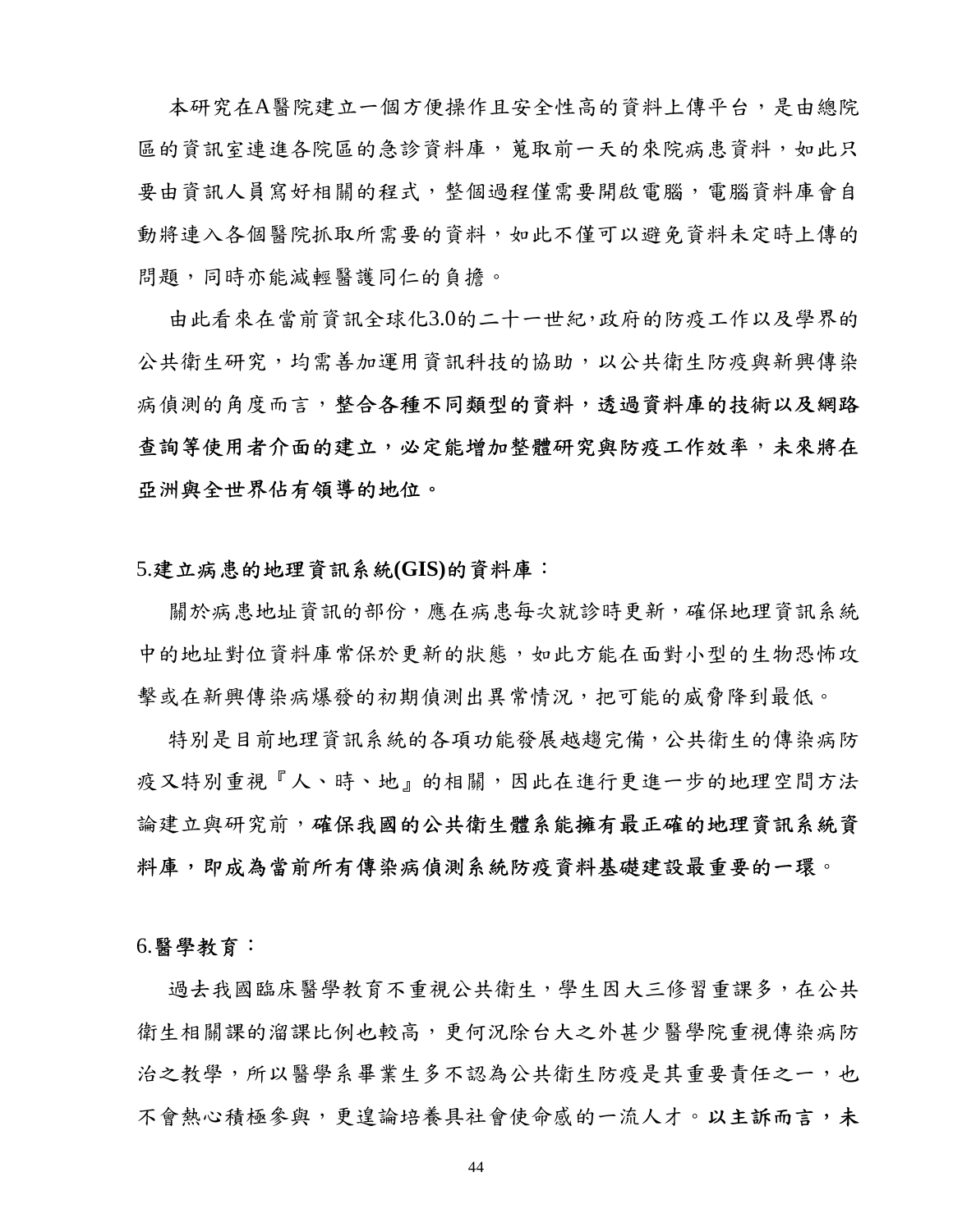本研究在A醫院建立一個方便操作且安全性高的資料上傳平台,是由總院 區的資訊室連進各院區的急診資料庫,蒐取前一天的來院病患資料,如此只 要由資訊人員寫好相關的程式,整個過程僅需要開啟電腦,電腦資料庫會自 動將連入各個醫院抓取所需要的資料,如此不僅可以避免資料未定時上傳的 問題,同時亦能減輕醫護同仁的負擔。

由此看來在當前資訊全球化3.0的二十一世紀,政府的防疫工作以及學界的 公共衛生研究,均需善加運用資訊科技的協助,以公共衛生防疫與新興傳染 病偵測的角度而言,整合各種不同類型的資料,透過資料庫的技術以及網路 查詢等使用者介面的建立,必定能增加整體研究與防疫工作效率,未來將在 亞洲與全世界佔有領導的地位。

### 5.建立病患的地理資訊系統**(GIS)**的資料庫:

關於病患地址資訊的部份,應在病患每次就診時更新,確保地理資訊系統 中的地址對位資料庫常保於更新的狀態,如此方能在面對小型的生物恐怖攻 擊或在新興傳染病爆發的初期偵測出異常情況,把可能的威脅降到最低。

特別是目前地理資訊系統的各項功能發展越趨完備,公共衛生的傳染病防 疫又特別重視『人、時、地』的相關,因此在進行更進一步的地理空間方法 論建立與研究前,確保我國的公共衛生體系能擁有最正確的地理資訊系統資 料庫,即成為當前所有傳染病偵測系統防疫資料基礎建設最重要的一環。

#### 6.醫學教育:

過去我國臨床醫學教育不重視公共衛生,學生因大三修習重課多,在公共 衛生相關課的溜課比例也較高,更何況除台大之外甚少醫學院重視傳染病防 治之教學,所以醫學系畢業生多不認為公共衛生防疫是其重要責任之一,也 不會熱心積極參與,更遑論培養具社會使命感的一流人才。以主訴而言,未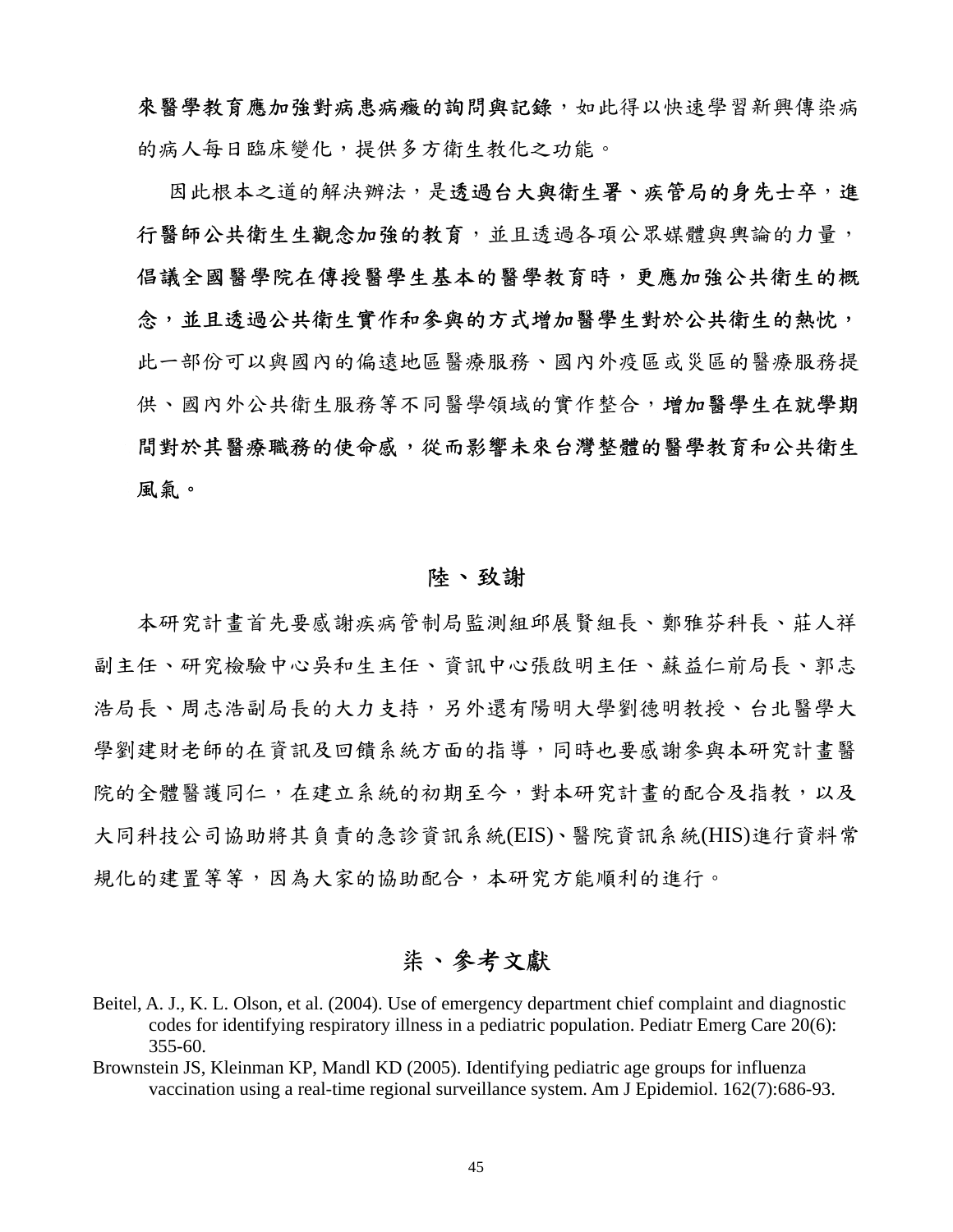來醫學教育應加強對病患病癥的詢問與記錄,如此得以快速學習新興傳染病 的病人每日臨床變化,提供多方衛生教化之功能。

因此根本之道的解決辦法,是透過台大與衛生署、疾管局的身先士卒,進 行醫師公共衛生生觀念加強的教育,並且透過各項公眾媒體與輿論的力量, 倡議全國醫學院在傳授醫學生基本的醫學教育時,更應加強公共衛生的概 念,並且透過公共衛生實作和參與的方式增加醫學生對於公共衛生的熱忱, 此一部份可以與國內的偏遠地區醫療服務、國內外疫區或災區的醫療服務提 供、國內外公共衛生服務等不同醫學領域的實作整合,增加醫學生在就學期 間對於其醫療職務的使命感,從而影響未來台灣整體的醫學教育和公共衛生 風氣。

## 陸、致謝

本研究計畫首先要感謝疾病管制局監測組邱展賢組長、鄭雅芬科長、莊人祥 副主任、研究檢驗中心吳和生主任、資訊中心張啟明主任、蘇益仁前局長、郭志 浩局長、周志浩副局長村支持,另外還有陽明大學劉德明教授、台北醫學大 學劉建財老師的在資訊及回饋系統方面的指導,同時也要感謝參與本研究計畫醫 院的全體醫護同仁,在建立系統的初期至今,對本研究計畫的配合及指教,以及 大同科技公司協助將其負責的急診資訊系統(EIS)、醫院資訊系統(HIS)進行資料常 規化的建置等等,因為大家的協助配合,本研究方能順利的進行。

# 柒、參考文獻

- Beitel, A. J., K. L. Olson, et al. (2004). Use of emergency department chief complaint and diagnostic codes for identifying respiratory illness in a pediatric population. Pediatr Emerg Care 20(6): 355-60.
- Brownstein JS, Kleinman KP, Mandl KD (2005). Identifying pediatric age groups for influenza vaccination using a real-time regional surveillance system. Am J Epidemiol. 162(7):686-93.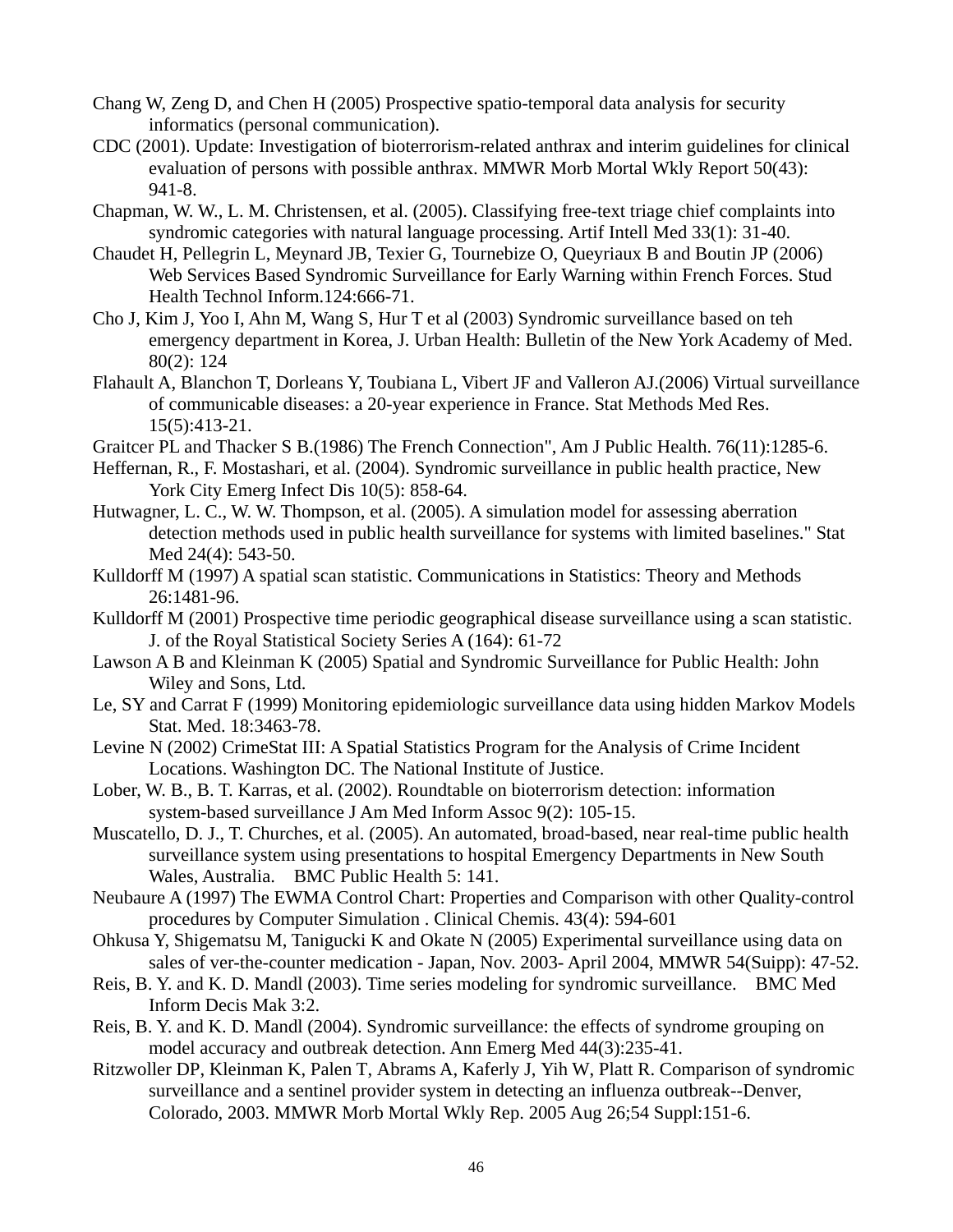- Chang W, Zeng D, and Chen H (2005) Prospective spatio-temporal data analysis for security informatics (personal communication).
- CDC (2001). Update: Investigation of bioterrorism-related anthrax and interim guidelines for clinical evaluation of persons with possible anthrax. MMWR Morb Mortal Wkly Report 50(43): 941-8.
- Chapman, W. W., L. M. Christensen, et al. (2005). Classifying free-text triage chief complaints into syndromic categories with natural language processing. Artif Intell Med 33(1): 31-40.
- Chaudet H, Pellegrin L, Meynard JB, Texier G, Tournebize O, Queyriaux B and Boutin JP (2006) Web Services Based Syndromic Surveillance for Early Warning within French Forces. Stud Health Technol Inform.124:666-71.
- Cho J, Kim J, Yoo I, Ahn M, Wang S, Hur T et al (2003) Syndromic surveillance based on teh emergency department in Korea, J. Urban Health: Bulletin of the New York Academy of Med. 80(2): 124
- Flahault A, Blanchon T, Dorleans Y, Toubiana L, Vibert JF and Valleron AJ.(2006) Virtual surveillance of communicable diseases: a 20-year experience in France. Stat Methods Med Res. 15(5):413-21.
- Graitcer PL and Thacker S B.(1986) The French Connection", Am J Public Health. 76(11):1285-6.
- Heffernan, R., F. Mostashari, et al. (2004). Syndromic surveillance in public health practice, New York City Emerg Infect Dis 10(5): 858-64.
- Hutwagner, L. C., W. W. Thompson, et al. (2005). A simulation model for assessing aberration detection methods used in public health surveillance for systems with limited baselines." Stat Med 24(4): 543-50.
- Kulldorff M (1997) A spatial scan statistic. Communications in Statistics: Theory and Methods 26:1481-96.
- Kulldorff M (2001) Prospective time periodic geographical disease surveillance using a scan statistic. J. of the Royal Statistical Society Series A (164): 61-72
- Lawson A B and Kleinman K (2005) Spatial and Syndromic Surveillance for Public Health: John Wiley and Sons, Ltd.
- Le, SY and Carrat F (1999) Monitoring epidemiologic surveillance data using hidden Markov Models Stat. Med. 18:3463-78.
- Levine N (2002) CrimeStat III: A Spatial Statistics Program for the Analysis of Crime Incident Locations. Washington DC. The National Institute of Justice.
- Lober, W. B., B. T. Karras, et al. (2002). Roundtable on bioterrorism detection: information system-based surveillance J Am Med Inform Assoc 9(2): 105-15.
- Muscatello, D. J., T. Churches, et al. (2005). An automated, broad-based, near real-time public health surveillance system using presentations to hospital Emergency Departments in New South Wales, Australia. BMC Public Health 5: 141.
- Neubaure A (1997) The EWMA Control Chart: Properties and Comparison with other Quality-control procedures by Computer Simulation . Clinical Chemis. 43(4): 594-601
- Ohkusa Y, Shigematsu M, Tanigucki K and Okate N (2005) Experimental surveillance using data on sales of ver-the-counter medication - Japan, Nov. 2003- April 2004, MMWR 54(Suipp): 47-52.
- Reis, B. Y. and K. D. Mandl (2003). Time series modeling for syndromic surveillance. BMC Med Inform Decis Mak 3:2.
- Reis, B. Y. and K. D. Mandl (2004). Syndromic surveillance: the effects of syndrome grouping on model accuracy and outbreak detection. Ann Emerg Med 44(3):235-41.
- Ritzwoller DP, Kleinman K, Palen T, Abrams A, Kaferly J, Yih W, Platt R. Comparison of syndromic surveillance and a sentinel provider system in detecting an influenza outbreak--Denver, Colorado, 2003. MMWR Morb Mortal Wkly Rep. 2005 Aug 26;54 Suppl:151-6.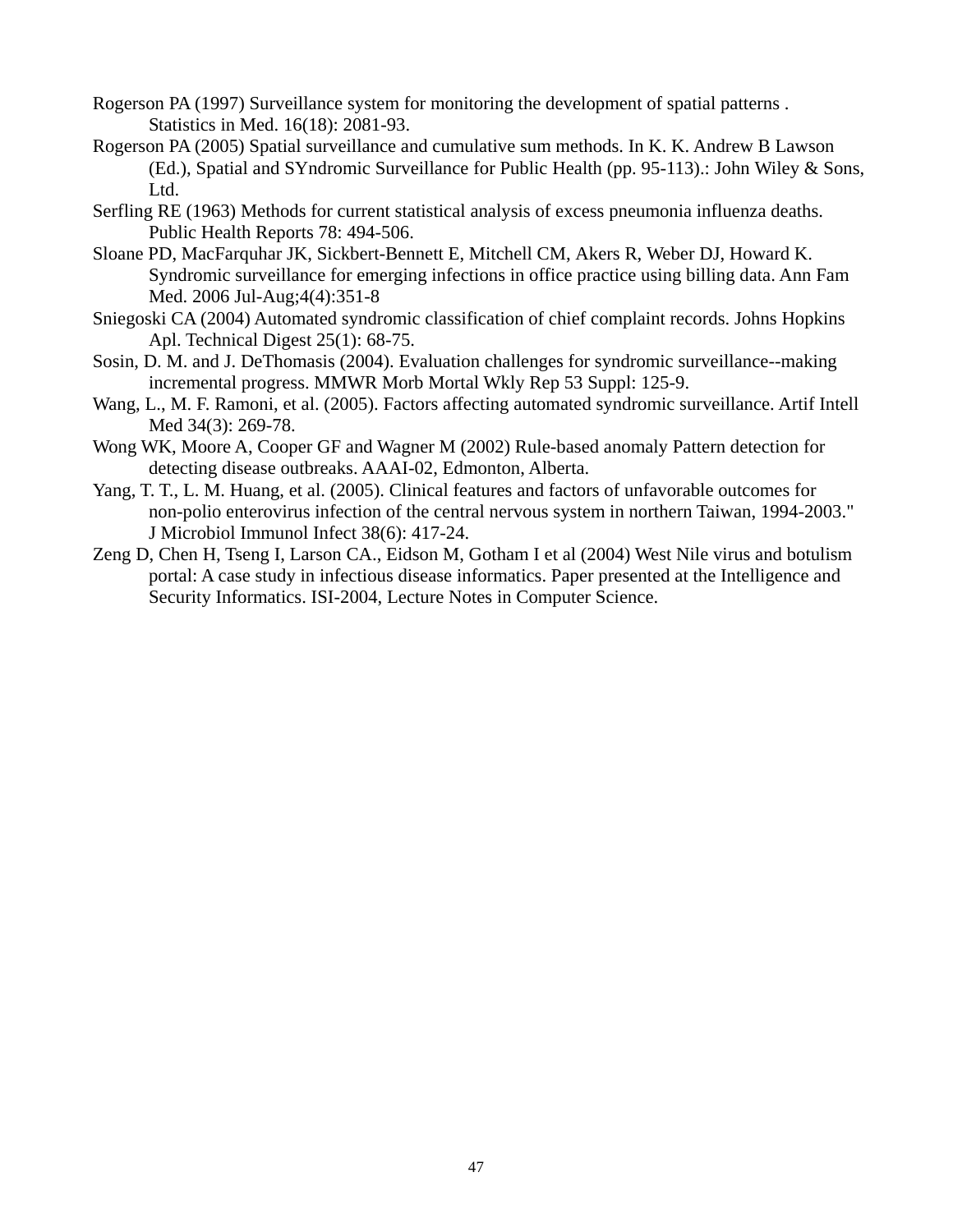- Rogerson PA (1997) Surveillance system for monitoring the development of spatial patterns . Statistics in Med. 16(18): 2081-93.
- Rogerson PA (2005) Spatial surveillance and cumulative sum methods. In K. K. Andrew B Lawson (Ed.), Spatial and SYndromic Surveillance for Public Health (pp. 95-113).: John Wiley & Sons, Ltd.
- Serfling RE (1963) Methods for current statistical analysis of excess pneumonia influenza deaths. Public Health Reports 78: 494-506.
- Sloane PD, MacFarquhar JK, Sickbert-Bennett E, Mitchell CM, Akers R, Weber DJ, Howard K. Syndromic surveillance for emerging infections in office practice using billing data. Ann Fam Med. 2006 Jul-Aug;4(4):351-8
- Sniegoski CA (2004) Automated syndromic classification of chief complaint records. Johns Hopkins Apl. Technical Digest 25(1): 68-75.
- Sosin, D. M. and J. DeThomasis (2004). Evaluation challenges for syndromic surveillance--making incremental progress. MMWR Morb Mortal Wkly Rep 53 Suppl: 125-9.
- Wang, L., M. F. Ramoni, et al. (2005). Factors affecting automated syndromic surveillance. Artif Intell Med 34(3): 269-78.
- Wong WK, Moore A, Cooper GF and Wagner M (2002) Rule-based anomaly Pattern detection for detecting disease outbreaks. AAAI-02, Edmonton, Alberta.
- Yang, T. T., L. M. Huang, et al. (2005). Clinical features and factors of unfavorable outcomes for non-polio enterovirus infection of the central nervous system in northern Taiwan, 1994-2003." J Microbiol Immunol Infect 38(6): 417-24.
- Zeng D, Chen H, Tseng I, Larson CA., Eidson M, Gotham I et al (2004) West Nile virus and botulism portal: A case study in infectious disease informatics. Paper presented at the Intelligence and Security Informatics. ISI-2004, Lecture Notes in Computer Science.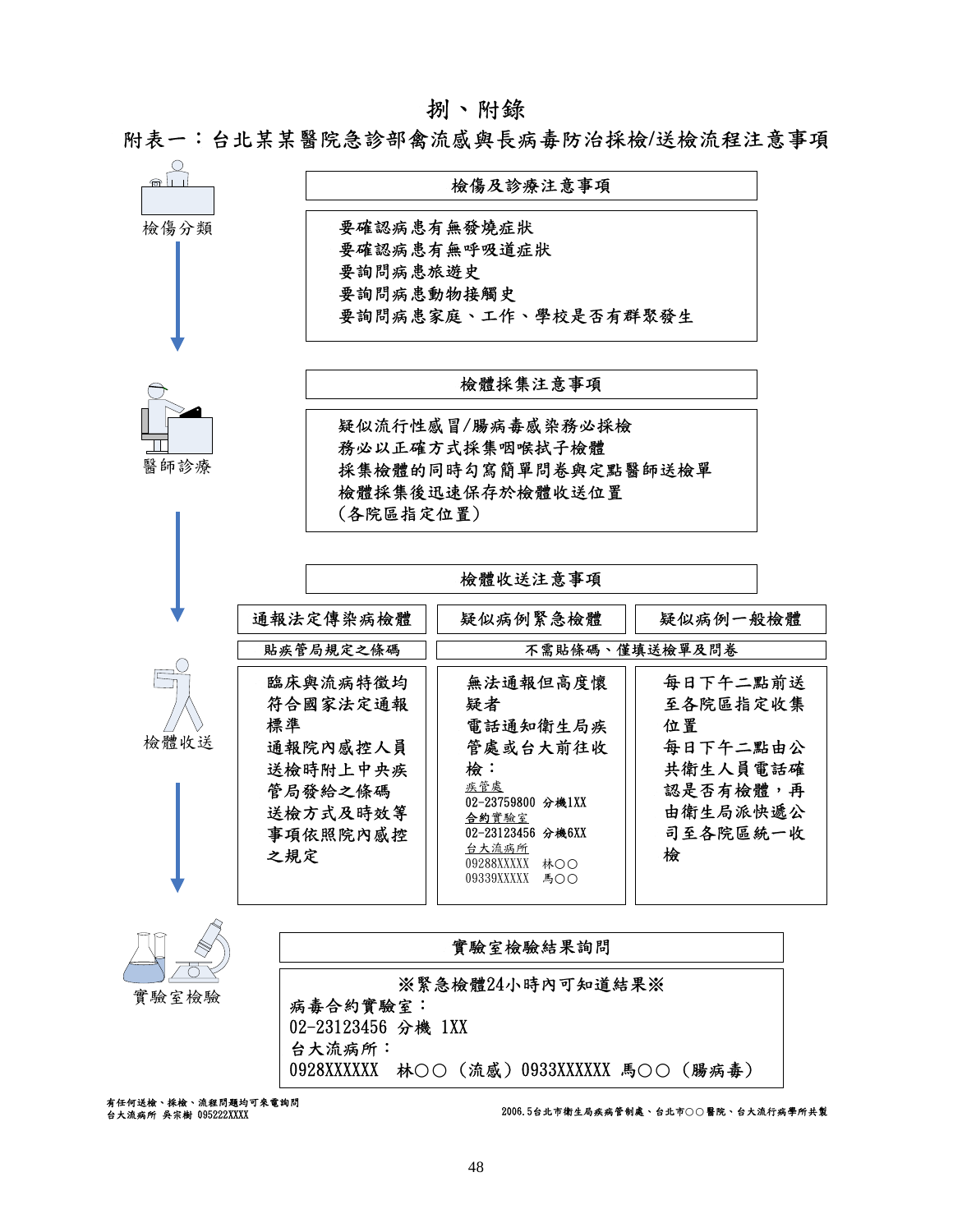#### 捌、附錄

附表一:台北某某醫院急診部禽流感與長病毒防治採檢**/**送檢流程注意事項